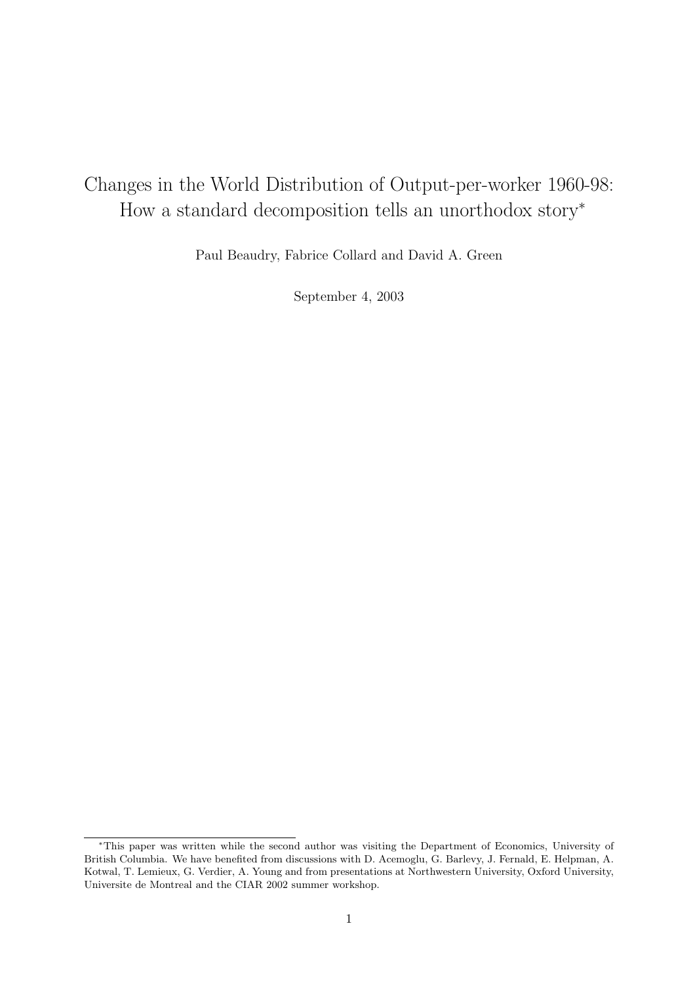# Changes in the World Distribution of Output-per-worker 1960-98: How a standard decomposition tells an unorthodox story<sup>∗</sup>

Paul Beaudry, Fabrice Collard and David A. Green

September 4, 2003

<sup>∗</sup>This paper was written while the second author was visiting the Department of Economics, University of British Columbia. We have benefited from discussions with D. Acemoglu, G. Barlevy, J. Fernald, E. Helpman, A. Kotwal, T. Lemieux, G. Verdier, A. Young and from presentations at Northwestern University, Oxford University, Universite de Montreal and the CIAR 2002 summer workshop.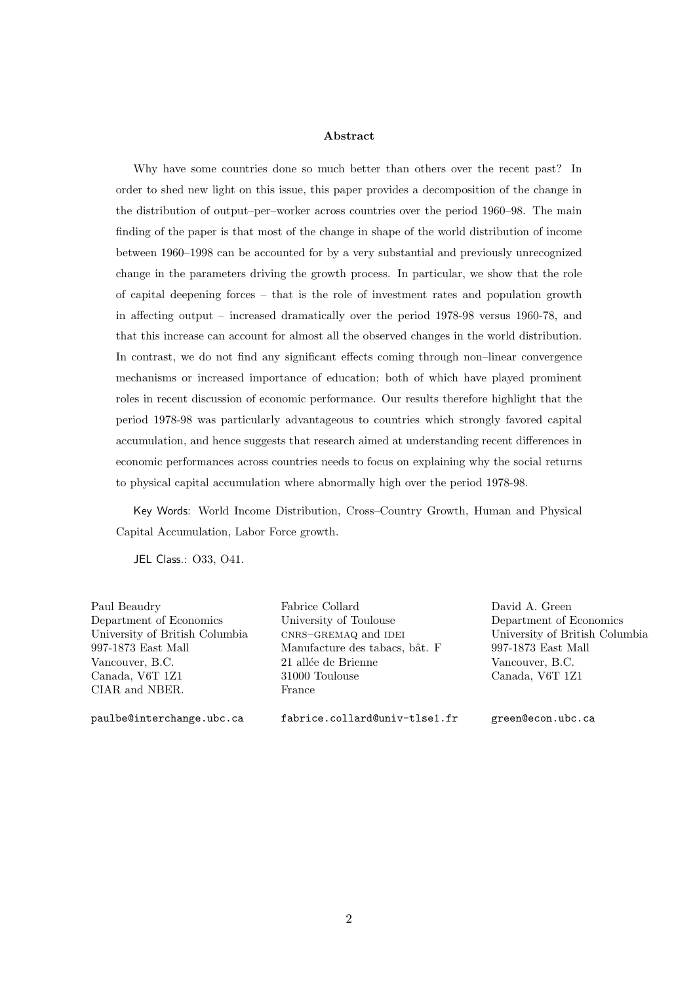#### Abstract

Why have some countries done so much better than others over the recent past? In order to shed new light on this issue, this paper provides a decomposition of the change in the distribution of output–per–worker across countries over the period 1960–98. The main finding of the paper is that most of the change in shape of the world distribution of income between 1960–1998 can be accounted for by a very substantial and previously unrecognized change in the parameters driving the growth process. In particular, we show that the role of capital deepening forces – that is the role of investment rates and population growth in affecting output – increased dramatically over the period 1978-98 versus 1960-78, and that this increase can account for almost all the observed changes in the world distribution. In contrast, we do not find any significant effects coming through non–linear convergence mechanisms or increased importance of education; both of which have played prominent roles in recent discussion of economic performance. Our results therefore highlight that the period 1978-98 was particularly advantageous to countries which strongly favored capital accumulation, and hence suggests that research aimed at understanding recent differences in economic performances across countries needs to focus on explaining why the social returns to physical capital accumulation where abnormally high over the period 1978-98.

Key Words: World Income Distribution, Cross–Country Growth, Human and Physical Capital Accumulation, Labor Force growth.

JEL Class.: O33, O41.

Paul Beaudry Fabrice Collard David A. Green CIAR and NBER. France

Department of Economics University of Toulouse Department of Economics University of British Columbia cnrs–GREMAQ and IDEI University of British Columbia 997-1873 East Mall Manufacture des tabacs, bˆat. F 997-1873 East Mall Vancouver, B.C. 21 allée de Brienne Vancouver, B.C. Canada, V6T 1Z1 31000 Toulouse Canada, V6T 1Z1

paulbe@interchange.ubc.ca fabrice.collard@univ-tlse1.fr green@econ.ubc.ca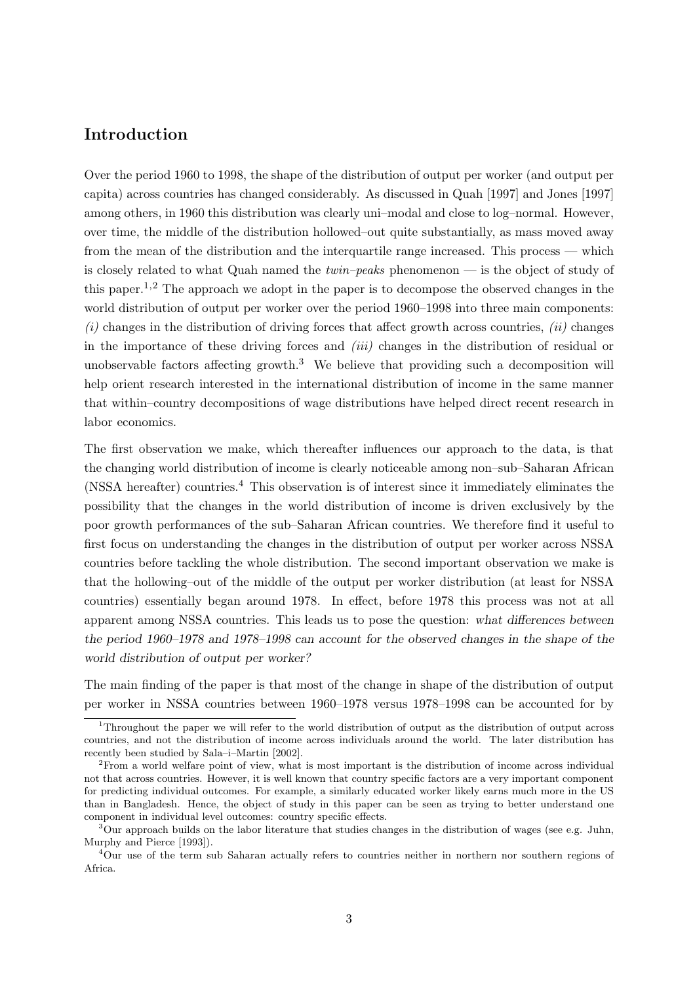# Introduction

Over the period 1960 to 1998, the shape of the distribution of output per worker (and output per capita) across countries has changed considerably. As discussed in Quah [1997] and Jones [1997] among others, in 1960 this distribution was clearly uni–modal and close to log–normal. However, over time, the middle of the distribution hollowed–out quite substantially, as mass moved away from the mean of the distribution and the interquartile range increased. This process — which is closely related to what Quah named the twin–peaks phenomenon — is the object of study of this paper.<sup>1,2</sup> The approach we adopt in the paper is to decompose the observed changes in the world distribution of output per worker over the period 1960–1998 into three main components:  $(i)$  changes in the distribution of driving forces that affect growth across countries,  $(ii)$  changes in the importance of these driving forces and  $(iii)$  changes in the distribution of residual or unobservable factors affecting growth.<sup>3</sup> We believe that providing such a decomposition will help orient research interested in the international distribution of income in the same manner that within–country decompositions of wage distributions have helped direct recent research in labor economics.

The first observation we make, which thereafter influences our approach to the data, is that the changing world distribution of income is clearly noticeable among non–sub–Saharan African (NSSA hereafter) countries.<sup>4</sup> This observation is of interest since it immediately eliminates the possibility that the changes in the world distribution of income is driven exclusively by the poor growth performances of the sub–Saharan African countries. We therefore find it useful to first focus on understanding the changes in the distribution of output per worker across NSSA countries before tackling the whole distribution. The second important observation we make is that the hollowing–out of the middle of the output per worker distribution (at least for NSSA countries) essentially began around 1978. In effect, before 1978 this process was not at all apparent among NSSA countries. This leads us to pose the question: what differences between the period 1960–1978 and 1978–1998 can account for the observed changes in the shape of the world distribution of output per worker?

The main finding of the paper is that most of the change in shape of the distribution of output per worker in NSSA countries between 1960–1978 versus 1978–1998 can be accounted for by

<sup>&</sup>lt;sup>1</sup>Throughout the paper we will refer to the world distribution of output as the distribution of output across countries, and not the distribution of income across individuals around the world. The later distribution has recently been studied by Sala–i–Martin [2002].

<sup>&</sup>lt;sup>2</sup>From a world welfare point of view, what is most important is the distribution of income across individual not that across countries. However, it is well known that country specific factors are a very important component for predicting individual outcomes. For example, a similarly educated worker likely earns much more in the US than in Bangladesh. Hence, the object of study in this paper can be seen as trying to better understand one component in individual level outcomes: country specific effects.

 $3$ Our approach builds on the labor literature that studies changes in the distribution of wages (see e.g. Juhn, Murphy and Pierce [1993]).

<sup>4</sup>Our use of the term sub Saharan actually refers to countries neither in northern nor southern regions of Africa.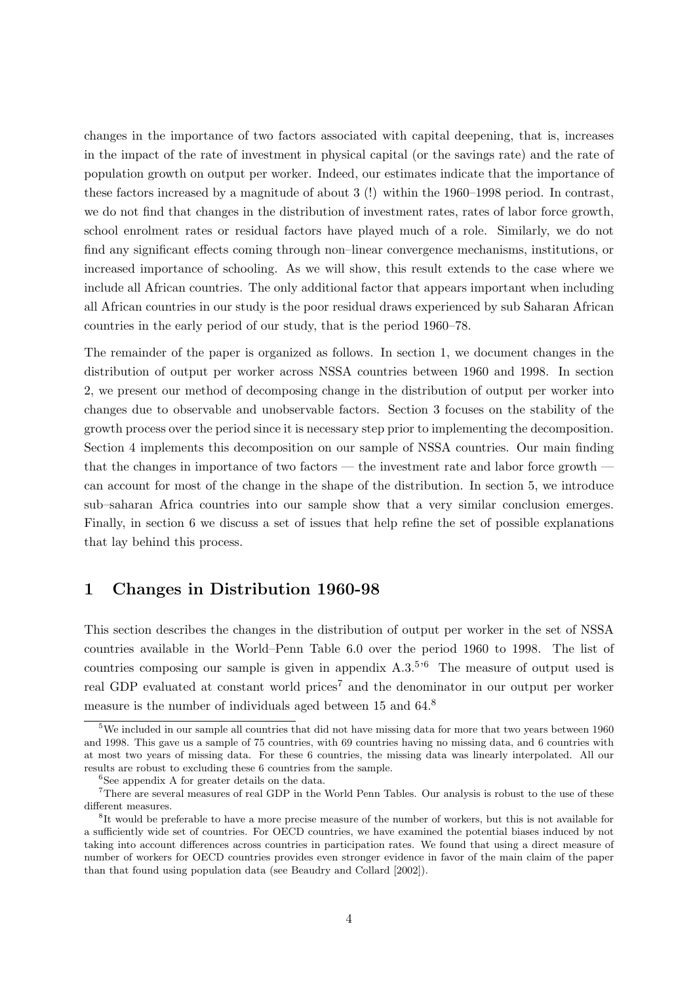changes in the importance of two factors associated with capital deepening, that is, increases in the impact of the rate of investment in physical capital (or the savings rate) and the rate of population growth on output per worker. Indeed, our estimates indicate that the importance of these factors increased by a magnitude of about 3 (!) within the 1960–1998 period. In contrast, we do not find that changes in the distribution of investment rates, rates of labor force growth, school enrolment rates or residual factors have played much of a role. Similarly, we do not find any significant effects coming through non–linear convergence mechanisms, institutions, or increased importance of schooling. As we will show, this result extends to the case where we include all African countries. The only additional factor that appears important when including all African countries in our study is the poor residual draws experienced by sub Saharan African countries in the early period of our study, that is the period 1960–78.

The remainder of the paper is organized as follows. In section 1, we document changes in the distribution of output per worker across NSSA countries between 1960 and 1998. In section 2, we present our method of decomposing change in the distribution of output per worker into changes due to observable and unobservable factors. Section 3 focuses on the stability of the growth process over the period since it is necessary step prior to implementing the decomposition. Section 4 implements this decomposition on our sample of NSSA countries. Our main finding that the changes in importance of two factors — the investment rate and labor force growth can account for most of the change in the shape of the distribution. In section 5, we introduce sub–saharan Africa countries into our sample show that a very similar conclusion emerges. Finally, in section 6 we discuss a set of issues that help refine the set of possible explanations that lay behind this process.

## 1 Changes in Distribution 1960-98

This section describes the changes in the distribution of output per worker in the set of NSSA countries available in the World–Penn Table 6.0 over the period 1960 to 1998. The list of countries composing our sample is given in appendix  $A.3^{5.6}$  The measure of output used is real GDP evaluated at constant world prices<sup>7</sup> and the denominator in our output per worker measure is the number of individuals aged between 15 and 64.<sup>8</sup>

<sup>&</sup>lt;sup>5</sup>We included in our sample all countries that did not have missing data for more that two years between 1960 and 1998. This gave us a sample of 75 countries, with 69 countries having no missing data, and 6 countries with at most two years of missing data. For these 6 countries, the missing data was linearly interpolated. All our results are robust to excluding these 6 countries from the sample.

 ${}^{6}$ See appendix A for greater details on the data.

<sup>&</sup>lt;sup>7</sup>There are several measures of real GDP in the World Penn Tables. Our analysis is robust to the use of these different measures.

<sup>&</sup>lt;sup>8</sup>It would be preferable to have a more precise measure of the number of workers, but this is not available for a sufficiently wide set of countries. For OECD countries, we have examined the potential biases induced by not taking into account differences across countries in participation rates. We found that using a direct measure of number of workers for OECD countries provides even stronger evidence in favor of the main claim of the paper than that found using population data (see Beaudry and Collard [2002]).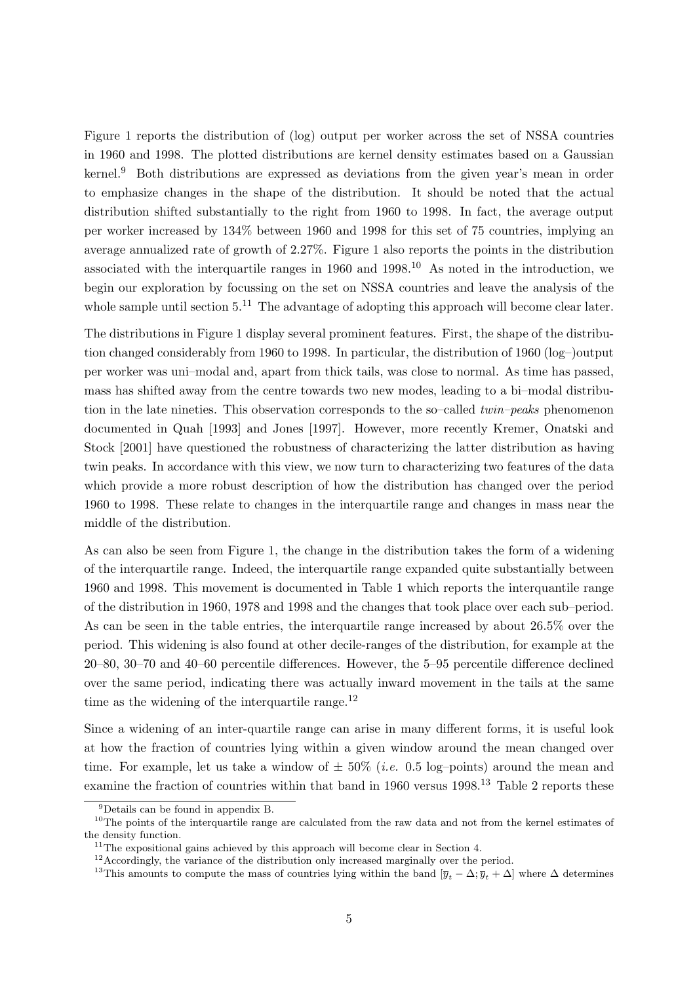Figure 1 reports the distribution of (log) output per worker across the set of NSSA countries in 1960 and 1998. The plotted distributions are kernel density estimates based on a Gaussian kernel.<sup>9</sup> Both distributions are expressed as deviations from the given year's mean in order to emphasize changes in the shape of the distribution. It should be noted that the actual distribution shifted substantially to the right from 1960 to 1998. In fact, the average output per worker increased by 134% between 1960 and 1998 for this set of 75 countries, implying an average annualized rate of growth of 2.27%. Figure 1 also reports the points in the distribution associated with the interquartile ranges in  $1960$  and  $1998$ .<sup>10</sup> As noted in the introduction, we begin our exploration by focussing on the set on NSSA countries and leave the analysis of the whole sample until section  $5^{11}$ . The advantage of adopting this approach will become clear later.

The distributions in Figure 1 display several prominent features. First, the shape of the distribution changed considerably from 1960 to 1998. In particular, the distribution of 1960 (log–)output per worker was uni–modal and, apart from thick tails, was close to normal. As time has passed, mass has shifted away from the centre towards two new modes, leading to a bi–modal distribution in the late nineties. This observation corresponds to the so–called twin–peaks phenomenon documented in Quah [1993] and Jones [1997]. However, more recently Kremer, Onatski and Stock [2001] have questioned the robustness of characterizing the latter distribution as having twin peaks. In accordance with this view, we now turn to characterizing two features of the data which provide a more robust description of how the distribution has changed over the period 1960 to 1998. These relate to changes in the interquartile range and changes in mass near the middle of the distribution.

As can also be seen from Figure 1, the change in the distribution takes the form of a widening of the interquartile range. Indeed, the interquartile range expanded quite substantially between 1960 and 1998. This movement is documented in Table 1 which reports the interquantile range of the distribution in 1960, 1978 and 1998 and the changes that took place over each sub–period. As can be seen in the table entries, the interquartile range increased by about 26.5% over the period. This widening is also found at other decile-ranges of the distribution, for example at the 20–80, 30–70 and 40–60 percentile differences. However, the 5–95 percentile difference declined over the same period, indicating there was actually inward movement in the tails at the same time as the widening of the interquartile range. $^{12}$ 

Since a widening of an inter-quartile range can arise in many different forms, it is useful look at how the fraction of countries lying within a given window around the mean changed over time. For example, let us take a window of  $\pm 50\%$  (*i.e.* 0.5 log-points) around the mean and examine the fraction of countries within that band in 1960 versus 1998.<sup>13</sup> Table 2 reports these

<sup>9</sup>Details can be found in appendix B.

 $10$ The points of the interquartile range are calculated from the raw data and not from the kernel estimates of the density function.

 $11$ <sup>The expositional gains achieved by this approach will become clear in Section 4.</sup>

<sup>&</sup>lt;sup>12</sup> Accordingly, the variance of the distribution only increased marginally over the period.

<sup>&</sup>lt;sup>13</sup>This amounts to compute the mass of countries lying within the band  $[\overline{y}_t - \Delta; \overline{y}_t + \Delta]$  where  $\Delta$  determines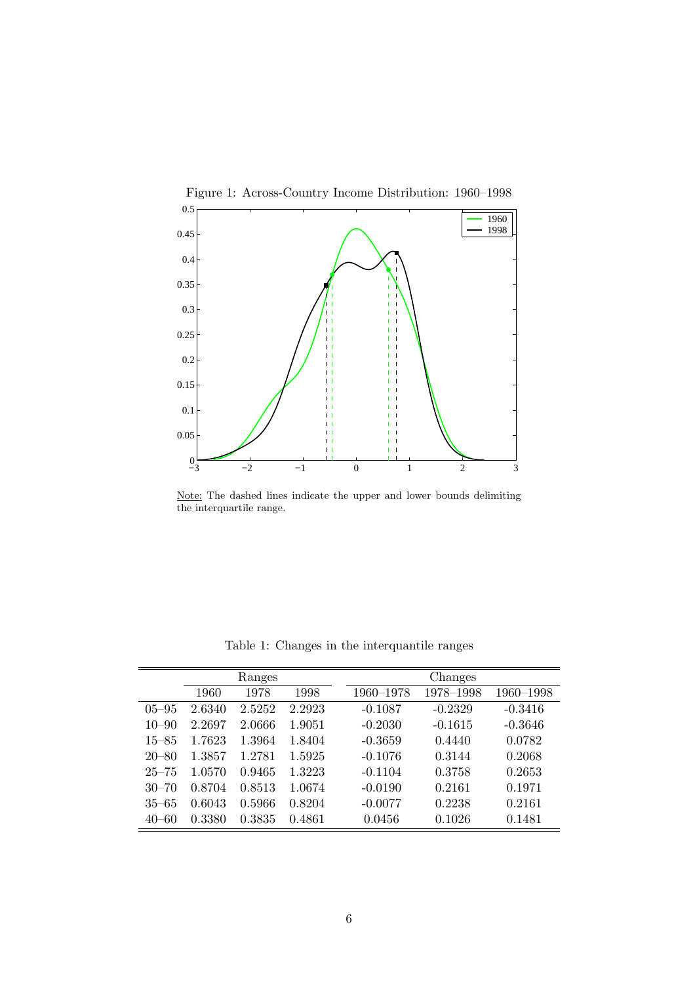

Note: The dashed lines indicate the upper and lower bounds delimiting the interquartile range.

|           |        | Ranges |        |           | Changes   |           |
|-----------|--------|--------|--------|-----------|-----------|-----------|
|           | 1960   | 1978   | 1998   | 1960–1978 | 1978–1998 | 1960-1998 |
| $05 - 95$ | 2.6340 | 2.5252 | 2.2923 | $-0.1087$ | $-0.2329$ | $-0.3416$ |
| $10 - 90$ | 2.2697 | 2.0666 | 1.9051 | $-0.2030$ | $-0.1615$ | $-0.3646$ |
| $15 - 85$ | 1.7623 | 1.3964 | 1.8404 | $-0.3659$ | 0.4440    | 0.0782    |
| $20 - 80$ | 1.3857 | 1.2781 | 1.5925 | $-0.1076$ | 0.3144    | 0.2068    |
| $25 - 75$ | 1.0570 | 0.9465 | 1.3223 | $-0.1104$ | 0.3758    | 0.2653    |
| $30 - 70$ | 0.8704 | 0.8513 | 1.0674 | $-0.0190$ | 0.2161    | 0.1971    |
| $35 - 65$ | 0.6043 | 0.5966 | 0.8204 | $-0.0077$ | 0.2238    | 0.2161    |
| $40 - 60$ | 0.3380 | 0.3835 | 0.4861 | 0.0456    | 0.1026    | 0.1481    |

Table 1: Changes in the interquantile ranges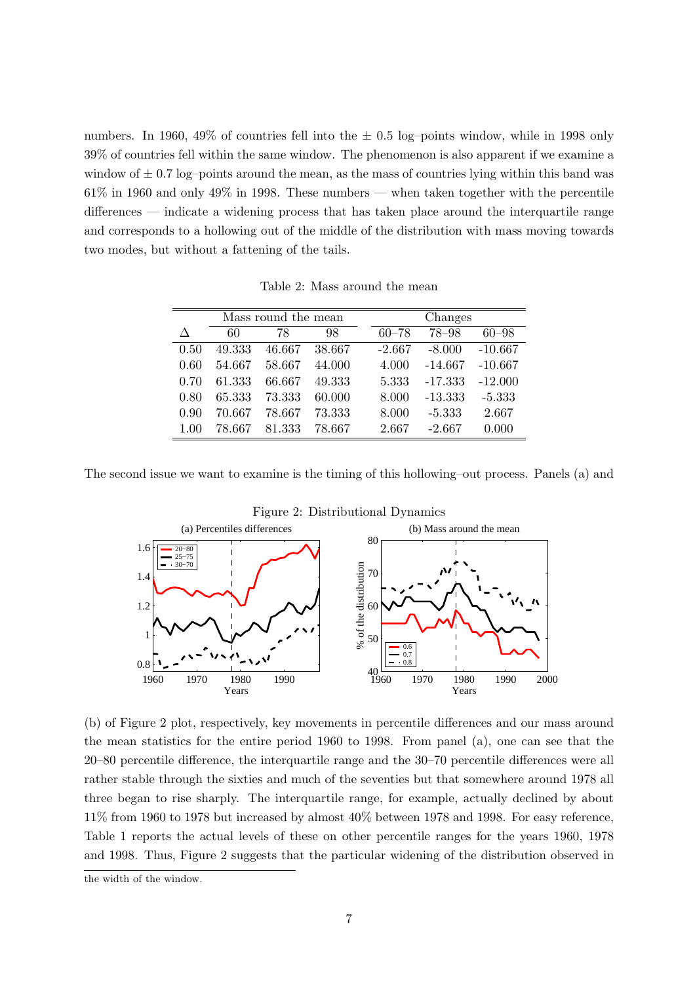numbers. In 1960, 49% of countries fell into the  $\pm$  0.5 log–points window, while in 1998 only 39% of countries fell within the same window. The phenomenon is also apparent if we examine a window of  $\pm$  0.7 log–points around the mean, as the mass of countries lying within this band was 61% in 1960 and only 49% in 1998. These numbers — when taken together with the percentile differences — indicate a widening process that has taken place around the interquartile range and corresponds to a hollowing out of the middle of the distribution with mass moving towards two modes, but without a fattening of the tails.

Table 2: Mass around the mean

|      |        | Mass round the mean |        | Changes   |           |           |  |  |
|------|--------|---------------------|--------|-----------|-----------|-----------|--|--|
| Л    | 60     | 78                  | 98     | $60 - 78$ | $78 - 98$ | $60 - 98$ |  |  |
| 0.50 | 49.333 | 46.667              | 38.667 | $-2.667$  | $-8.000$  | $-10.667$ |  |  |
| 0.60 | 54.667 | 58.667              | 44.000 | 4.000     | $-14.667$ | $-10.667$ |  |  |
| 0.70 | 61.333 | 66.667              | 49.333 | 5.333     | -17.333   | $-12.000$ |  |  |
| 0.80 | 65.333 | 73.333              | 60.000 | 8.000     | $-13.333$ | $-5.333$  |  |  |
| 0.90 | 70.667 | 78.667              | 73.333 | 8.000     | $-5.333$  | 2.667     |  |  |
| 1.00 | 78.667 | 81.333              | 78.667 | 2.667     | $-2.667$  | 0.000     |  |  |

The second issue we want to examine is the timing of this hollowing–out process. Panels (a) and



Figure 2: Distributional Dynamics

(b) of Figure 2 plot, respectively, key movements in percentile differences and our mass around the mean statistics for the entire period 1960 to 1998. From panel (a), one can see that the 20–80 percentile difference, the interquartile range and the 30–70 percentile differences were all rather stable through the sixties and much of the seventies but that somewhere around 1978 all three began to rise sharply. The interquartile range, for example, actually declined by about 11% from 1960 to 1978 but increased by almost 40% between 1978 and 1998. For easy reference, Table 1 reports the actual levels of these on other percentile ranges for the years 1960, 1978 and 1998. Thus, Figure 2 suggests that the particular widening of the distribution observed in

the width of the window.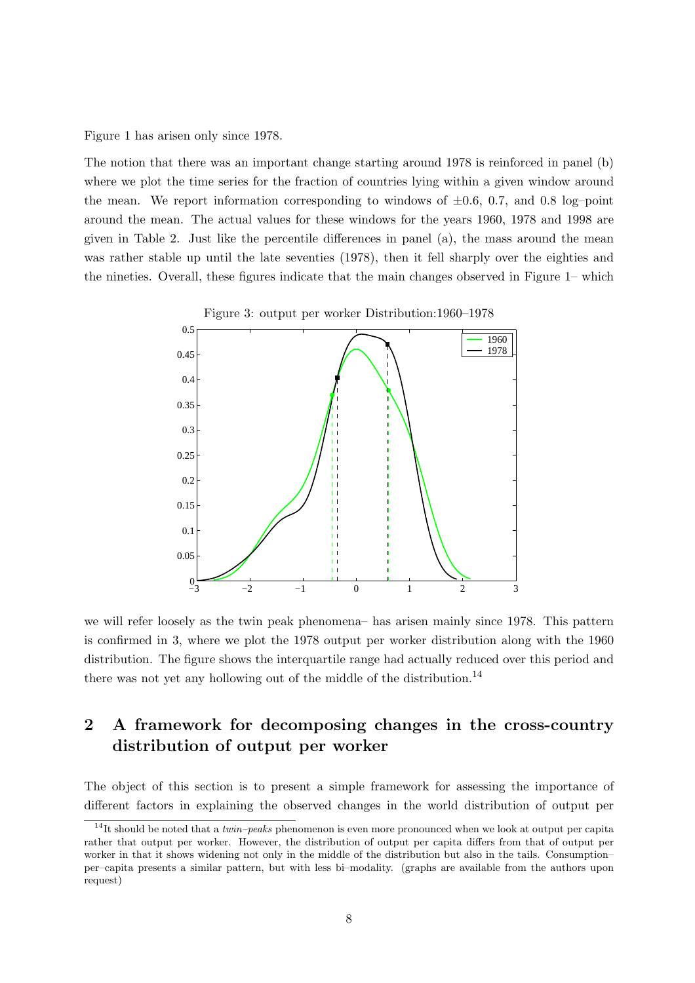Figure 1 has arisen only since 1978.

The notion that there was an important change starting around 1978 is reinforced in panel (b) where we plot the time series for the fraction of countries lying within a given window around the mean. We report information corresponding to windows of  $\pm 0.6$ , 0.7, and 0.8 log–point around the mean. The actual values for these windows for the years 1960, 1978 and 1998 are given in Table 2. Just like the percentile differences in panel (a), the mass around the mean was rather stable up until the late seventies (1978), then it fell sharply over the eighties and the nineties. Overall, these figures indicate that the main changes observed in Figure 1– which



Figure 3: output per worker Distribution:1960–1978

we will refer loosely as the twin peak phenomena– has arisen mainly since 1978. This pattern is confirmed in 3, where we plot the 1978 output per worker distribution along with the 1960 distribution. The figure shows the interquartile range had actually reduced over this period and there was not yet any hollowing out of the middle of the distribution.<sup>14</sup>

# 2 A framework for decomposing changes in the cross-country distribution of output per worker

The object of this section is to present a simple framework for assessing the importance of different factors in explaining the observed changes in the world distribution of output per

<sup>&</sup>lt;sup>14</sup>It should be noted that a *twin–peaks* phenomenon is even more pronounced when we look at output per capita rather that output per worker. However, the distribution of output per capita differs from that of output per worker in that it shows widening not only in the middle of the distribution but also in the tails. Consumption– per–capita presents a similar pattern, but with less bi–modality. (graphs are available from the authors upon request)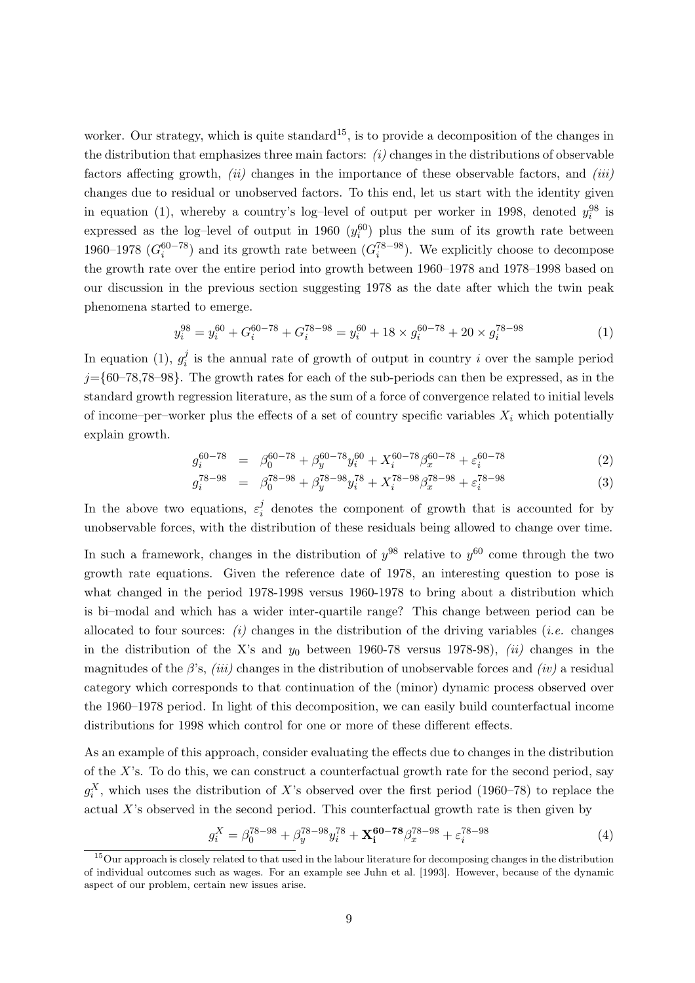worker. Our strategy, which is quite standard<sup>15</sup>, is to provide a decomposition of the changes in the distribution that emphasizes three main factors:  $(i)$  changes in the distributions of observable factors affecting growth,  $(ii)$  changes in the importance of these observable factors, and  $(iii)$ changes due to residual or unobserved factors. To this end, let us start with the identity given in equation (1), whereby a country's log-level of output per worker in 1998, denoted  $y_i^{98}$  is expressed as the log-level of output in 1960  $(y_i^{60})$  plus the sum of its growth rate between 1960–1978  $(G_i^{60-78})$  and its growth rate between  $(G_i^{78-98})$ . We explicitly choose to decompose the growth rate over the entire period into growth between 1960–1978 and 1978–1998 based on our discussion in the previous section suggesting 1978 as the date after which the twin peak phenomena started to emerge.

$$
y_i^{98} = y_i^{60} + G_i^{60-78} + G_i^{78-98} = y_i^{60} + 18 \times g_i^{60-78} + 20 \times g_i^{78-98}
$$
 (1)

In equation (1),  $g_i^j$  $i<sub>i</sub>$  is the annual rate of growth of output in country i over the sample period  $j=\{60-78,78-98\}$ . The growth rates for each of the sub-periods can then be expressed, as in the standard growth regression literature, as the sum of a force of convergence related to initial levels of income–per–worker plus the effects of a set of country specific variables  $X_i$  which potentially explain growth.

$$
g_i^{60-78} = \beta_0^{60-78} + \beta_y^{60-78} y_i^{60} + X_i^{60-78} \beta_x^{60-78} + \varepsilon_i^{60-78}
$$
 (2)

$$
g_i^{78-98} = \beta_0^{78-98} + \beta_y^{78-98} y_i^{78} + X_i^{78-98} \beta_x^{78-98} + \varepsilon_i^{78-98} \tag{3}
$$

In the above two equations,  $\varepsilon_i^j$  $\sigma_i^j$  denotes the component of growth that is accounted for by unobservable forces, with the distribution of these residuals being allowed to change over time.

In such a framework, changes in the distribution of  $y^{98}$  relative to  $y^{60}$  come through the two growth rate equations. Given the reference date of 1978, an interesting question to pose is what changed in the period 1978-1998 versus 1960-1978 to bring about a distribution which is bi–modal and which has a wider inter-quartile range? This change between period can be allocated to four sources: (i) changes in the distribution of the driving variables (i.e. changes in the distribution of the X's and  $y_0$  between 1960-78 versus 1978-98), *(ii)* changes in the magnitudes of the  $\beta$ 's, (iii) changes in the distribution of unobservable forces and (iv) a residual category which corresponds to that continuation of the (minor) dynamic process observed over the 1960–1978 period. In light of this decomposition, we can easily build counterfactual income distributions for 1998 which control for one or more of these different effects.

As an example of this approach, consider evaluating the effects due to changes in the distribution of the  $X$ 's. To do this, we can construct a counterfactual growth rate for the second period, say  $g_i^X$ , which uses the distribution of X's observed over the first period (1960–78) to replace the actual X's observed in the second period. This counterfactual growth rate is then given by

$$
g_i^X = \beta_0^{78-98} + \beta_y^{78-98} y_i^{78} + \mathbf{X}_i^{60-78} \beta_x^{78-98} + \varepsilon_i^{78-98}
$$
 (4)

<sup>&</sup>lt;sup>15</sup>Our approach is closely related to that used in the labour literature for decomposing changes in the distribution of individual outcomes such as wages. For an example see Juhn et al. [1993]. However, because of the dynamic aspect of our problem, certain new issues arise.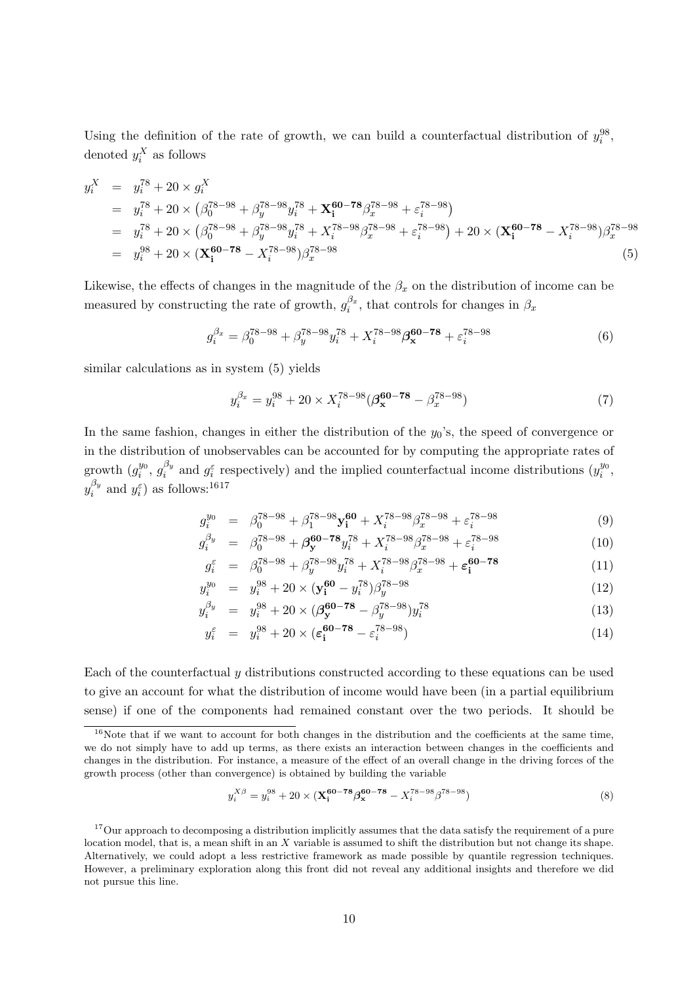Using the definition of the rate of growth, we can build a counterfactual distribution of  $y_i^{98}$ , denoted  $y_i^X$  as follows

$$
y_i^X = y_i^{78} + 20 \times g_i^X
$$
  
\n
$$
= y_i^{78} + 20 \times (\beta_0^{78-98} + \beta_y^{78-98}y_i^{78} + \mathbf{X}_i^{60-78}\beta_x^{78-98} + \varepsilon_i^{78-98})
$$
  
\n
$$
= y_i^{78} + 20 \times (\beta_0^{78-98} + \beta_y^{78-98}y_i^{78} + X_i^{78-98}\beta_x^{78-98} + \varepsilon_i^{78-98}) + 20 \times (\mathbf{X}_i^{60-78} - X_i^{78-98})\beta_x^{78-98}
$$
  
\n
$$
= y_i^{98} + 20 \times (\mathbf{X}_i^{60-78} - X_i^{78-98})\beta_x^{78-98}
$$
  
\n(5)

Likewise, the effects of changes in the magnitude of the  $\beta_x$  on the distribution of income can be measured by constructing the rate of growth,  $g_i^{\beta_x}$  $i^{\beta_x}$ , that controls for changes in  $\beta_x$ 

$$
g_i^{\beta_x} = \beta_0^{78-98} + \beta_y^{78-98} y_i^{78} + X_i^{78-98} \beta_x^{60-78} + \varepsilon_i^{78-98} \tag{6}
$$

similar calculations as in system (5) yields

$$
y_i^{\beta_x} = y_i^{98} + 20 \times X_i^{78-98} (\beta_{\mathbf{x}}^{60-78} - \beta_x^{78-98})
$$
 (7)

In the same fashion, changes in either the distribution of the  $y_0$ 's, the speed of convergence or in the distribution of unobservables can be accounted for by computing the appropriate rates of growth  $(g_i^{y_0})$  $_{i}^{y_{0}},\,g_{i}^{\beta_{y}}$  $i_j^{\beta_y}$  and  $g_i^{\varepsilon}$  respectively) and the implied counterfactual income distributions  $(y_i^{y_0})$  $\frac{y_0}{i}$ ,  $y_i^{\beta_y}$  $i_j^{\beta_y}$  and  $y_i^{\varepsilon}$  as follows: <sup>1617</sup>

$$
g_i^{y_0} = \beta_0^{78-98} + \beta_1^{78-98} \mathbf{y}_i^{60} + X_i^{78-98} \beta_x^{78-98} + \varepsilon_i^{78-98} \tag{9}
$$

$$
g_i^{\beta_y} = \beta_0^{78-98} + \beta_{\mathbf{y}}^{60-78} y_i^{78} + X_i^{78-98} \beta_x^{78-98} + \varepsilon_i^{78-98} \tag{10}
$$

$$
g_i^{\varepsilon} = \beta_0^{78-98} + \beta_y^{78-98} y_i^{78} + X_i^{78-98} \beta_x^{78-98} + \varepsilon_1^{60-78}
$$
 (11)

$$
y_i^{y_0} = y_i^{98} + 20 \times (\mathbf{y_i^{60}} - y_i^{78}) \beta_y^{78 - 98}
$$
 (12)

$$
y_i^{\beta_y} = y_i^{98} + 20 \times (\beta_{\mathbf{y}}^{60-78} - \beta_{\mathbf{y}}^{78-98}) y_i^{78}
$$
 (13)

$$
y_i^{\varepsilon} = y_i^{98} + 20 \times (\varepsilon_i^{60-78} - \varepsilon_i^{78-98}) \tag{14}
$$

Each of the counterfactual y distributions constructed according to these equations can be used to give an account for what the distribution of income would have been (in a partial equilibrium sense) if one of the components had remained constant over the two periods. It should be

$$
y_i^{X\beta} = y_i^{98} + 20 \times (\mathbf{X}_i^{60 - 78} \beta_x^{60 - 78} - X_i^{78 - 98} \beta^{78 - 98})
$$
 (8)

 $16$ Note that if we want to account for both changes in the distribution and the coefficients at the same time, we do not simply have to add up terms, as there exists an interaction between changes in the coefficients and changes in the distribution. For instance, a measure of the effect of an overall change in the driving forces of the growth process (other than convergence) is obtained by building the variable

<sup>&</sup>lt;sup>17</sup>Our approach to decomposing a distribution implicitly assumes that the data satisfy the requirement of a pure location model, that is, a mean shift in an  $X$  variable is assumed to shift the distribution but not change its shape. Alternatively, we could adopt a less restrictive framework as made possible by quantile regression techniques. However, a preliminary exploration along this front did not reveal any additional insights and therefore we did not pursue this line.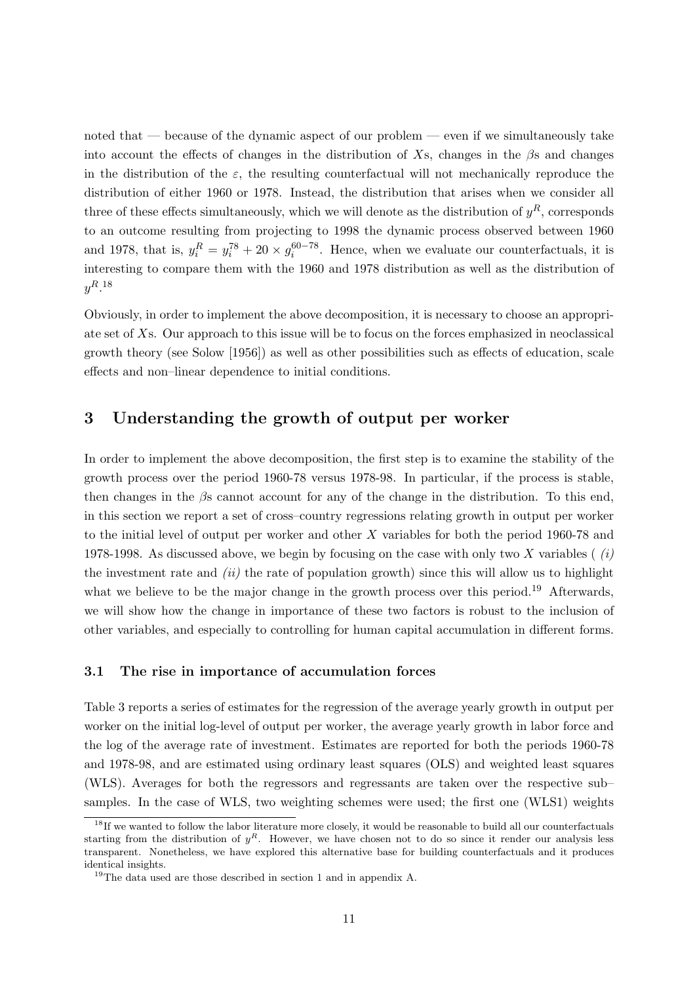noted that  $-$  because of the dynamic aspect of our problem  $-$  even if we simultaneously take into account the effects of changes in the distribution of Xs, changes in the  $\beta$ s and changes in the distribution of the  $\varepsilon$ , the resulting counterfactual will not mechanically reproduce the distribution of either 1960 or 1978. Instead, the distribution that arises when we consider all three of these effects simultaneously, which we will denote as the distribution of  $y<sup>R</sup>$ , corresponds to an outcome resulting from projecting to 1998 the dynamic process observed between 1960 and 1978, that is,  $y_i^R = y_i^{78} + 20 \times g_i^{60-78}$ . Hence, when we evaluate our counterfactuals, it is interesting to compare them with the 1960 and 1978 distribution as well as the distribution of  $y^R.$ <sup>18</sup>

Obviously, in order to implement the above decomposition, it is necessary to choose an appropriate set of Xs. Our approach to this issue will be to focus on the forces emphasized in neoclassical growth theory (see Solow [1956]) as well as other possibilities such as effects of education, scale effects and non–linear dependence to initial conditions.

### 3 Understanding the growth of output per worker

In order to implement the above decomposition, the first step is to examine the stability of the growth process over the period 1960-78 versus 1978-98. In particular, if the process is stable, then changes in the  $\beta$ s cannot account for any of the change in the distribution. To this end, in this section we report a set of cross–country regressions relating growth in output per worker to the initial level of output per worker and other X variables for both the period 1960-78 and 1978-1998. As discussed above, we begin by focusing on the case with only two X variables ( $(i)$ ) the investment rate and  $(ii)$  the rate of population growth) since this will allow us to highlight what we believe to be the major change in the growth process over this period.<sup>19</sup> Afterwards, we will show how the change in importance of these two factors is robust to the inclusion of other variables, and especially to controlling for human capital accumulation in different forms.

#### 3.1 The rise in importance of accumulation forces

Table 3 reports a series of estimates for the regression of the average yearly growth in output per worker on the initial log-level of output per worker, the average yearly growth in labor force and the log of the average rate of investment. Estimates are reported for both the periods 1960-78 and 1978-98, and are estimated using ordinary least squares (OLS) and weighted least squares (WLS). Averages for both the regressors and regressants are taken over the respective sub– samples. In the case of WLS, two weighting schemes were used; the first one (WLS1) weights

 $18$ If we wanted to follow the labor literature more closely, it would be reasonable to build all our counterfactuals starting from the distribution of  $y^R$ . However, we have chosen not to do so since it render our analysis less transparent. Nonetheless, we have explored this alternative base for building counterfactuals and it produces identical insights.

 $^{19}{\rm The}$  data used are those described in section 1 and in appendix A.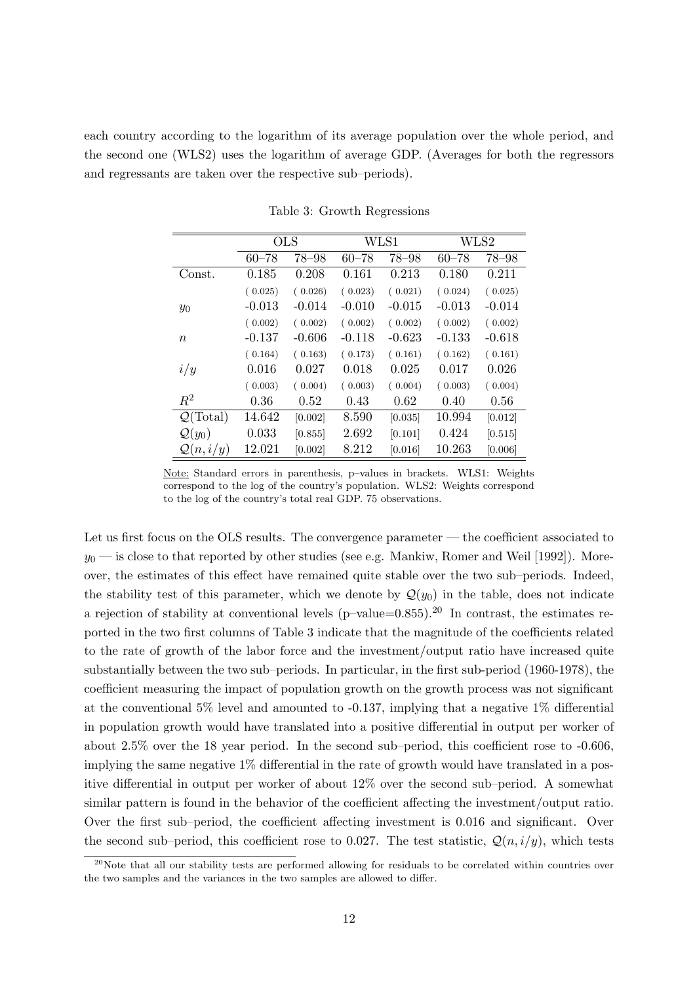each country according to the logarithm of its average population over the whole period, and the second one (WLS2) uses the logarithm of average GDP. (Averages for both the regressors and regressants are taken over the respective sub–periods).

|                             | <b>OLS</b> |           |           | WLS1      |           | WLS2      |
|-----------------------------|------------|-----------|-----------|-----------|-----------|-----------|
|                             | $60 - 78$  | $78 - 98$ | $60 - 78$ | $78 - 98$ | $60 - 78$ | $78 - 98$ |
| Const.                      | 0.185      | 0.208     | 0.161     | 0.213     | 0.180     | 0.211     |
|                             | (0.025)    | (0.026)   | (0.023)   | (0.021)   | (0.024)   | (0.025)   |
| $y_0$                       | $-0.013$   | $-0.014$  | $-0.010$  | $-0.015$  | $-0.013$  | $-0.014$  |
|                             | (0.002)    | (0.002)   | (0.002)   | (0.002)   | (0.002)   | (0.002)   |
| $\boldsymbol{n}$            | $-0.137$   | $-0.606$  | $-0.118$  | $-0.623$  | $-0.133$  | $-0.618$  |
|                             | (0.164)    | (0.163)   | (0.173)   | (0.161)   | (0.162)   | (0.161)   |
| i/y                         | 0.016      | 0.027     | 0.018     | 0.025     | 0.017     | 0.026     |
|                             | (0.003)    | (0.004)   | (0.003)   | (0.004)   | (0.003)   | (0.004)   |
| $R^2$                       | 0.36       | 0.52      | 0.43      | 0.62      | 0.40      | 0.56      |
| $\mathcal{Q}(\text{Total})$ | 14.642     | [0.002]   | 8.590     | [0.035]   | 10.994    | [0.012]   |
| $\mathcal{Q}(y_0)$          | 0.033      | [0.855]   | 2.692     | [0.101]   | 0.424     | [0.515]   |
| $\mathcal{Q}(n,i/y)$        | 12.021     | [0.002]   | 8.212     | [0.016]   | 10.263    | [0.006]   |

Table 3: Growth Regressions

Note: Standard errors in parenthesis, p–values in brackets. WLS1: Weights correspond to the log of the country's population. WLS2: Weights correspond to the log of the country's total real GDP. 75 observations.

Let us first focus on the OLS results. The convergence parameter — the coefficient associated to  $y_0$  — is close to that reported by other studies (see e.g. Mankiw, Romer and Weil [1992]). Moreover, the estimates of this effect have remained quite stable over the two sub–periods. Indeed, the stability test of this parameter, which we denote by  $\mathcal{Q}(y_0)$  in the table, does not indicate a rejection of stability at conventional levels  $(p-value=0.855)$ .<sup>20</sup> In contrast, the estimates reported in the two first columns of Table 3 indicate that the magnitude of the coefficients related to the rate of growth of the labor force and the investment/output ratio have increased quite substantially between the two sub–periods. In particular, in the first sub-period (1960-1978), the coefficient measuring the impact of population growth on the growth process was not significant at the conventional  $5\%$  level and amounted to  $-0.137$ , implying that a negative  $1\%$  differential in population growth would have translated into a positive differential in output per worker of about 2.5% over the 18 year period. In the second sub–period, this coefficient rose to -0.606, implying the same negative 1% differential in the rate of growth would have translated in a positive differential in output per worker of about 12% over the second sub–period. A somewhat similar pattern is found in the behavior of the coefficient affecting the investment/output ratio. Over the first sub–period, the coefficient affecting investment is 0.016 and significant. Over the second sub–period, this coefficient rose to 0.027. The test statistic,  $\mathcal{Q}(n, i/y)$ , which tests

 $^{20}$ Note that all our stability tests are performed allowing for residuals to be correlated within countries over the two samples and the variances in the two samples are allowed to differ.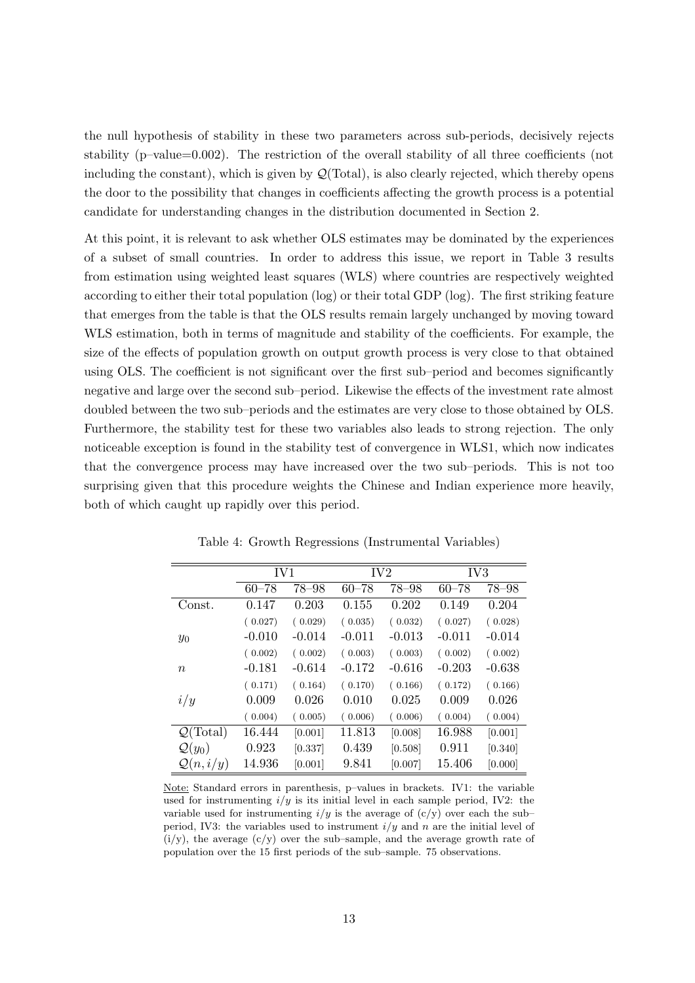the null hypothesis of stability in these two parameters across sub-periods, decisively rejects stability (p–value=0.002). The restriction of the overall stability of all three coefficients (not including the constant), which is given by  $\mathcal{Q}(\text{Total})$ , is also clearly rejected, which thereby opens the door to the possibility that changes in coefficients affecting the growth process is a potential candidate for understanding changes in the distribution documented in Section 2.

At this point, it is relevant to ask whether OLS estimates may be dominated by the experiences of a subset of small countries. In order to address this issue, we report in Table 3 results from estimation using weighted least squares (WLS) where countries are respectively weighted according to either their total population (log) or their total GDP (log). The first striking feature that emerges from the table is that the OLS results remain largely unchanged by moving toward WLS estimation, both in terms of magnitude and stability of the coefficients. For example, the size of the effects of population growth on output growth process is very close to that obtained using OLS. The coefficient is not significant over the first sub–period and becomes significantly negative and large over the second sub–period. Likewise the effects of the investment rate almost doubled between the two sub–periods and the estimates are very close to those obtained by OLS. Furthermore, the stability test for these two variables also leads to strong rejection. The only noticeable exception is found in the stability test of convergence in WLS1, which now indicates that the convergence process may have increased over the two sub–periods. This is not too surprising given that this procedure weights the Chinese and Indian experience more heavily, both of which caught up rapidly over this period.

|                             | IV1       |          |           | IV <sub>2</sub> | IV <sub>3</sub> |           |
|-----------------------------|-----------|----------|-----------|-----------------|-----------------|-----------|
|                             | $60 - 78$ | 78–98    | $60 - 78$ | $78 - 98$       | $60 - 78$       | $78 - 98$ |
| Const.                      | 0.147     | 0.203    | 0.155     | 0.202           | 0.149           | 0.204     |
|                             | (0.027)   | (0.029)  | (0.035)   | (0.032)         | (0.027)         | (0.028)   |
| $y_0$                       | $-0.010$  | $-0.014$ | $-0.011$  | $-0.013$        | $-0.011$        | $-0.014$  |
|                             | (0.002)   | (0.002)  | (0.003)   | (0.003)         | (0.002)         | (0.002)   |
| $\boldsymbol{n}$            | $-0.181$  | $-0.614$ | $-0.172$  | $-0.616$        | $-0.203$        | $-0.638$  |
|                             | (0.171)   | (0.164)  | (0.170)   | (0.166)         | (0.172)         | (0.166)   |
| i/y                         | 0.009     | 0.026    | 0.010     | 0.025           | 0.009           | 0.026     |
|                             | (0.004)   | (0.005)  | (0.006)   | (0.006)         | (0.004)         | (0.004)   |
| $\mathcal{Q}(\text{Total})$ | 16.444    | [0.001]  | 11.813    | [0.008]         | 16.988          | [0.001]   |
| $\mathcal{Q}(y_0)$          | 0.923     | [0.337]  | 0.439     | [0.508]         | 0.911           | [0.340]   |
| $\mathcal{Q}(n,i/y)$        | 14.936    | [0.001]  | 9.841     | [0.007]         | 15.406          | [0.000]   |

Table 4: Growth Regressions (Instrumental Variables)

Note: Standard errors in parenthesis, p–values in brackets. IV1: the variable used for instrumenting  $i/y$  is its initial level in each sample period, IV2: the variable used for instrumenting  $i/y$  is the average of  $(c/y)$  over each the subperiod, IV3: the variables used to instrument  $i/y$  and n are the initial level of  $(i/y)$ , the average  $(c/y)$  over the sub-sample, and the average growth rate of population over the 15 first periods of the sub–sample. 75 observations.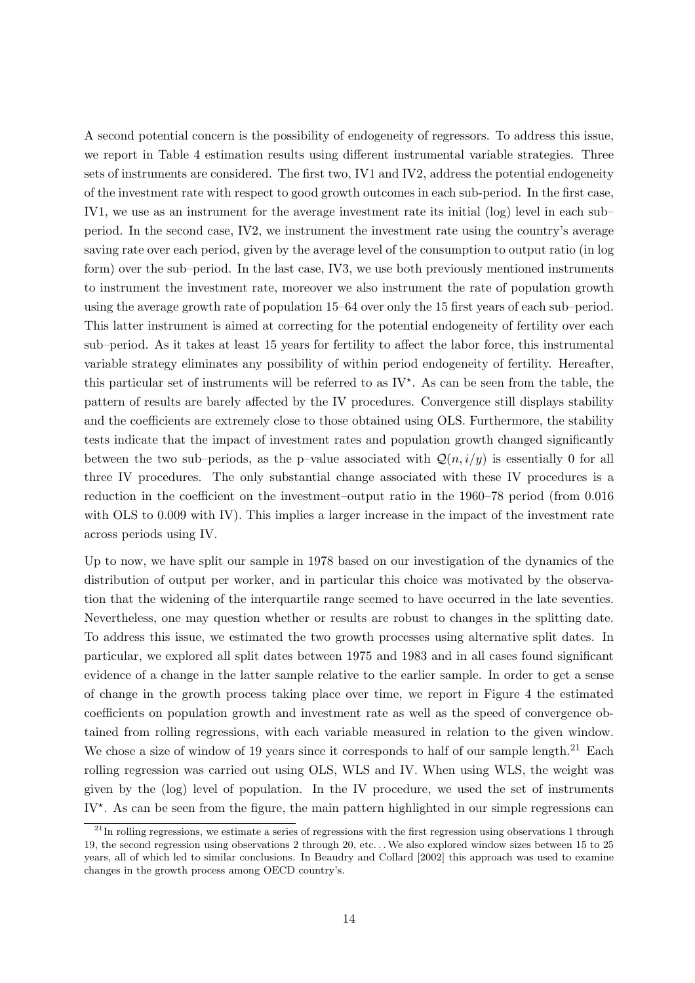A second potential concern is the possibility of endogeneity of regressors. To address this issue, we report in Table 4 estimation results using different instrumental variable strategies. Three sets of instruments are considered. The first two, IV1 and IV2, address the potential endogeneity of the investment rate with respect to good growth outcomes in each sub-period. In the first case, IV1, we use as an instrument for the average investment rate its initial (log) level in each sub– period. In the second case, IV2, we instrument the investment rate using the country's average saving rate over each period, given by the average level of the consumption to output ratio (in log form) over the sub–period. In the last case, IV3, we use both previously mentioned instruments to instrument the investment rate, moreover we also instrument the rate of population growth using the average growth rate of population 15–64 over only the 15 first years of each sub–period. This latter instrument is aimed at correcting for the potential endogeneity of fertility over each sub–period. As it takes at least 15 years for fertility to affect the labor force, this instrumental variable strategy eliminates any possibility of within period endogeneity of fertility. Hereafter, this particular set of instruments will be referred to as  $IV^*$ . As can be seen from the table, the pattern of results are barely affected by the IV procedures. Convergence still displays stability and the coefficients are extremely close to those obtained using OLS. Furthermore, the stability tests indicate that the impact of investment rates and population growth changed significantly between the two sub–periods, as the p–value associated with  $\mathcal{Q}(n, i/y)$  is essentially 0 for all three IV procedures. The only substantial change associated with these IV procedures is a reduction in the coefficient on the investment–output ratio in the 1960–78 period (from 0.016 with OLS to 0.009 with IV). This implies a larger increase in the impact of the investment rate across periods using IV.

Up to now, we have split our sample in 1978 based on our investigation of the dynamics of the distribution of output per worker, and in particular this choice was motivated by the observation that the widening of the interquartile range seemed to have occurred in the late seventies. Nevertheless, one may question whether or results are robust to changes in the splitting date. To address this issue, we estimated the two growth processes using alternative split dates. In particular, we explored all split dates between 1975 and 1983 and in all cases found significant evidence of a change in the latter sample relative to the earlier sample. In order to get a sense of change in the growth process taking place over time, we report in Figure 4 the estimated coefficients on population growth and investment rate as well as the speed of convergence obtained from rolling regressions, with each variable measured in relation to the given window. We chose a size of window of 19 years since it corresponds to half of our sample length.<sup>21</sup> Each rolling regression was carried out using OLS, WLS and IV. When using WLS, the weight was given by the (log) level of population. In the IV procedure, we used the set of instruments IV<sup>\*</sup>. As can be seen from the figure, the main pattern highlighted in our simple regressions can

 $^{21}$ In rolling regressions, we estimate a series of regressions with the first regression using observations 1 through 19, the second regression using observations 2 through 20, etc. . .We also explored window sizes between 15 to 25 years, all of which led to similar conclusions. In Beaudry and Collard [2002] this approach was used to examine changes in the growth process among OECD country's.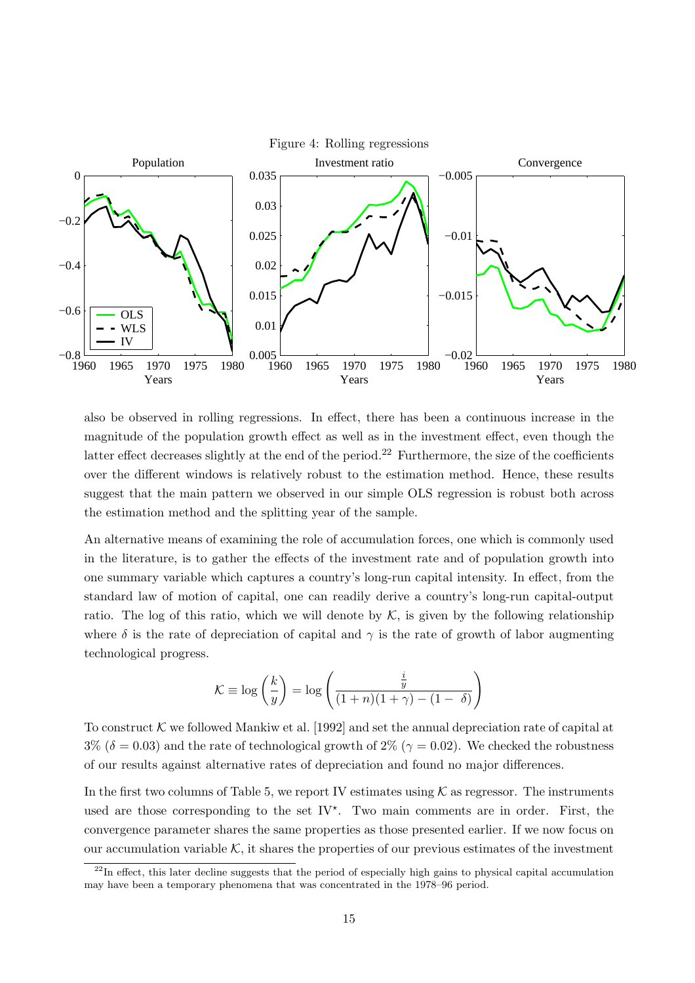

also be observed in rolling regressions. In effect, there has been a continuous increase in the magnitude of the population growth effect as well as in the investment effect, even though the latter effect decreases slightly at the end of the period.<sup>22</sup> Furthermore, the size of the coefficients over the different windows is relatively robust to the estimation method. Hence, these results suggest that the main pattern we observed in our simple OLS regression is robust both across the estimation method and the splitting year of the sample.

An alternative means of examining the role of accumulation forces, one which is commonly used in the literature, is to gather the effects of the investment rate and of population growth into one summary variable which captures a country's long-run capital intensity. In effect, from the standard law of motion of capital, one can readily derive a country's long-run capital-output ratio. The log of this ratio, which we will denote by  $K$ , is given by the following relationship where  $\delta$  is the rate of depreciation of capital and  $\gamma$  is the rate of growth of labor augmenting technological progress.

$$
\mathcal{K} \equiv \log\left(\frac{k}{y}\right) = \log\left(\frac{\frac{i}{y}}{(1+n)(1+\gamma)-(1-\delta)}\right)
$$

To construct  $K$  we followed Mankiw et al. [1992] and set the annual depreciation rate of capital at  $3\%$  ( $\delta = 0.03$ ) and the rate of technological growth of  $2\%$  ( $\gamma = 0.02$ ). We checked the robustness of our results against alternative rates of depreciation and found no major differences.

In the first two columns of Table 5, we report IV estimates using  $K$  as regressor. The instruments used are those corresponding to the set  $\mathrm{IV}^{\star}$ . Two main comments are in order. First, the convergence parameter shares the same properties as those presented earlier. If we now focus on our accumulation variable  $K$ , it shares the properties of our previous estimates of the investment

 $^{22}$ In effect, this later decline suggests that the period of especially high gains to physical capital accumulation may have been a temporary phenomena that was concentrated in the 1978–96 period.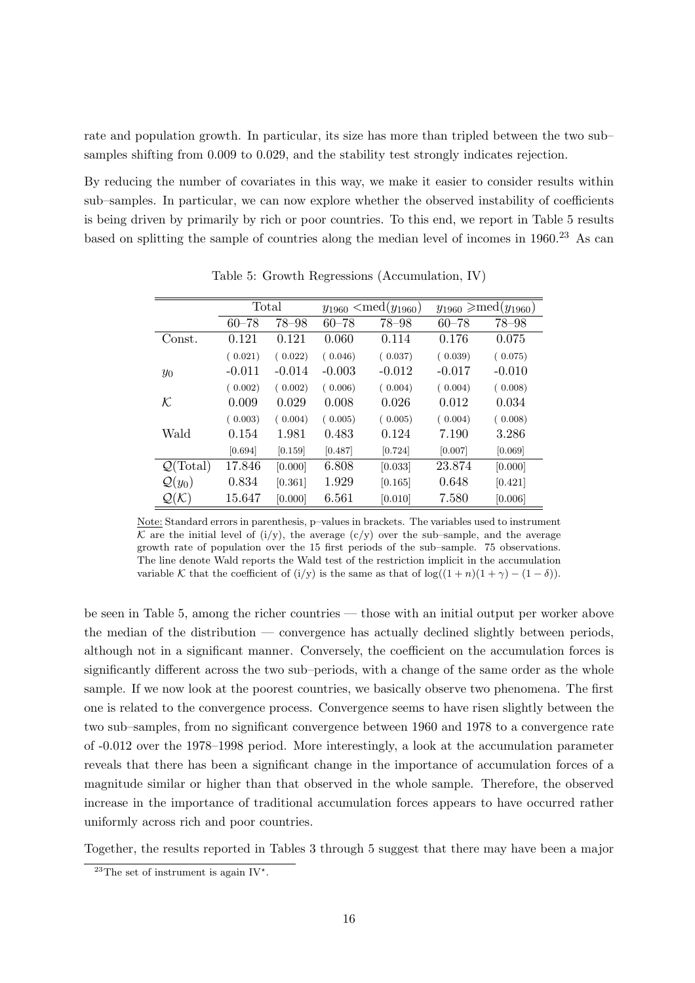rate and population growth. In particular, its size has more than tripled between the two sub– samples shifting from 0.009 to 0.029, and the stability test strongly indicates rejection.

By reducing the number of covariates in this way, we make it easier to consider results within sub–samples. In particular, we can now explore whether the observed instability of coefficients is being driven by primarily by rich or poor countries. To this end, we report in Table 5 results based on splitting the sample of countries along the median level of incomes in  $1960<sup>23</sup>$  As can

|                             | Total     |           |           | $y_{1960} < \text{med}(y_{1960})$ |           | $y_{1960} \geqslant \text{med}(y_{1960})$ |
|-----------------------------|-----------|-----------|-----------|-----------------------------------|-----------|-------------------------------------------|
|                             | $60 - 78$ | $78 - 98$ | $60 - 78$ | 78-98                             | $60 - 78$ | 78-98                                     |
| Const.                      | 0.121     | 0.121     | 0.060     | 0.114                             | 0.176     | 0.075                                     |
|                             | (0.021)   | (0.022)   | (0.046)   | (0.037)                           | (0.039)   | (0.075)                                   |
| $y_0$                       | $-0.011$  | $-0.014$  | $-0.003$  | $-0.012$                          | $-0.017$  | $-0.010$                                  |
|                             | (0.002)   | (0.002)   | (0.006)   | (0.004)                           | (0.004)   | (0.008)                                   |
| ${\cal K}$                  | 0.009     | 0.029     | 0.008     | 0.026                             | 0.012     | 0.034                                     |
|                             | (0.003)   | (0.004)   | (0.005)   | (0.005)                           | (0.004)   | (0.008)                                   |
| Wald                        | 0.154     | 1.981     | 0.483     | 0.124                             | 7.190     | 3.286                                     |
|                             | [0.694]   | [0.159]   | [0.487]   | [0.724]                           | [0.007]   | [0.069]                                   |
| $\mathcal{Q}(\text{Total})$ | 17.846    | [0.000]   | 6.808     | [0.033]                           | 23.874    | [0.000]                                   |
| $\mathcal{Q}(y_0)$          | 0.834     | [0.361]   | 1.929     | [0.165]                           | 0.648     | [0.421]                                   |
| $\mathcal{Q}(\mathcal{K})$  | 15.647    | [0.000]   | 6.561     | [0.010]                           | 7.580     | [0.006]                                   |

Table 5: Growth Regressions (Accumulation, IV)

Note: Standard errors in parenthesis, p–values in brackets. The variables used to instrument K are the initial level of  $(i/y)$ , the average  $(c/y)$  over the sub–sample, and the average growth rate of population over the 15 first periods of the sub–sample. 75 observations. The line denote Wald reports the Wald test of the restriction implicit in the accumulation variable K that the coefficient of (i/y) is the same as that of  $\log((1+n)(1+\gamma)-(1-\delta))$ .

be seen in Table 5, among the richer countries — those with an initial output per worker above the median of the distribution — convergence has actually declined slightly between periods, although not in a significant manner. Conversely, the coefficient on the accumulation forces is significantly different across the two sub–periods, with a change of the same order as the whole sample. If we now look at the poorest countries, we basically observe two phenomena. The first one is related to the convergence process. Convergence seems to have risen slightly between the two sub–samples, from no significant convergence between 1960 and 1978 to a convergence rate of -0.012 over the 1978–1998 period. More interestingly, a look at the accumulation parameter reveals that there has been a significant change in the importance of accumulation forces of a magnitude similar or higher than that observed in the whole sample. Therefore, the observed increase in the importance of traditional accumulation forces appears to have occurred rather uniformly across rich and poor countries.

Together, the results reported in Tables 3 through 5 suggest that there may have been a major

<sup>&</sup>lt;sup>23</sup>The set of instrument is again  $IV^*$ .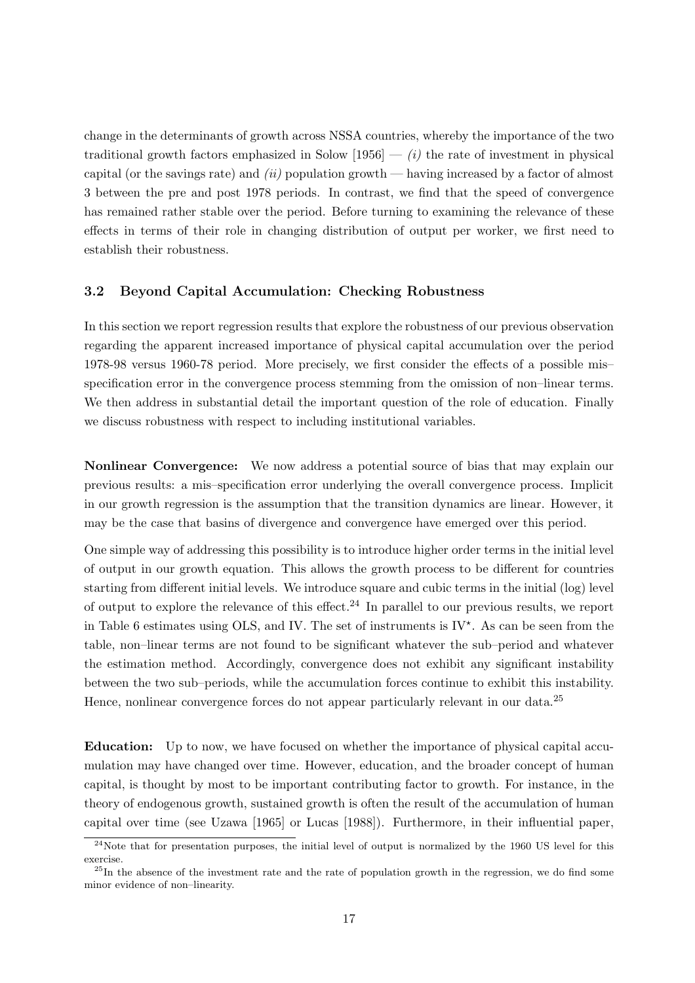change in the determinants of growth across NSSA countries, whereby the importance of the two traditional growth factors emphasized in Solow  $[1956] - (i)$  the rate of investment in physical capital (or the savings rate) and  $(ii)$  population growth — having increased by a factor of almost 3 between the pre and post 1978 periods. In contrast, we find that the speed of convergence has remained rather stable over the period. Before turning to examining the relevance of these effects in terms of their role in changing distribution of output per worker, we first need to establish their robustness.

#### 3.2 Beyond Capital Accumulation: Checking Robustness

In this section we report regression results that explore the robustness of our previous observation regarding the apparent increased importance of physical capital accumulation over the period 1978-98 versus 1960-78 period. More precisely, we first consider the effects of a possible mis– specification error in the convergence process stemming from the omission of non–linear terms. We then address in substantial detail the important question of the role of education. Finally we discuss robustness with respect to including institutional variables.

Nonlinear Convergence: We now address a potential source of bias that may explain our previous results: a mis–specification error underlying the overall convergence process. Implicit in our growth regression is the assumption that the transition dynamics are linear. However, it may be the case that basins of divergence and convergence have emerged over this period.

One simple way of addressing this possibility is to introduce higher order terms in the initial level of output in our growth equation. This allows the growth process to be different for countries starting from different initial levels. We introduce square and cubic terms in the initial (log) level of output to explore the relevance of this effect.<sup>24</sup> In parallel to our previous results, we report in Table 6 estimates using OLS, and IV. The set of instruments is  $IV^*$ . As can be seen from the table, non–linear terms are not found to be significant whatever the sub–period and whatever the estimation method. Accordingly, convergence does not exhibit any significant instability between the two sub–periods, while the accumulation forces continue to exhibit this instability. Hence, nonlinear convergence forces do not appear particularly relevant in our data.<sup>25</sup>

Education: Up to now, we have focused on whether the importance of physical capital accumulation may have changed over time. However, education, and the broader concept of human capital, is thought by most to be important contributing factor to growth. For instance, in the theory of endogenous growth, sustained growth is often the result of the accumulation of human capital over time (see Uzawa [1965] or Lucas [1988]). Furthermore, in their influential paper,

 $^{24}$ Note that for presentation purposes, the initial level of output is normalized by the 1960 US level for this exercise.

<sup>&</sup>lt;sup>25</sup>In the absence of the investment rate and the rate of population growth in the regression, we do find some minor evidence of non–linearity.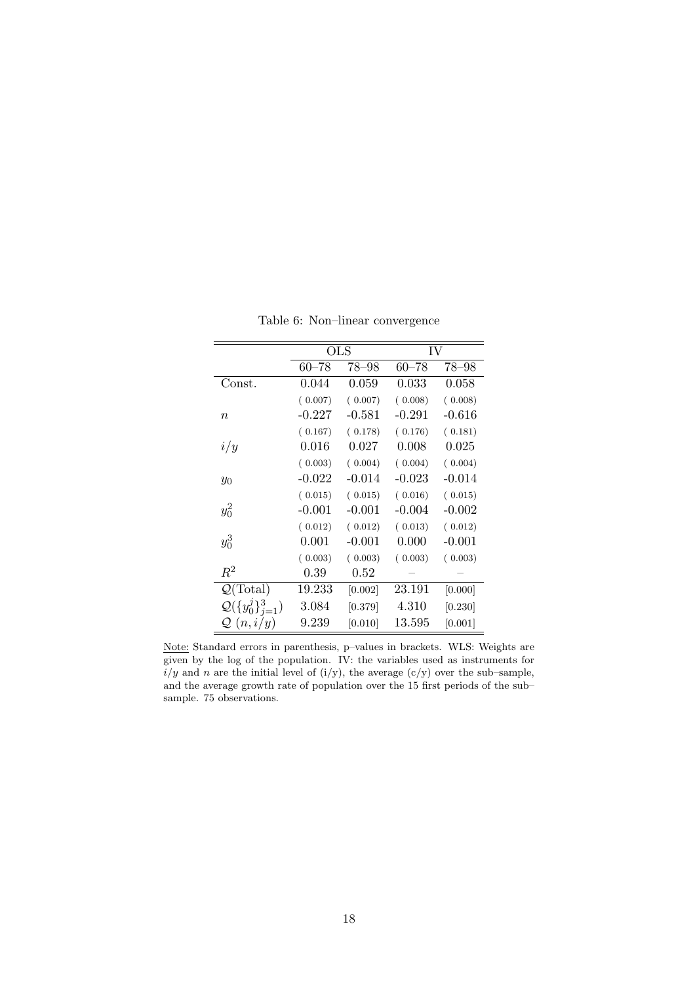|                                  | OLS       |             | IV        |           |
|----------------------------------|-----------|-------------|-----------|-----------|
|                                  | $60 - 78$ | 78–98       | $60 - 78$ | $78 - 98$ |
| Const.                           | 0.044     | $\,0.059\,$ | 0.033     | 0.058     |
|                                  | (0.007)   | (0.007)     | (0.008)   | (0.008)   |
| $\it n$                          | $-0.227$  | -0.581      | -0.291    | $-0.616$  |
|                                  | (0.167)   | (0.178)     | (0.176)   | (0.181)   |
| i/y                              | $0.016\,$ | 0.027       | 0.008     | 0.025     |
|                                  | (0.003)   | (0.004)     | (0.004)   | (0.004)   |
| $y_0$                            | $-0.022$  | $-0.014$    | $-0.023$  | -0.014    |
|                                  | (0.015)   | (0.015)     | (0.016)   | (0.015)   |
| $y_0^2$                          | $-0.001$  | $-0.001$    | $-0.004$  | $-0.002$  |
|                                  | (0.012)   | (0.012)     | (0.013)   | (0.012)   |
| $y_0^3$                          | 0.001     | $-0.001$    | 0.000     | $-0.001$  |
|                                  | (0.003)   | (0.003)     | (0.003)   | (0.003)   |
| $\,R^2$                          | 0.39      | $\rm 0.52$  |           |           |
| $\mathcal{Q}(\text{Total})$      | 19.233    | [0.002]     | 23.191    | [0.000]   |
| $\mathcal{Q}(\{y_0^j\}_{j=1}^3)$ | 3.084     | [0.379]     | 4.310     | [0.230]   |
| $\mathcal{Q}(n,i/y)$             | 9.239     | [0.010]     | 13.595    | [0.001]   |

Table 6: Non–linear convergence

Note: Standard errors in parenthesis, p–values in brackets. WLS: Weights are given by the log of the population. IV: the variables used as instruments for  $i/y$  and n are the initial level of (i/y), the average (c/y) over the sub-sample, and the average growth rate of population over the 15 first periods of the sub– sample. 75 observations.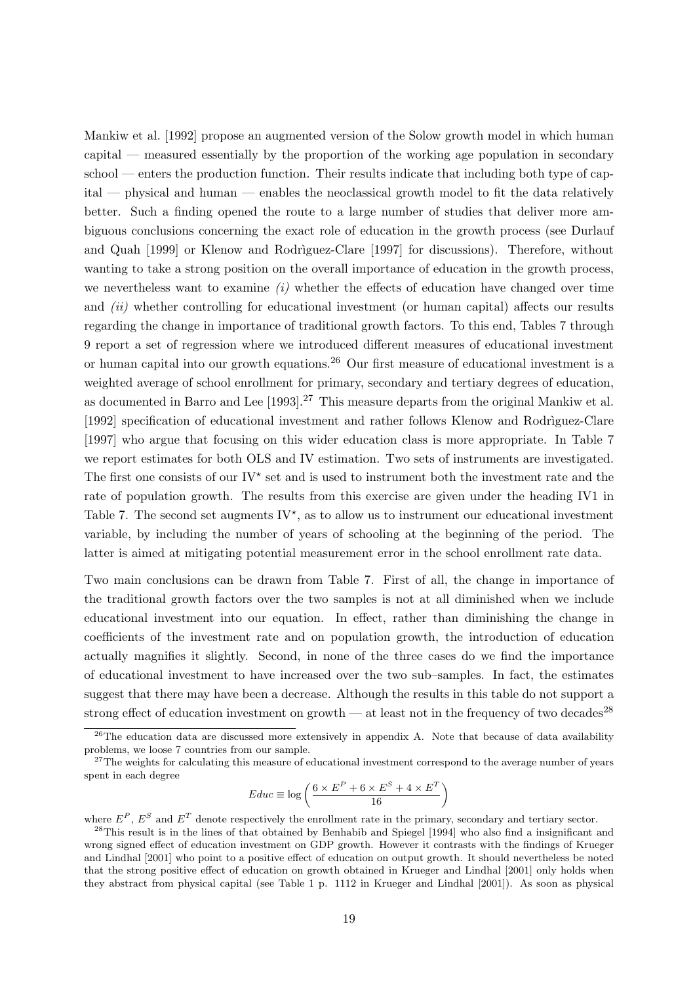Mankiw et al. [1992] propose an augmented version of the Solow growth model in which human capital — measured essentially by the proportion of the working age population in secondary  $\text{school}$  — enters the production function. Their results indicate that including both type of capital — physical and human — enables the neoclassical growth model to fit the data relatively better. Such a finding opened the route to a large number of studies that deliver more ambiguous conclusions concerning the exact role of education in the growth process (see Durlauf and Quah [1999] or Klenow and Rodriguez-Clare [1997] for discussions). Therefore, without wanting to take a strong position on the overall importance of education in the growth process, we nevertheless want to examine  $(i)$  whether the effects of education have changed over time and *(ii)* whether controlling for educational investment (or human capital) affects our results regarding the change in importance of traditional growth factors. To this end, Tables 7 through 9 report a set of regression where we introduced different measures of educational investment or human capital into our growth equations.<sup>26</sup> Our first measure of educational investment is a weighted average of school enrollment for primary, secondary and tertiary degrees of education, as documented in Barro and Lee [1993].<sup>27</sup> This measure departs from the original Mankiw et al. [1992] specification of educational investment and rather follows Klenow and Rodriguez-Clare [1997] who argue that focusing on this wider education class is more appropriate. In Table 7 we report estimates for both OLS and IV estimation. Two sets of instruments are investigated. The first one consists of our  $IV^*$  set and is used to instrument both the investment rate and the rate of population growth. The results from this exercise are given under the heading IV1 in Table 7. The second set augments  $IV^*$ , as to allow us to instrument our educational investment variable, by including the number of years of schooling at the beginning of the period. The latter is aimed at mitigating potential measurement error in the school enrollment rate data.

Two main conclusions can be drawn from Table 7. First of all, the change in importance of the traditional growth factors over the two samples is not at all diminished when we include educational investment into our equation. In effect, rather than diminishing the change in coefficients of the investment rate and on population growth, the introduction of education actually magnifies it slightly. Second, in none of the three cases do we find the importance of educational investment to have increased over the two sub–samples. In fact, the estimates suggest that there may have been a decrease. Although the results in this table do not support a strong effect of education investment on growth — at least not in the frequency of two decades<sup>28</sup>

$$
Educ \equiv \log\left(\frac{6 \times E^{P} + 6 \times E^{S} + 4 \times E^{T}}{16}\right)
$$

where  $E^P$ ,  $E^S$  and  $E^T$  denote respectively the enrollment rate in the primary, secondary and tertiary sector.

<sup>&</sup>lt;sup>26</sup>The education data are discussed more extensively in appendix A. Note that because of data availability problems, we loose 7 countries from our sample.

<sup>&</sup>lt;sup>27</sup>The weights for calculating this measure of educational investment correspond to the average number of years spent in each degree

 $^{28}$ This result is in the lines of that obtained by Benhabib and Spiegel [1994] who also find a insignificant and wrong signed effect of education investment on GDP growth. However it contrasts with the findings of Krueger and Lindhal [2001] who point to a positive effect of education on output growth. It should nevertheless be noted that the strong positive effect of education on growth obtained in Krueger and Lindhal [2001] only holds when they abstract from physical capital (see Table 1 p. 1112 in Krueger and Lindhal [2001]). As soon as physical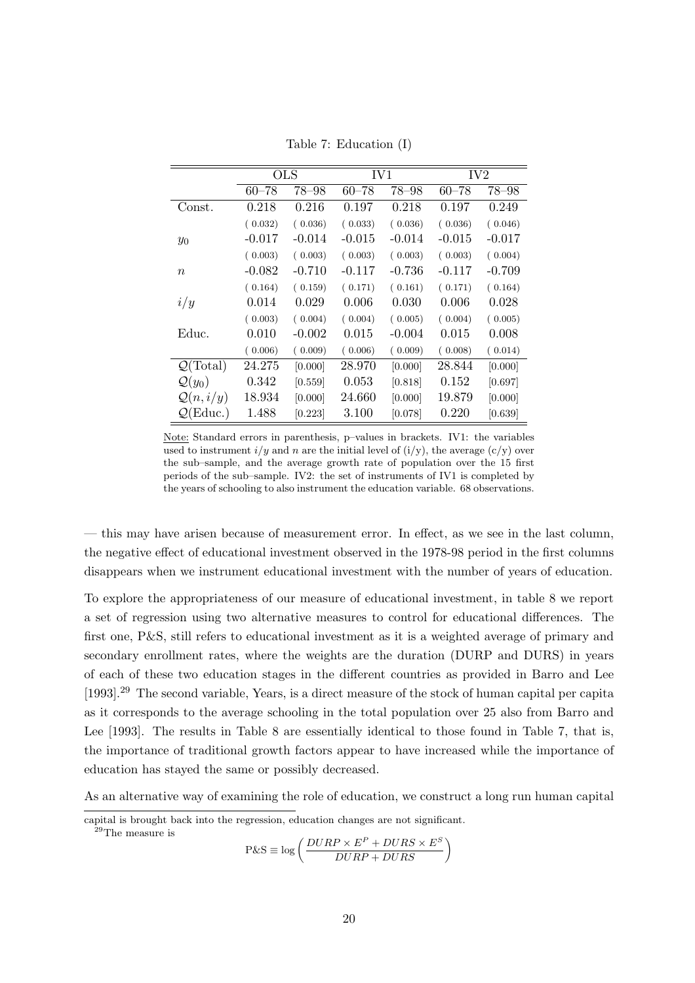|                             | <b>OLS</b> |           | IV1       |           | IV <sub>2</sub> |          |
|-----------------------------|------------|-----------|-----------|-----------|-----------------|----------|
|                             | $60 - 78$  | $78 - 98$ | $60 - 78$ | $78 - 98$ | $60 - 78$       | 78–98    |
| Const.                      | 0.218      | 0.216     | 0.197     | 0.218     | 0.197           | 0.249    |
|                             | (0.032)    | (0.036)   | (0.033)   | (0.036)   | (0.036)         | (0.046)  |
| $y_0$                       | $-0.017$   | $-0.014$  | $-0.015$  | -0.014    | $-0.015$        | $-0.017$ |
|                             | (0.003)    | (0.003)   | (0.003)   | (0.003)   | (0.003)         | (0.004)  |
| $\boldsymbol{n}$            | $-0.082$   | $-0.710$  | $-0.117$  | -0.736    | $-0.117$        | $-0.709$ |
|                             | (0.164)    | (0.159)   | (0.171)   | (0.161)   | (0.171)         | (0.164)  |
| i/y                         | 0.014      | 0.029     | 0.006     | 0.030     | 0.006           | 0.028    |
|                             | (0.003)    | (0.004)   | (0.004)   | (0.005)   | (0.004)         | (0.005)  |
| Educ.                       | 0.010      | $-0.002$  | 0.015     | $-0.004$  | 0.015           | 0.008    |
|                             | (0.006)    | (0.009)   | (0.006)   | (0.009)   | (0.008)         | (0.014)  |
| $\mathcal{Q}(\text{Total})$ | 24.275     | [0.000]   | 28.970    | [0.000]   | 28.844          | [0.000]  |
| $\mathcal{Q}(y_0)$          | 0.342      | [0.559]   | 0.053     | [0.818]   | 0.152           | [0.697]  |
| $\mathcal{Q}(n,i/y)$        | 18.934     | [0.000]   | 24.660    | [0.000]   | 19.879          | [0.000]  |
| $\mathcal{Q}(\text{Educ.})$ | 1.488      | [0.223]   | 3.100     | [0.078]   | 0.220           | [0.639]  |

Table 7: Education (I)

Note: Standard errors in parenthesis, p–values in brackets. IV1: the variables used to instrument  $i/y$  and n are the initial level of  $(i/y)$ , the average  $(c/y)$  over the sub–sample, and the average growth rate of population over the 15 first periods of the sub–sample. IV2: the set of instruments of IV1 is completed by the years of schooling to also instrument the education variable. 68 observations.

— this may have arisen because of measurement error. In effect, as we see in the last column, the negative effect of educational investment observed in the 1978-98 period in the first columns disappears when we instrument educational investment with the number of years of education.

To explore the appropriateness of our measure of educational investment, in table 8 we report a set of regression using two alternative measures to control for educational differences. The first one, P&S, still refers to educational investment as it is a weighted average of primary and secondary enrollment rates, where the weights are the duration (DURP and DURS) in years of each of these two education stages in the different countries as provided in Barro and Lee [1993].<sup>29</sup> The second variable, Years, is a direct measure of the stock of human capital per capita as it corresponds to the average schooling in the total population over 25 also from Barro and Lee [1993]. The results in Table 8 are essentially identical to those found in Table 7, that is, the importance of traditional growth factors appear to have increased while the importance of education has stayed the same or possibly decreased.

As an alternative way of examining the role of education, we construct a long run human capital

$$
P\&S \equiv \log\left(\frac{DURP \times E^{P} + DURS \times E^{S}}{DURP + DURS}\right)
$$

capital is brought back into the regression, education changes are not significant.

<sup>&</sup>lt;sup>29</sup>The measure is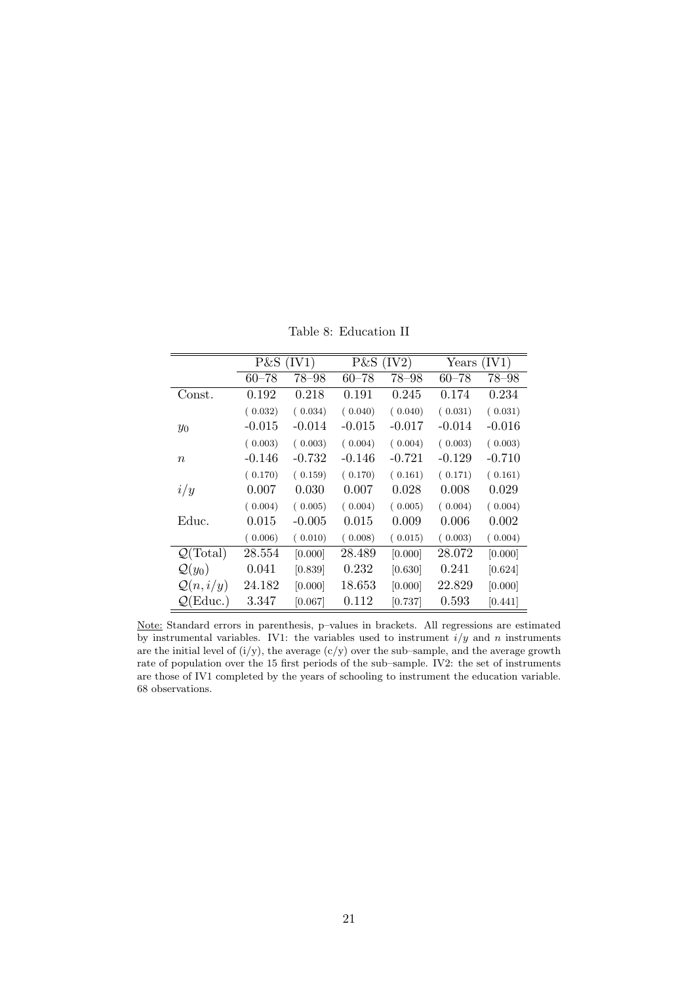Table 8: Education II

|                             | $P\&S$ (IV1) |          | $P\&S$ (IV2) |          | Years     | (IV1)     |
|-----------------------------|--------------|----------|--------------|----------|-----------|-----------|
|                             | $60 - 78$    | 78-98    | $60 - 78$    | 78-98    | $60 - 78$ | $78 - 98$ |
| Const.                      | 0.192        | 0.218    | 0.191        | 0.245    | 0.174     | 0.234     |
|                             | (0.032)      | (0.034)  | (0.040)      | (0.040)  | (0.031)   | (0.031)   |
| $y_0$                       | $-0.015$     | $-0.014$ | $-0.015$     | $-0.017$ | $-0.014$  | $-0.016$  |
|                             | (0.003)      | (0.003)  | (0.004)      | (0.004)  | (0.003)   | (0.003)   |
| $\boldsymbol{n}$            | $-0.146$     | $-0.732$ | $-0.146$     | $-0.721$ | $-0.129$  | $-0.710$  |
|                             | (0.170)      | (0.159)  | (0.170)      | (0.161)  | (0.171)   | (0.161)   |
| i/y                         | 0.007        | 0.030    | 0.007        | 0.028    | 0.008     | 0.029     |
|                             | (0.004)      | (0.005)  | (0.004)      | (0.005)  | (0.004)   | (0.004)   |
| Educ.                       | 0.015        | $-0.005$ | 0.015        | 0.009    | 0.006     | 0.002     |
|                             | (0.006)      | (0.010)  | (0.008)      | (0.015)  | (0.003)   | (0.004)   |
| $\mathcal{Q}(\text{Total})$ | 28.554       | [0.000]  | 28.489       | [0.000]  | 28.072    | [0.000]   |
| $\mathcal{Q}(y_0)$          | 0.041        | [0.839]  | 0.232        | [0.630]  | 0.241     | [0.624]   |
| $\mathcal{Q}(n,i/y)$        | 24.182       | [0.000]  | 18.653       | [0.000]  | 22.829    | [0.000]   |
| $\mathcal{Q}(\text{Educ.})$ | 3.347        | [0.067]  | 0.112        | [0.737]  | 0.593     | [0.441]   |

Note: Standard errors in parenthesis, p–values in brackets. All regressions are estimated by instrumental variables. IV1: the variables used to instrument  $i/y$  and n instruments are the initial level of  $(i/y)$ , the average  $(c/y)$  over the sub-sample, and the average growth rate of population over the 15 first periods of the sub–sample. IV2: the set of instruments are those of IV1 completed by the years of schooling to instrument the education variable. 68 observations.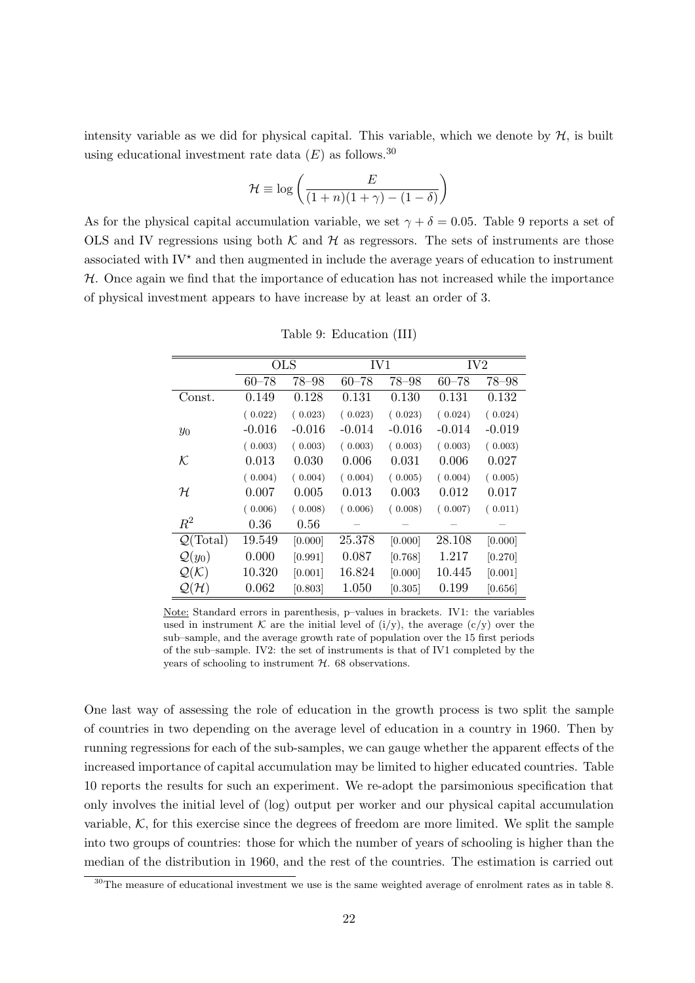intensity variable as we did for physical capital. This variable, which we denote by  $H$ , is built using educational investment rate data  $(E)$  as follows.<sup>30</sup>

$$
\mathcal{H} \equiv \log\left(\frac{E}{(1+n)(1+\gamma) - (1-\delta)}\right)
$$

As for the physical capital accumulation variable, we set  $\gamma + \delta = 0.05$ . Table 9 reports a set of OLS and IV regressions using both  $K$  and  $H$  as regressors. The sets of instruments are those associated with  $\mathrm{IV}^*$  and then augmented in include the average years of education to instrument  $H$ . Once again we find that the importance of education has not increased while the importance of physical investment appears to have increase by at least an order of 3.

|                             | <b>OLS</b> |           | IV1       |           | IV <sub>2</sub> |           |
|-----------------------------|------------|-----------|-----------|-----------|-----------------|-----------|
|                             | $60 - 78$  | $78 - 98$ | $60 - 78$ | $78 - 98$ | $60 - 78$       | $78 - 98$ |
| Const.                      | 0.149      | 0.128     | 0.131     | 0.130     | 0.131           | 0.132     |
|                             | (0.022)    | (0.023)   | (0.023)   | (0.023)   | (0.024)         | (0.024)   |
| $y_0$                       | $-0.016$   | $-0.016$  | $-0.014$  | $-0.016$  | $-0.014$        | $-0.019$  |
|                             | (0.003)    | (0.003)   | (0.003)   | (0.003)   | (0.003)         | (0.003)   |
| ĸ                           | 0.013      | 0.030     | 0.006     | 0.031     | 0.006           | 0.027     |
|                             | (0.004)    | (0.004)   | (0.004)   | (0.005)   | (0.004)         | (0.005)   |
| ${\cal H}$                  | 0.007      | 0.005     | 0.013     | 0.003     | 0.012           | 0.017     |
|                             | (0.006)    | (0.008)   | (0.006)   | (0.008)   | (0.007)         | (0.011)   |
| $R^2$                       | 0.36       | 0.56      |           |           |                 |           |
| $\mathcal{Q}(\text{Total})$ | 19.549     | [0.000]   | 25.378    | [0.000]   | 28.108          | [0.000]   |
| $\mathcal{Q}(y_0)$          | 0.000      | [0.991]   | 0.087     | [0.768]   | 1.217           | [0.270]   |
| $\mathcal{Q}(\mathcal{K})$  | 10.320     | [0.001]   | 16.824    | [0.000]   | 10.445          | [0.001]   |
| $\mathcal{Q}(\mathcal{H})$  | 0.062      | [0.803]   | 1.050     | [0.305]   | 0.199           | [0.656]   |

Table 9: Education (III)

Note: Standard errors in parenthesis, p–values in brackets. IV1: the variables used in instrument K are the initial level of  $(i/y)$ , the average  $(c/y)$  over the sub–sample, and the average growth rate of population over the 15 first periods of the sub–sample. IV2: the set of instruments is that of IV1 completed by the years of schooling to instrument  $H$ . 68 observations.

One last way of assessing the role of education in the growth process is two split the sample of countries in two depending on the average level of education in a country in 1960. Then by running regressions for each of the sub-samples, we can gauge whether the apparent effects of the increased importance of capital accumulation may be limited to higher educated countries. Table 10 reports the results for such an experiment. We re-adopt the parsimonious specification that only involves the initial level of (log) output per worker and our physical capital accumulation variable,  $K$ , for this exercise since the degrees of freedom are more limited. We split the sample into two groups of countries: those for which the number of years of schooling is higher than the median of the distribution in 1960, and the rest of the countries. The estimation is carried out

<sup>&</sup>lt;sup>30</sup>The measure of educational investment we use is the same weighted average of enrolment rates as in table 8.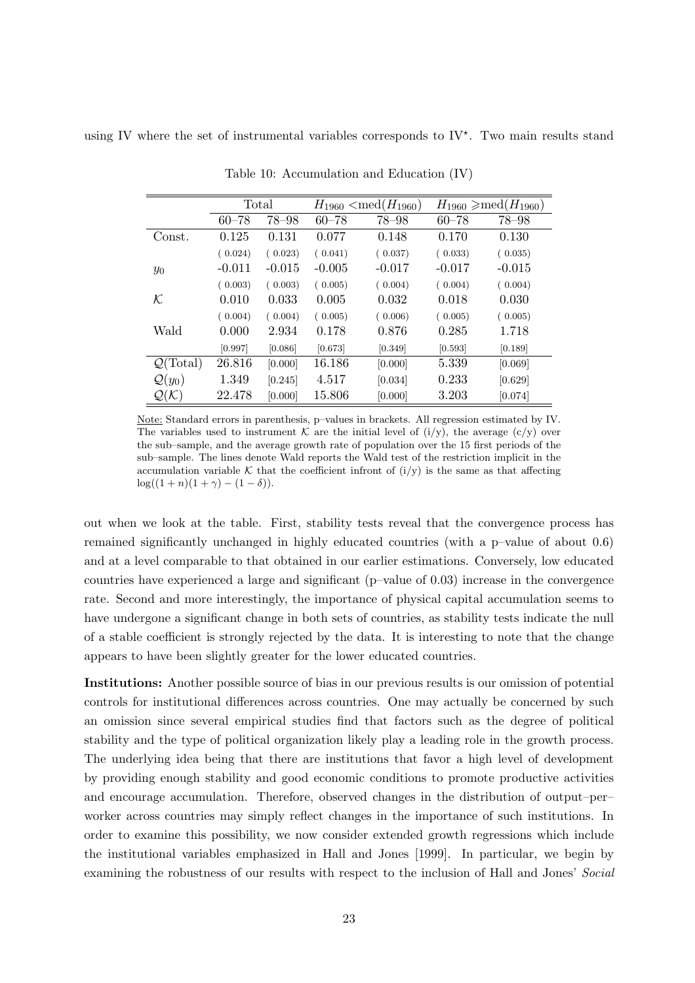using IV where the set of instrumental variables corresponds to  $IV^*$ . Two main results stand

|                             | Total     |           |           | $H_{1960} < \text{med}(H_{1960})$ |           | $H_{1960} \geqslant \text{med}(H_{1960})$ |
|-----------------------------|-----------|-----------|-----------|-----------------------------------|-----------|-------------------------------------------|
|                             | $60 - 78$ | $78 - 98$ | $60 - 78$ | 78-98                             | $60 - 78$ | 78-98                                     |
| Const.                      | 0.125     | 0.131     | 0.077     | 0.148                             | 0.170     | 0.130                                     |
|                             | (0.024)   | (0.023)   | (0.041)   | (0.037)                           | (0.033)   | (0.035)                                   |
| $y_0$                       | $-0.011$  | $-0.015$  | $-0.005$  | $-0.017$                          | $-0.017$  | $-0.015$                                  |
|                             | (0.003)   | (0.003)   | (0.005)   | (0.004)                           | (0.004)   | (0.004)                                   |
| ${\cal K}$                  | 0.010     | 0.033     | 0.005     | 0.032                             | 0.018     | 0.030                                     |
|                             | (0.004)   | (0.004)   | (0.005)   | (0.006)                           | (0.005)   | (0.005)                                   |
| Wald                        | 0.000     | 2.934     | 0.178     | 0.876                             | 0.285     | 1.718                                     |
|                             | [0.997]   | [0.086]   | [0.673]   | [0.349]                           | [0.593]   | [0.189]                                   |
| $\mathcal{Q}(\text{Total})$ | 26.816    | [0.000]   | 16.186    | [0.000]                           | 5.339     | [0.069]                                   |
| $\mathcal{Q}(y_0)$          | 1.349     | [0.245]   | 4.517     | [0.034]                           | 0.233     | [0.629]                                   |
| $\mathcal{Q}(\mathcal{K})$  | 22.478    | [0.000]   | 15.806    | [0.000]                           | 3.203     | [0.074]                                   |

Table 10: Accumulation and Education (IV)

Note: Standard errors in parenthesis, p–values in brackets. All regression estimated by IV. The variables used to instrument K are the initial level of  $(i/y)$ , the average  $(c/y)$  over the sub–sample, and the average growth rate of population over the 15 first periods of the sub–sample. The lines denote Wald reports the Wald test of the restriction implicit in the accumulation variable K that the coefficient infront of  $(i/y)$  is the same as that affecting  $\log((1 + n)(1 + \gamma) - (1 - \delta)).$ 

out when we look at the table. First, stability tests reveal that the convergence process has remained significantly unchanged in highly educated countries (with a p–value of about 0.6) and at a level comparable to that obtained in our earlier estimations. Conversely, low educated countries have experienced a large and significant (p–value of 0.03) increase in the convergence rate. Second and more interestingly, the importance of physical capital accumulation seems to have undergone a significant change in both sets of countries, as stability tests indicate the null of a stable coefficient is strongly rejected by the data. It is interesting to note that the change appears to have been slightly greater for the lower educated countries.

Institutions: Another possible source of bias in our previous results is our omission of potential controls for institutional differences across countries. One may actually be concerned by such an omission since several empirical studies find that factors such as the degree of political stability and the type of political organization likely play a leading role in the growth process. The underlying idea being that there are institutions that favor a high level of development by providing enough stability and good economic conditions to promote productive activities and encourage accumulation. Therefore, observed changes in the distribution of output–per– worker across countries may simply reflect changes in the importance of such institutions. In order to examine this possibility, we now consider extended growth regressions which include the institutional variables emphasized in Hall and Jones [1999]. In particular, we begin by examining the robustness of our results with respect to the inclusion of Hall and Jones' Social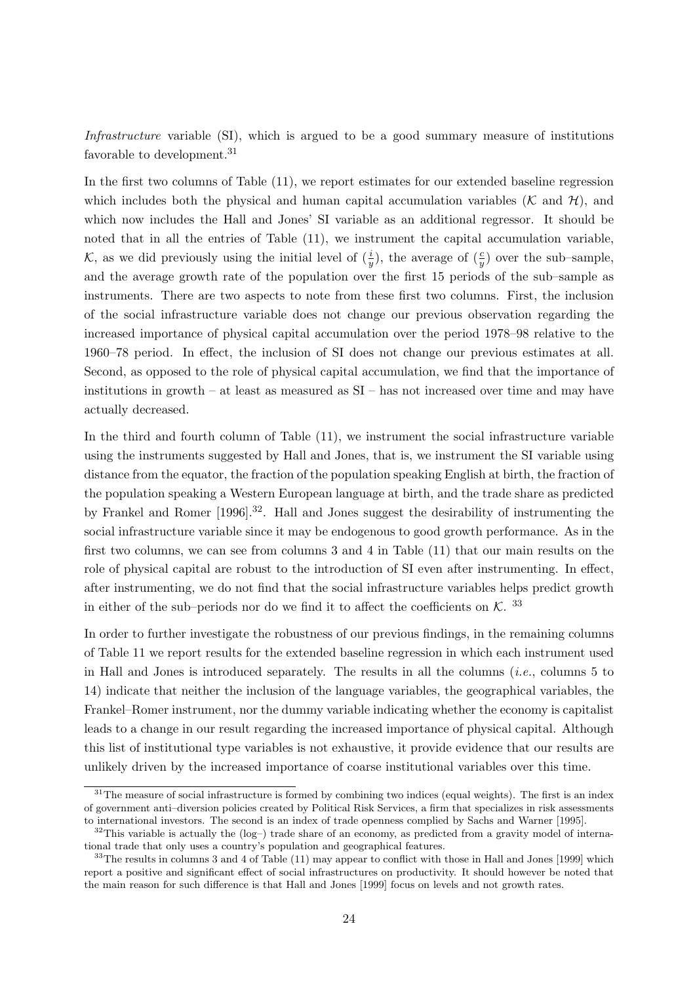Infrastructure variable (SI), which is argued to be a good summary measure of institutions favorable to development.<sup>31</sup>

In the first two columns of Table (11), we report estimates for our extended baseline regression which includes both the physical and human capital accumulation variables  $(K \text{ and } H)$ , and which now includes the Hall and Jones' SI variable as an additional regressor. It should be noted that in all the entries of Table (11), we instrument the capital accumulation variable, K, as we did previously using the initial level of  $(\frac{i}{y})$ , the average of  $(\frac{c}{y})$  over the sub-sample, and the average growth rate of the population over the first 15 periods of the sub–sample as instruments. There are two aspects to note from these first two columns. First, the inclusion of the social infrastructure variable does not change our previous observation regarding the increased importance of physical capital accumulation over the period 1978–98 relative to the 1960–78 period. In effect, the inclusion of SI does not change our previous estimates at all. Second, as opposed to the role of physical capital accumulation, we find that the importance of institutions in growth – at least as measured as SI – has not increased over time and may have actually decreased.

In the third and fourth column of Table (11), we instrument the social infrastructure variable using the instruments suggested by Hall and Jones, that is, we instrument the SI variable using distance from the equator, the fraction of the population speaking English at birth, the fraction of the population speaking a Western European language at birth, and the trade share as predicted by Frankel and Romer [1996].<sup>32</sup>. Hall and Jones suggest the desirability of instrumenting the social infrastructure variable since it may be endogenous to good growth performance. As in the first two columns, we can see from columns 3 and 4 in Table (11) that our main results on the role of physical capital are robust to the introduction of SI even after instrumenting. In effect, after instrumenting, we do not find that the social infrastructure variables helps predict growth in either of the sub-periods nor do we find it to affect the coefficients on  $\mathcal{K}$ . <sup>33</sup>

In order to further investigate the robustness of our previous findings, in the remaining columns of Table 11 we report results for the extended baseline regression in which each instrument used in Hall and Jones is introduced separately. The results in all the columns (i.e., columns 5 to 14) indicate that neither the inclusion of the language variables, the geographical variables, the Frankel–Romer instrument, nor the dummy variable indicating whether the economy is capitalist leads to a change in our result regarding the increased importance of physical capital. Although this list of institutional type variables is not exhaustive, it provide evidence that our results are unlikely driven by the increased importance of coarse institutional variables over this time.

 $31$ The measure of social infrastructure is formed by combining two indices (equal weights). The first is an index of government anti–diversion policies created by Political Risk Services, a firm that specializes in risk assessments to international investors. The second is an index of trade openness complied by Sachs and Warner [1995].

 $32$ This variable is actually the (log–) trade share of an economy, as predicted from a gravity model of international trade that only uses a country's population and geographical features.

 $33$ The results in columns 3 and 4 of Table (11) may appear to conflict with those in Hall and Jones [1999] which report a positive and significant effect of social infrastructures on productivity. It should however be noted that the main reason for such difference is that Hall and Jones [1999] focus on levels and not growth rates.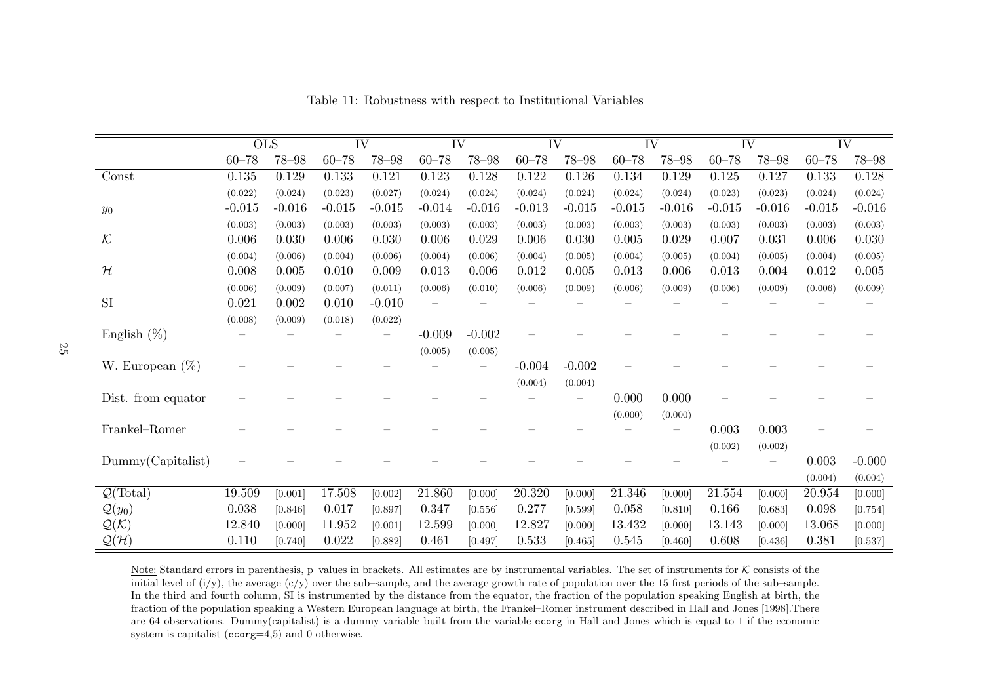|                             |           | OLS       | $\overline{\text{IV}}$ |           | $\overline{\text{IV}}$ |           | $\overline{\text{IV}}$ |           | $\overline{\text{IV}}$ |           | IV        |           | $\overline{\text{IV}}$ |           |
|-----------------------------|-----------|-----------|------------------------|-----------|------------------------|-----------|------------------------|-----------|------------------------|-----------|-----------|-----------|------------------------|-----------|
|                             | $60 - 78$ | $78 - 98$ | $60 - 78$              | $78 - 98$ | $60 - 78$              | $78 - 98$ | $60 - 78$              | $78 - 98$ | $60 - 78$              | $78 - 98$ | $60 - 78$ | $78 - 98$ | $60 - 78$              | $78 - 98$ |
| Const                       | $0.135\,$ | 0.129     | 0.133                  | 0.121     | 0.123                  | 0.128     | $0.122\,$              | 0.126     | 0.134                  | 0.129     | 0.125     | 0.127     | 0.133                  | $0.128\,$ |
|                             | (0.022)   | (0.024)   | (0.023)                | (0.027)   | (0.024)                | (0.024)   | (0.024)                | (0.024)   | (0.024)                | (0.024)   | (0.023)   | (0.023)   | (0.024)                | (0.024)   |
| $y_0$                       | $-0.015$  | $-0.016$  | $-0.015$               | $-0.015$  | $-0.014$               | $-0.016$  | $-0.013$               | $-0.015$  | $-0.015$               | $-0.016$  | $-0.015$  | $-0.016$  | $-0.015$               | $-0.016$  |
|                             | (0.003)   | (0.003)   | (0.003)                | (0.003)   | (0.003)                | (0.003)   | (0.003)                | (0.003)   | (0.003)                | (0.003)   | (0.003)   | (0.003)   | (0.003)                | (0.003)   |
| $\mathcal K$                | 0.006     | 0.030     | 0.006                  | 0.030     | 0.006                  | 0.029     | 0.006                  | 0.030     | 0.005                  | 0.029     | 0.007     | 0.031     | 0.006                  | 0.030     |
|                             | (0.004)   | (0.006)   | (0.004)                | (0.006)   | (0.004)                | (0.006)   | (0.004)                | (0.005)   | (0.004)                | (0.005)   | (0.004)   | (0.005)   | (0.004)                | (0.005)   |
| $\mathcal H$                | 0.008     | 0.005     | 0.010                  | 0.009     | 0.013                  | 0.006     | 0.012                  | 0.005     | 0.013                  | 0.006     | 0.013     | 0.004     | 0.012                  | 0.005     |
|                             | (0.006)   | (0.009)   | (0.007)                | (0.011)   | (0.006)                | (0.010)   | (0.006)                | (0.009)   | (0.006)                | (0.009)   | (0.006)   | (0.009)   | (0.006)                | (0.009)   |
| SI                          | 0.021     | 0.002     | 0.010                  | $-0.010$  |                        |           |                        |           |                        |           |           |           |                        |           |
|                             | (0.008)   | (0.009)   | (0.018)                | (0.022)   |                        |           |                        |           |                        |           |           |           |                        |           |
| English $(\%)$              |           |           |                        |           | $-0.009$               | $-0.002$  |                        |           |                        |           |           |           |                        |           |
|                             |           |           |                        |           | (0.005)                | (0.005)   |                        |           |                        |           |           |           |                        |           |
| W. European $(\%)$          |           |           |                        |           |                        |           | $-0.004$               | $-0.002$  |                        |           |           |           |                        |           |
|                             |           |           |                        |           |                        |           | (0.004)                | (0.004)   |                        |           |           |           |                        |           |
| Dist. from equator          |           |           |                        |           |                        |           |                        |           | 0.000                  | 0.000     |           |           |                        |           |
|                             |           |           |                        |           |                        |           |                        |           | (0.000)                | (0.000)   |           |           |                        |           |
| Frankel-Romer               |           |           |                        |           |                        |           |                        |           |                        |           | 0.003     | 0.003     |                        |           |
|                             |           |           |                        |           |                        |           |                        |           |                        |           | (0.002)   | (0.002)   |                        |           |
| Dummy(Capitalist)           |           |           |                        |           |                        |           |                        |           |                        |           |           |           | 0.003                  | $-0.000$  |
|                             |           |           |                        |           |                        |           |                        |           |                        |           |           |           | (0.004)                | (0.004)   |
| $\mathcal{Q}(\text{Total})$ | 19.509    | [0.001]   | 17.508                 | [0.002]   | 21.860                 | [0.000]   | 20.320                 | [0.000]   | 21.346                 | [0.000]   | 21.554    | [0.000]   | 20.954                 | [0.000]   |
| $\mathcal{Q}(y_0)$          | 0.038     | [0.846]   | 0.017                  | [0.897]   | 0.347                  | [0.556]   | 0.277                  | [0.599]   | 0.058                  | [0.810]   | 0.166     | [0.683]   | 0.098                  | [0.754]   |
| $\mathcal{Q}(\mathcal{K})$  | 12.840    | [0.000]   | 11.952                 | [0.001]   | 12.599                 | [0.000]   | 12.827                 | [0.000]   | 13.432                 | [0.000]   | 13.143    | [0.000]   | 13.068                 | [0.000]   |
| $\mathcal{Q}(\mathcal{H})$  | 0.110     | [0.740]   | 0.022                  | [0.882]   | 0.461                  | [0.497]   | 0.533                  | [0.465]   | 0.545                  | [0.460]   | 0.608     | [0.436]   | 0.381                  | [0.537]   |

Table 11: Robustness with respect to Institutional Variables

Note: Standard errors in parenthesis, p–values in brackets. All estimates are by instrumental variables. The set of instruments for K consists of the initial level of  $(i/y)$ , the average  $(c/y)$  over the sub-sample, and the average growth rate of population over the 15 first periods of the sub-sample. In the third and fourth column, SI is instrumented by the distance from the equator, the fraction of the population speaking English at birth, the fraction of the population speaking <sup>a</sup> Western European language at birth, the Frankel–Romer instrument described in Hall and Jones [1998].There are <sup>64</sup> observations. Dummy(capitalist) is <sup>a</sup> dummy variable built from the variable ecorg in Hall and Jones which is equa<sup>l</sup> to <sup>1</sup> if the economic system is capitalist ( $\epsilon \text{corg=4,5}$ ) and 0 otherwise.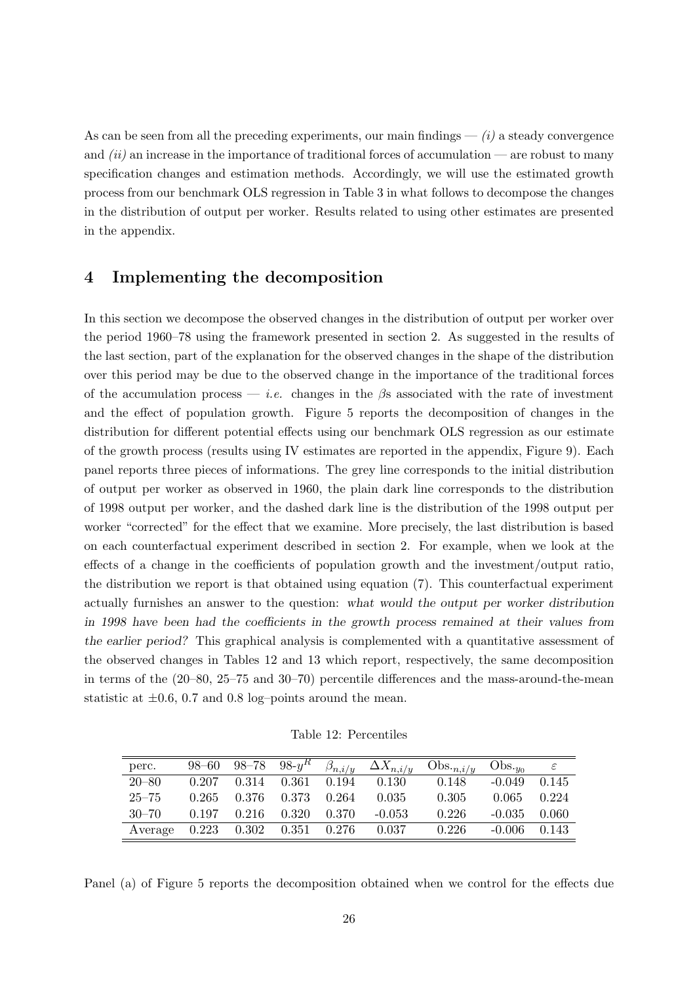As can be seen from all the preceding experiments, our main findings  $-$  (i) a steady convergence and  $(ii)$  an increase in the importance of traditional forces of accumulation — are robust to many specification changes and estimation methods. Accordingly, we will use the estimated growth process from our benchmark OLS regression in Table 3 in what follows to decompose the changes in the distribution of output per worker. Results related to using other estimates are presented in the appendix.

### 4 Implementing the decomposition

In this section we decompose the observed changes in the distribution of output per worker over the period 1960–78 using the framework presented in section 2. As suggested in the results of the last section, part of the explanation for the observed changes in the shape of the distribution over this period may be due to the observed change in the importance of the traditional forces of the accumulation process — *i.e.* changes in the  $\beta$ s associated with the rate of investment and the effect of population growth. Figure 5 reports the decomposition of changes in the distribution for different potential effects using our benchmark OLS regression as our estimate of the growth process (results using IV estimates are reported in the appendix, Figure 9). Each panel reports three pieces of informations. The grey line corresponds to the initial distribution of output per worker as observed in 1960, the plain dark line corresponds to the distribution of 1998 output per worker, and the dashed dark line is the distribution of the 1998 output per worker "corrected" for the effect that we examine. More precisely, the last distribution is based on each counterfactual experiment described in section 2. For example, when we look at the effects of a change in the coefficients of population growth and the investment/output ratio, the distribution we report is that obtained using equation (7). This counterfactual experiment actually furnishes an answer to the question: what would the output per worker distribution in 1998 have been had the coefficients in the growth process remained at their values from the earlier period? This graphical analysis is complemented with a quantitative assessment of the observed changes in Tables 12 and 13 which report, respectively, the same decomposition in terms of the (20–80, 25–75 and 30–70) percentile differences and the mass-around-the-mean statistic at  $\pm 0.6$ , 0.7 and 0.8 log-points around the mean.

Table 12: Percentiles

| perc.     | $98 - 60$ |                                 |                         |       | 98–78 98- $y^R$ $\beta_{n,i/y}$ $\Delta X_{n,i/y}$ Obs. $_{n,i/y}$ |       | $Obs_{\textit{-y}_0}$ |       |
|-----------|-----------|---------------------------------|-------------------------|-------|--------------------------------------------------------------------|-------|-----------------------|-------|
| $20 - 80$ | 0.207     |                                 | $0.314$ $0.361$ $0.194$ |       | 0.130                                                              | 0.148 | $-0.049$              | 0.145 |
| $25 - 75$ | 0.265     |                                 | 0.376 0.373 0.264       |       | 0.035                                                              | 0.305 | 0.065                 | 0.224 |
| $30 - 70$ | 0.197     | 0.216                           | 0.320                   | 0.370 | $-0.053$                                                           | 0.226 | $-0.035$              | 0.060 |
| Average   |           | $0.223$ $0.302$ $0.351$ $0.276$ |                         |       | 0.037                                                              | 0.226 | $-0.006$              | 0.143 |

Panel (a) of Figure 5 reports the decomposition obtained when we control for the effects due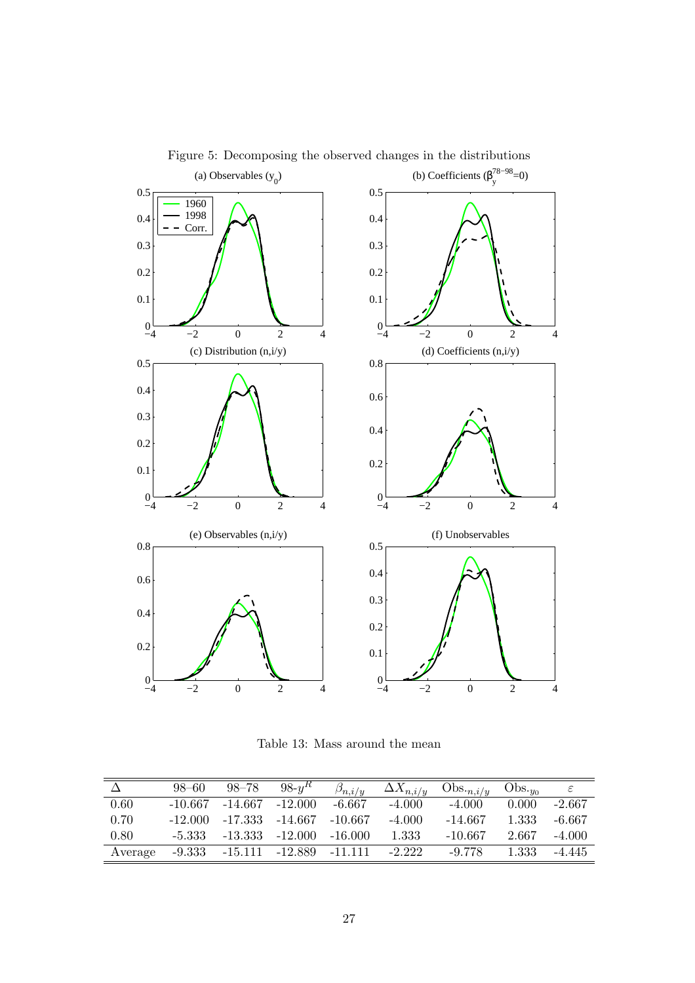

Figure 5: Decomposing the observed changes in the distributions

Table 13: Mass around the mean

|         | 98–60 | $98 - 78$                               | $98-yR$ | $\beta_{n,i/y}$ | $\Delta X_{n,i/y}$ | $\mathrm{Obs.}_{n,i/u}$ | $Obs_{\text{th}}$ |          |
|---------|-------|-----------------------------------------|---------|-----------------|--------------------|-------------------------|-------------------|----------|
| 0.60    |       | $-10.667$ $-14.667$ $-12.000$           |         | -6.667          | $-4.000$           | $-4.000$                | 0.000             | $-2.667$ |
| 0.70    |       | $-12.000$ $-17.333$ $-14.667$ $-10.667$ |         |                 | $-4.000$           | $-14.667$               | 1.333             | -6.667   |
| 0.80    |       | $-5.333 -13.333 -12.000$                |         | $-16.000$       | 1.333              | $-10.667$               | 2.667             | $-4.000$ |
| Average |       | $-9.333 -15.111 -12.889 -11.111$        |         |                 | $-2.222$           | $-9.778$                | 1.333             | $-4.445$ |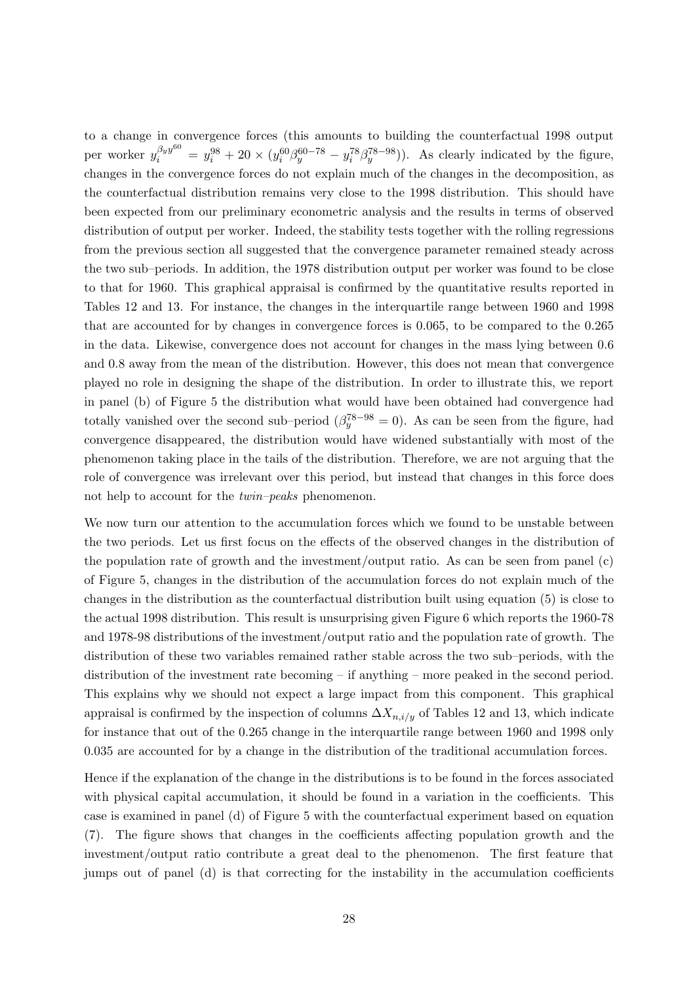to a change in convergence forces (this amounts to building the counterfactual 1998 output per worker  $y_i^{\beta_y y^{60}} = y_i^{98} + 20 \times (y_i^{60} \beta_y^{60-78} - y_i^{78} \beta_y^{78-98}))$ . As clearly indicated by the figure, changes in the convergence forces do not explain much of the changes in the decomposition, as the counterfactual distribution remains very close to the 1998 distribution. This should have been expected from our preliminary econometric analysis and the results in terms of observed distribution of output per worker. Indeed, the stability tests together with the rolling regressions from the previous section all suggested that the convergence parameter remained steady across the two sub–periods. In addition, the 1978 distribution output per worker was found to be close to that for 1960. This graphical appraisal is confirmed by the quantitative results reported in Tables 12 and 13. For instance, the changes in the interquartile range between 1960 and 1998 that are accounted for by changes in convergence forces is 0.065, to be compared to the 0.265 in the data. Likewise, convergence does not account for changes in the mass lying between 0.6 and 0.8 away from the mean of the distribution. However, this does not mean that convergence played no role in designing the shape of the distribution. In order to illustrate this, we report in panel (b) of Figure 5 the distribution what would have been obtained had convergence had totally vanished over the second sub–period  $(\beta_y^{78-98}=0)$ . As can be seen from the figure, had convergence disappeared, the distribution would have widened substantially with most of the phenomenon taking place in the tails of the distribution. Therefore, we are not arguing that the role of convergence was irrelevant over this period, but instead that changes in this force does not help to account for the *twin–peaks* phenomenon.

We now turn our attention to the accumulation forces which we found to be unstable between the two periods. Let us first focus on the effects of the observed changes in the distribution of the population rate of growth and the investment/output ratio. As can be seen from panel (c) of Figure 5, changes in the distribution of the accumulation forces do not explain much of the changes in the distribution as the counterfactual distribution built using equation (5) is close to the actual 1998 distribution. This result is unsurprising given Figure 6 which reports the 1960-78 and 1978-98 distributions of the investment/output ratio and the population rate of growth. The distribution of these two variables remained rather stable across the two sub–periods, with the distribution of the investment rate becoming – if anything – more peaked in the second period. This explains why we should not expect a large impact from this component. This graphical appraisal is confirmed by the inspection of columns  $\Delta X_{n,i/y}$  of Tables 12 and 13, which indicate for instance that out of the 0.265 change in the interquartile range between 1960 and 1998 only 0.035 are accounted for by a change in the distribution of the traditional accumulation forces.

Hence if the explanation of the change in the distributions is to be found in the forces associated with physical capital accumulation, it should be found in a variation in the coefficients. This case is examined in panel (d) of Figure 5 with the counterfactual experiment based on equation (7). The figure shows that changes in the coefficients affecting population growth and the investment/output ratio contribute a great deal to the phenomenon. The first feature that jumps out of panel (d) is that correcting for the instability in the accumulation coefficients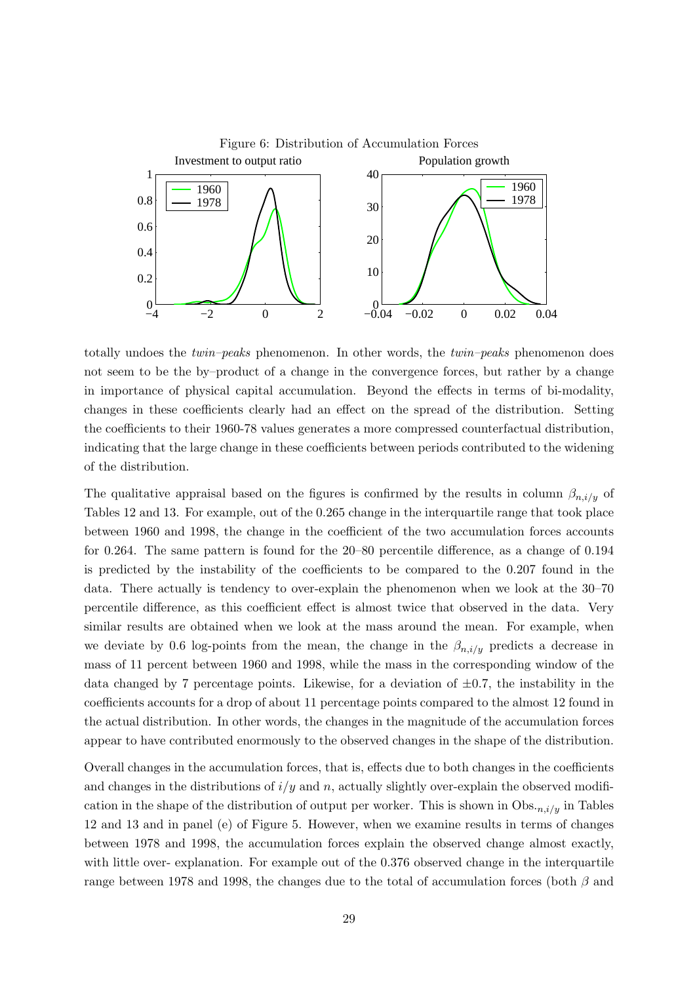

totally undoes the twin–peaks phenomenon. In other words, the twin–peaks phenomenon does not seem to be the by–product of a change in the convergence forces, but rather by a change in importance of physical capital accumulation. Beyond the effects in terms of bi-modality, changes in these coefficients clearly had an effect on the spread of the distribution. Setting the coefficients to their 1960-78 values generates a more compressed counterfactual distribution, indicating that the large change in these coefficients between periods contributed to the widening of the distribution.

The qualitative appraisal based on the figures is confirmed by the results in column  $\beta_{n,i/y}$  of Tables 12 and 13. For example, out of the 0.265 change in the interquartile range that took place between 1960 and 1998, the change in the coefficient of the two accumulation forces accounts for 0.264. The same pattern is found for the 20–80 percentile difference, as a change of 0.194 is predicted by the instability of the coefficients to be compared to the 0.207 found in the data. There actually is tendency to over-explain the phenomenon when we look at the 30–70 percentile difference, as this coefficient effect is almost twice that observed in the data. Very similar results are obtained when we look at the mass around the mean. For example, when we deviate by 0.6 log-points from the mean, the change in the  $\beta_{n,i/\nu}$  predicts a decrease in mass of 11 percent between 1960 and 1998, while the mass in the corresponding window of the data changed by 7 percentage points. Likewise, for a deviation of  $\pm 0.7$ , the instability in the coefficients accounts for a drop of about 11 percentage points compared to the almost 12 found in the actual distribution. In other words, the changes in the magnitude of the accumulation forces appear to have contributed enormously to the observed changes in the shape of the distribution.

Overall changes in the accumulation forces, that is, effects due to both changes in the coefficients and changes in the distributions of  $i/y$  and n, actually slightly over-explain the observed modification in the shape of the distribution of output per worker. This is shown in  $\mathrm{Obs}_{n,i/y}$  in Tables 12 and 13 and in panel (e) of Figure 5. However, when we examine results in terms of changes between 1978 and 1998, the accumulation forces explain the observed change almost exactly, with little over- explanation. For example out of the 0.376 observed change in the interquartile range between 1978 and 1998, the changes due to the total of accumulation forces (both  $\beta$  and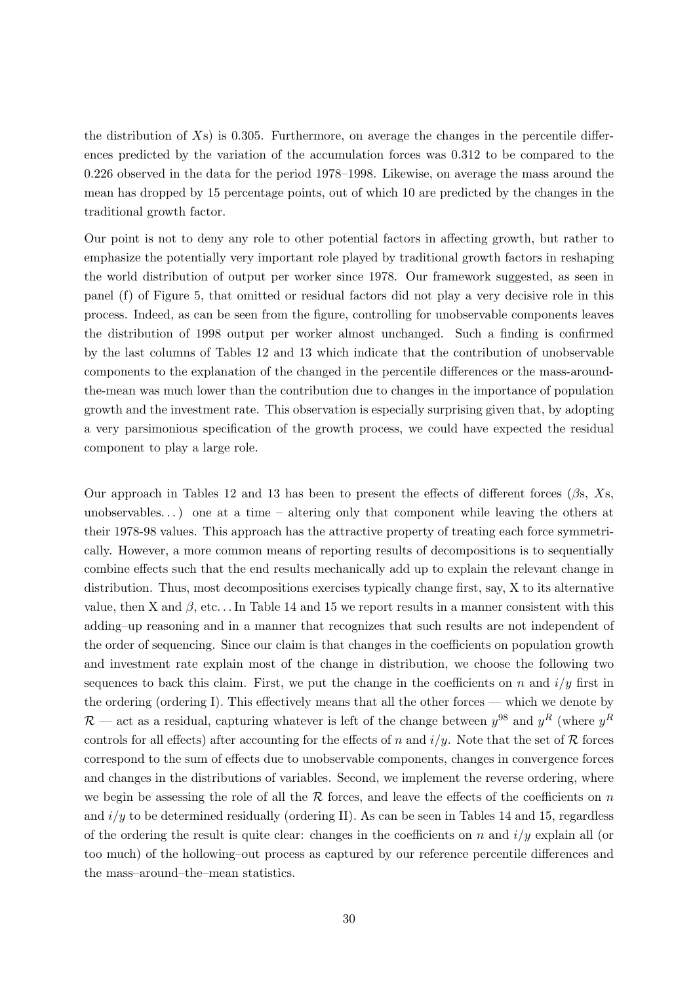the distribution of  $X_s$ ) is 0.305. Furthermore, on average the changes in the percentile differences predicted by the variation of the accumulation forces was 0.312 to be compared to the 0.226 observed in the data for the period 1978–1998. Likewise, on average the mass around the mean has dropped by 15 percentage points, out of which 10 are predicted by the changes in the traditional growth factor.

Our point is not to deny any role to other potential factors in affecting growth, but rather to emphasize the potentially very important role played by traditional growth factors in reshaping the world distribution of output per worker since 1978. Our framework suggested, as seen in panel (f) of Figure 5, that omitted or residual factors did not play a very decisive role in this process. Indeed, as can be seen from the figure, controlling for unobservable components leaves the distribution of 1998 output per worker almost unchanged. Such a finding is confirmed by the last columns of Tables 12 and 13 which indicate that the contribution of unobservable components to the explanation of the changed in the percentile differences or the mass-aroundthe-mean was much lower than the contribution due to changes in the importance of population growth and the investment rate. This observation is especially surprising given that, by adopting a very parsimonious specification of the growth process, we could have expected the residual component to play a large role.

Our approach in Tables 12 and 13 has been to present the effects of different forces  $(\beta s, Xs, \alpha)$ unobservables...) one at a time – altering only that component while leaving the others at their 1978-98 values. This approach has the attractive property of treating each force symmetrically. However, a more common means of reporting results of decompositions is to sequentially combine effects such that the end results mechanically add up to explain the relevant change in distribution. Thus, most decompositions exercises typically change first, say, X to its alternative value, then X and  $\beta$ , etc... In Table 14 and 15 we report results in a manner consistent with this adding–up reasoning and in a manner that recognizes that such results are not independent of the order of sequencing. Since our claim is that changes in the coefficients on population growth and investment rate explain most of the change in distribution, we choose the following two sequences to back this claim. First, we put the change in the coefficients on n and  $i/y$  first in the ordering (ordering I). This effectively means that all the other forces — which we denote by  $\mathcal{R}$  — act as a residual, capturing whatever is left of the change between  $y^{98}$  and  $y^R$  (where  $y^R$ controls for all effects) after accounting for the effects of n and  $i/y$ . Note that the set of R forces correspond to the sum of effects due to unobservable components, changes in convergence forces and changes in the distributions of variables. Second, we implement the reverse ordering, where we begin be assessing the role of all the  $R$  forces, and leave the effects of the coefficients on n and  $i/y$  to be determined residually (ordering II). As can be seen in Tables 14 and 15, regardless of the ordering the result is quite clear: changes in the coefficients on n and  $i/y$  explain all (or too much) of the hollowing–out process as captured by our reference percentile differences and the mass–around–the–mean statistics.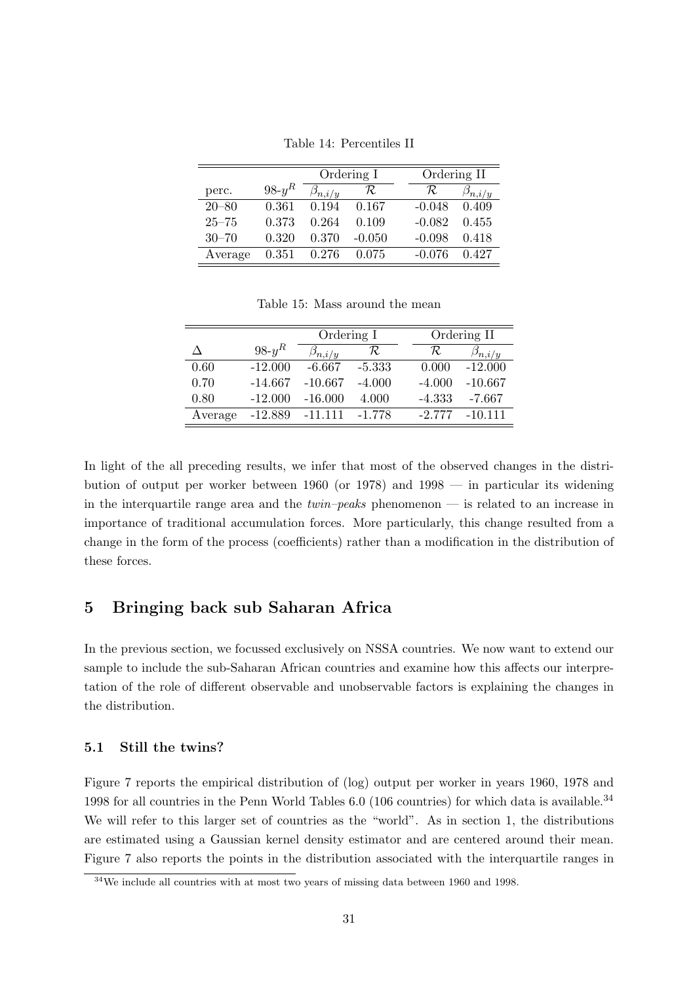|           |          | Ordering I      |          |  | Ordering II |                 |
|-----------|----------|-----------------|----------|--|-------------|-----------------|
| perc.     | $98-y^R$ | $\beta_{n,i/y}$ | R.       |  | Ŕ           | $\beta_{n,i/y}$ |
| $20 - 80$ | 0.361    | 0.194           | 0.167    |  | $-0.048$    | 0.409           |
| $25 - 75$ | 0.373    | 0.264           | 0.109    |  | $-0.082$    | 0.455           |
| $30 - 70$ | 0.320    | 0.370           | $-0.050$ |  | $-0.098$    | 0.418           |
| Average   | 0.351    | 0.276           | 0.075    |  | $-0.076$    | 0.427           |

Table 14: Percentiles II

Table 15: Mass around the mean

|         |           | Ordering I      |          |  |          | Ordering II     |
|---------|-----------|-----------------|----------|--|----------|-----------------|
|         | $98-y^R$  | $\beta_{n,i/y}$ | R        |  | R        | $\beta_{n,i/y}$ |
| 0.60    | $-12.000$ | $-6.667$        | $-5.333$ |  | 0.000    | $-12.000$       |
| 0.70    | $-14.667$ | $-10.667$       | $-4.000$ |  | $-4.000$ | $-10.667$       |
| 0.80    | $-12.000$ | $-16.000$       | 4.000    |  | $-4.333$ | $-7.667$        |
| Average | $-12.889$ | $-11.111$       | $-1.778$ |  | $-2.777$ | $-10.111$       |

In light of the all preceding results, we infer that most of the observed changes in the distribution of output per worker between 1960 (or 1978) and 1998 — in particular its widening in the interquartile range area and the  $twin–peaks$  phenomenon — is related to an increase in importance of traditional accumulation forces. More particularly, this change resulted from a change in the form of the process (coefficients) rather than a modification in the distribution of these forces.

# 5 Bringing back sub Saharan Africa

In the previous section, we focussed exclusively on NSSA countries. We now want to extend our sample to include the sub-Saharan African countries and examine how this affects our interpretation of the role of different observable and unobservable factors is explaining the changes in the distribution.

### 5.1 Still the twins?

Figure 7 reports the empirical distribution of (log) output per worker in years 1960, 1978 and 1998 for all countries in the Penn World Tables 6.0 (106 countries) for which data is available.<sup>34</sup> We will refer to this larger set of countries as the "world". As in section 1, the distributions are estimated using a Gaussian kernel density estimator and are centered around their mean. Figure 7 also reports the points in the distribution associated with the interquartile ranges in

 $34$ We include all countries with at most two years of missing data between 1960 and 1998.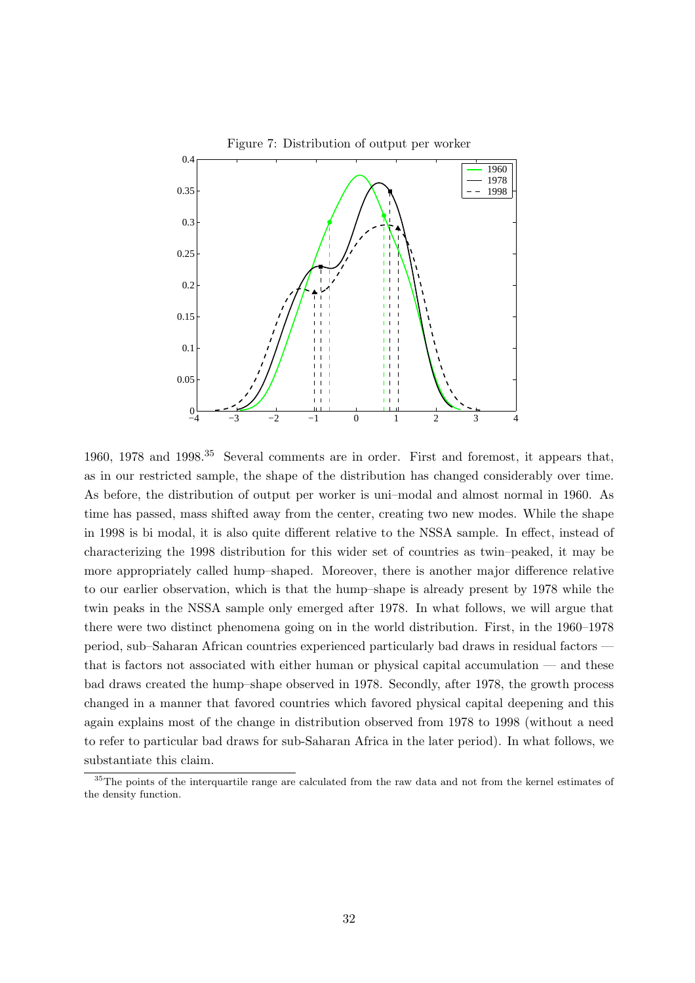

1960, 1978 and 1998.<sup>35</sup> Several comments are in order. First and foremost, it appears that, as in our restricted sample, the shape of the distribution has changed considerably over time. As before, the distribution of output per worker is uni–modal and almost normal in 1960. As time has passed, mass shifted away from the center, creating two new modes. While the shape in 1998 is bi modal, it is also quite different relative to the NSSA sample. In effect, instead of characterizing the 1998 distribution for this wider set of countries as twin–peaked, it may be more appropriately called hump–shaped. Moreover, there is another major difference relative to our earlier observation, which is that the hump–shape is already present by 1978 while the twin peaks in the NSSA sample only emerged after 1978. In what follows, we will argue that there were two distinct phenomena going on in the world distribution. First, in the 1960–1978 period, sub–Saharan African countries experienced particularly bad draws in residual factors that is factors not associated with either human or physical capital accumulation — and these bad draws created the hump–shape observed in 1978. Secondly, after 1978, the growth process changed in a manner that favored countries which favored physical capital deepening and this again explains most of the change in distribution observed from 1978 to 1998 (without a need to refer to particular bad draws for sub-Saharan Africa in the later period). In what follows, we substantiate this claim.

<sup>&</sup>lt;sup>35</sup>The points of the interquartile range are calculated from the raw data and not from the kernel estimates of the density function.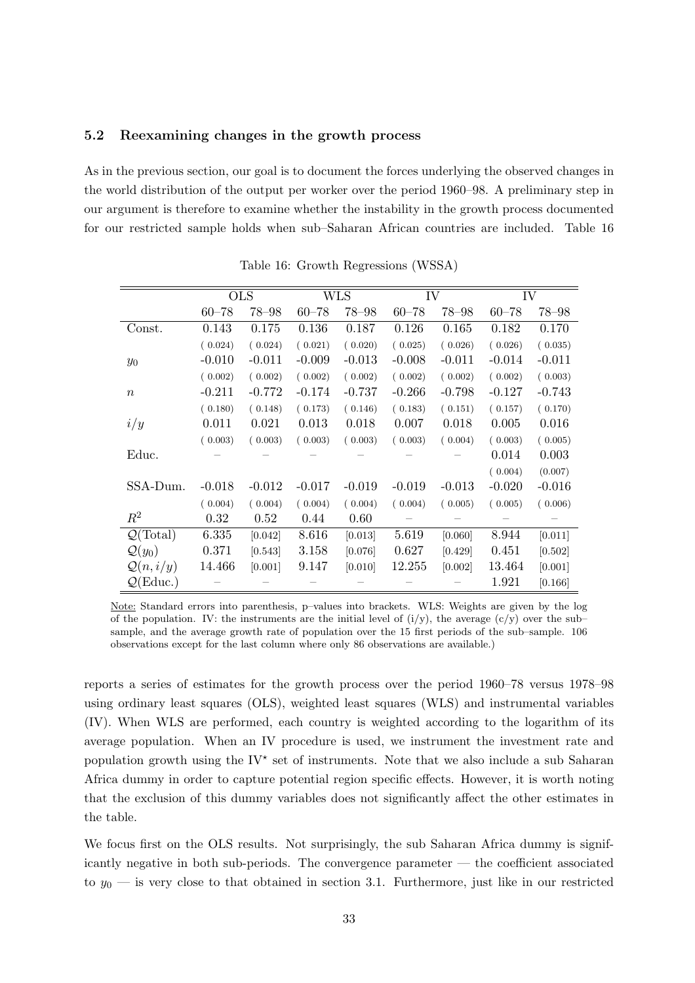### 5.2 Reexamining changes in the growth process

As in the previous section, our goal is to document the forces underlying the observed changes in the world distribution of the output per worker over the period 1960–98. A preliminary step in our argument is therefore to examine whether the instability in the growth process documented for our restricted sample holds when sub–Saharan African countries are included. Table 16

|                             |           | <b>OLS</b> |           | <b>WLS</b> |           | IV        | IV        |           |
|-----------------------------|-----------|------------|-----------|------------|-----------|-----------|-----------|-----------|
|                             | $60 - 78$ | $78 - 98$  | $60 - 78$ | $78 - 98$  | $60 - 78$ | $78 - 98$ | $60 - 78$ | $78 - 98$ |
| Const.                      | 0.143     | 0.175      | 0.136     | 0.187      | 0.126     | 0.165     | 0.182     | 0.170     |
|                             | (0.024)   | (0.024)    | (0.021)   | (0.020)    | (0.025)   | (0.026)   | (0.026)   | (0.035)   |
| $y_0$                       | $-0.010$  | $-0.011$   | $-0.009$  | $-0.013$   | $-0.008$  | $-0.011$  | $-0.014$  | $-0.011$  |
|                             | (0.002)   | (0.002)    | (0.002)   | (0.002)    | (0.002)   | (0.002)   | (0.002)   | (0.003)   |
| $\boldsymbol{n}$            | $-0.211$  | $-0.772$   | $-0.174$  | $-0.737$   | $-0.266$  | $-0.798$  | $-0.127$  | $-0.743$  |
|                             | (0.180)   | (0.148)    | (0.173)   | (0.146)    | (0.183)   | (0.151)   | (0.157)   | (0.170)   |
| i/y                         | 0.011     | 0.021      | 0.013     | 0.018      | 0.007     | 0.018     | 0.005     | 0.016     |
|                             | (0.003)   | (0.003)    | (0.003)   | (0.003)    | (0.003)   | (0.004)   | (0.003)   | (0.005)   |
| Educ.                       |           |            |           |            |           |           | 0.014     | 0.003     |
|                             |           |            |           |            |           |           | (0.004)   | (0.007)   |
| SSA-Dum.                    | $-0.018$  | $-0.012$   | $-0.017$  | $-0.019$   | $-0.019$  | $-0.013$  | $-0.020$  | $-0.016$  |
|                             | (0.004)   | (0.004)    | (0.004)   | (0.004)    | (0.004)   | (0.005)   | (0.005)   | (0.006)   |
| $R^2$                       | 0.32      | 0.52       | 0.44      | 0.60       |           |           |           |           |
| $\mathcal{Q}(\text{Total})$ | 6.335     | [0.042]    | 8.616     | [0.013]    | 5.619     | [0.060]   | 8.944     | [0.011]   |
| $\mathcal{Q}(y_0)$          | 0.371     | [0.543]    | 3.158     | [0.076]    | 0.627     | [0.429]   | 0.451     | [0.502]   |
| $\mathcal{Q}(n,i/y)$        | 14.466    | [0.001]    | 9.147     | [0.010]    | 12.255    | [0.002]   | 13.464    | [0.001]   |
| $\mathcal{Q}(\text{Educ.})$ |           |            |           |            |           |           | 1.921     | [0.166]   |

Table 16: Growth Regressions (WSSA)

Note: Standard errors into parenthesis, p–values into brackets. WLS: Weights are given by the log of the population. IV: the instruments are the initial level of  $(i/y)$ , the average  $(c/y)$  over the subsample, and the average growth rate of population over the 15 first periods of the sub–sample. 106 observations except for the last column where only 86 observations are available.)

reports a series of estimates for the growth process over the period 1960–78 versus 1978–98 using ordinary least squares (OLS), weighted least squares (WLS) and instrumental variables (IV). When WLS are performed, each country is weighted according to the logarithm of its average population. When an IV procedure is used, we instrument the investment rate and population growth using the  $\mathrm{IV}^{\star}$  set of instruments. Note that we also include a sub Saharan Africa dummy in order to capture potential region specific effects. However, it is worth noting that the exclusion of this dummy variables does not significantly affect the other estimates in the table.

We focus first on the OLS results. Not surprisingly, the sub Saharan Africa dummy is significantly negative in both sub-periods. The convergence parameter — the coefficient associated to  $y_0$  — is very close to that obtained in section 3.1. Furthermore, just like in our restricted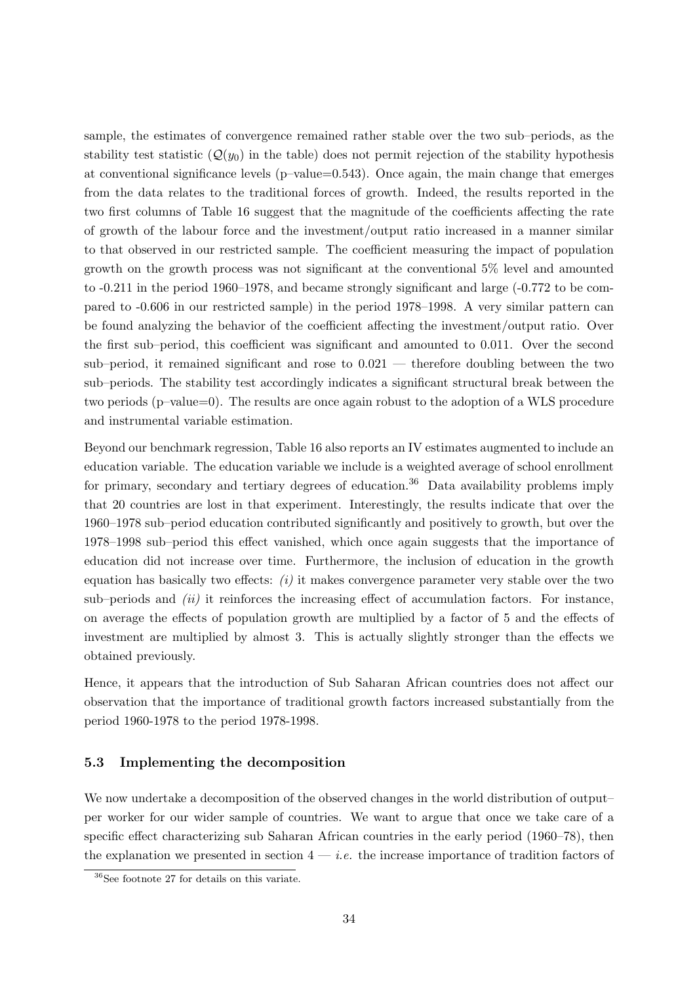sample, the estimates of convergence remained rather stable over the two sub–periods, as the stability test statistic  $(Q(y_0)$  in the table) does not permit rejection of the stability hypothesis at conventional significance levels  $(p-value=0.543)$ . Once again, the main change that emerges from the data relates to the traditional forces of growth. Indeed, the results reported in the two first columns of Table 16 suggest that the magnitude of the coefficients affecting the rate of growth of the labour force and the investment/output ratio increased in a manner similar to that observed in our restricted sample. The coefficient measuring the impact of population growth on the growth process was not significant at the conventional 5% level and amounted to -0.211 in the period 1960–1978, and became strongly significant and large (-0.772 to be compared to -0.606 in our restricted sample) in the period 1978–1998. A very similar pattern can be found analyzing the behavior of the coefficient affecting the investment/output ratio. Over the first sub–period, this coefficient was significant and amounted to 0.011. Over the second sub–period, it remained significant and rose to 0.021 — therefore doubling between the two sub–periods. The stability test accordingly indicates a significant structural break between the two periods (p–value=0). The results are once again robust to the adoption of a WLS procedure and instrumental variable estimation.

Beyond our benchmark regression, Table 16 also reports an IV estimates augmented to include an education variable. The education variable we include is a weighted average of school enrollment for primary, secondary and tertiary degrees of education.<sup>36</sup> Data availability problems imply that 20 countries are lost in that experiment. Interestingly, the results indicate that over the 1960–1978 sub–period education contributed significantly and positively to growth, but over the 1978–1998 sub–period this effect vanished, which once again suggests that the importance of education did not increase over time. Furthermore, the inclusion of education in the growth equation has basically two effects:  $(i)$  it makes convergence parameter very stable over the two sub–periods and  $(ii)$  it reinforces the increasing effect of accumulation factors. For instance, on average the effects of population growth are multiplied by a factor of 5 and the effects of investment are multiplied by almost 3. This is actually slightly stronger than the effects we obtained previously.

Hence, it appears that the introduction of Sub Saharan African countries does not affect our observation that the importance of traditional growth factors increased substantially from the period 1960-1978 to the period 1978-1998.

### 5.3 Implementing the decomposition

We now undertake a decomposition of the observed changes in the world distribution of output– per worker for our wider sample of countries. We want to argue that once we take care of a specific effect characterizing sub Saharan African countries in the early period (1960–78), then the explanation we presented in section  $4 - i.e.$  the increase importance of tradition factors of

<sup>36</sup>See footnote 27 for details on this variate.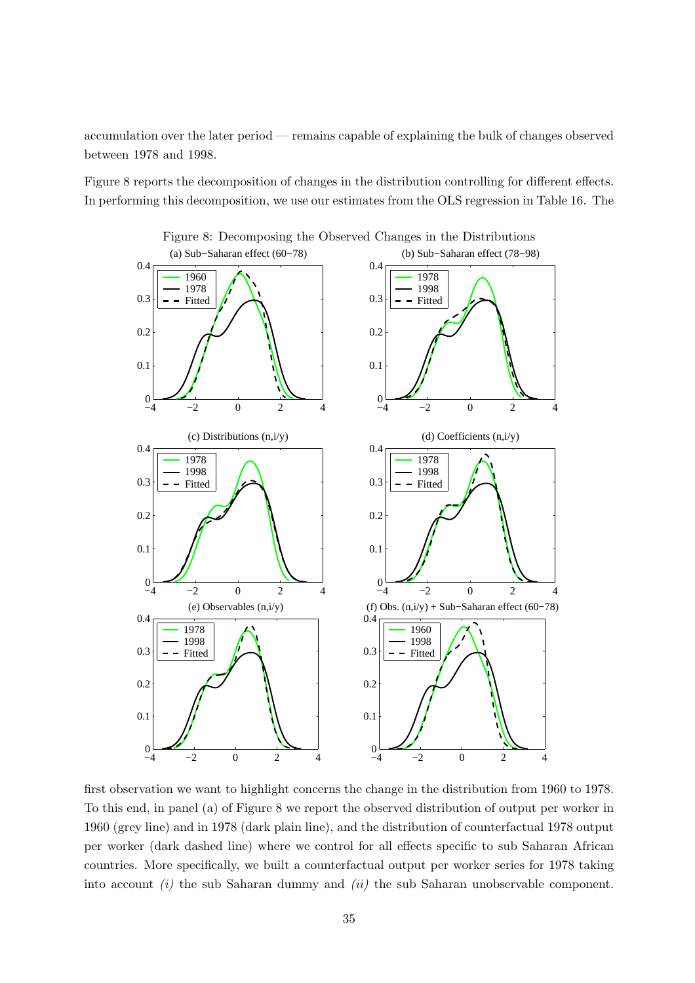accumulation over the later period — remains capable of explaining the bulk of changes observed between 1978 and 1998.

Figure 8 reports the decomposition of changes in the distribution controlling for different effects. In performing this decomposition, we use our estimates from the OLS regression in Table 16. The



first observation we want to highlight concerns the change in the distribution from 1960 to 1978. To this end, in panel (a) of Figure 8 we report the observed distribution of output per worker in 1960 (grey line) and in 1978 (dark plain line), and the distribution of counterfactual 1978 output per worker (dark dashed line) where we control for all effects specific to sub Saharan African countries. More specifically, we built a counterfactual output per worker series for 1978 taking into account  $(i)$  the sub Saharan dummy and  $(ii)$  the sub Saharan unobservable component.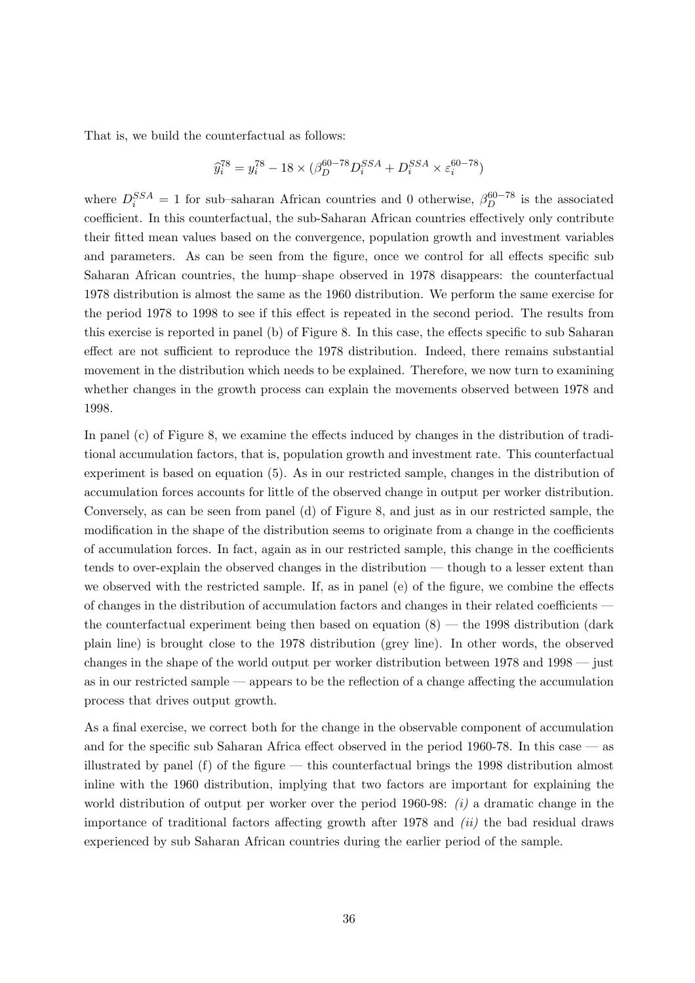That is, we build the counterfactual as follows:

$$
\hat{y}_i^{78} = y_i^{78} - 18 \times (\beta_D^{60-78}D_i^{SSA} + D_i^{SSA} \times \varepsilon_i^{60-78})
$$

where  $D_i^{SSA} = 1$  for sub-saharan African countries and 0 otherwise,  $\beta_D^{60-78}$  is the associated coefficient. In this counterfactual, the sub-Saharan African countries effectively only contribute their fitted mean values based on the convergence, population growth and investment variables and parameters. As can be seen from the figure, once we control for all effects specific sub Saharan African countries, the hump–shape observed in 1978 disappears: the counterfactual 1978 distribution is almost the same as the 1960 distribution. We perform the same exercise for the period 1978 to 1998 to see if this effect is repeated in the second period. The results from this exercise is reported in panel (b) of Figure 8. In this case, the effects specific to sub Saharan effect are not sufficient to reproduce the 1978 distribution. Indeed, there remains substantial movement in the distribution which needs to be explained. Therefore, we now turn to examining whether changes in the growth process can explain the movements observed between 1978 and 1998.

In panel (c) of Figure 8, we examine the effects induced by changes in the distribution of traditional accumulation factors, that is, population growth and investment rate. This counterfactual experiment is based on equation (5). As in our restricted sample, changes in the distribution of accumulation forces accounts for little of the observed change in output per worker distribution. Conversely, as can be seen from panel (d) of Figure 8, and just as in our restricted sample, the modification in the shape of the distribution seems to originate from a change in the coefficients of accumulation forces. In fact, again as in our restricted sample, this change in the coefficients tends to over-explain the observed changes in the distribution — though to a lesser extent than we observed with the restricted sample. If, as in panel (e) of the figure, we combine the effects of changes in the distribution of accumulation factors and changes in their related coefficients the counterfactual experiment being then based on equation  $(8)$  — the 1998 distribution (dark plain line) is brought close to the 1978 distribution (grey line). In other words, the observed changes in the shape of the world output per worker distribution between 1978 and 1998 — just as in our restricted sample — appears to be the reflection of a change affecting the accumulation process that drives output growth.

As a final exercise, we correct both for the change in the observable component of accumulation and for the specific sub Saharan Africa effect observed in the period 1960-78. In this case — as illustrated by panel  $(f)$  of the figure — this counterfactual brings the 1998 distribution almost inline with the 1960 distribution, implying that two factors are important for explaining the world distribution of output per worker over the period 1960-98:  $(i)$  a dramatic change in the importance of traditional factors affecting growth after  $1978$  and  $(ii)$  the bad residual draws experienced by sub Saharan African countries during the earlier period of the sample.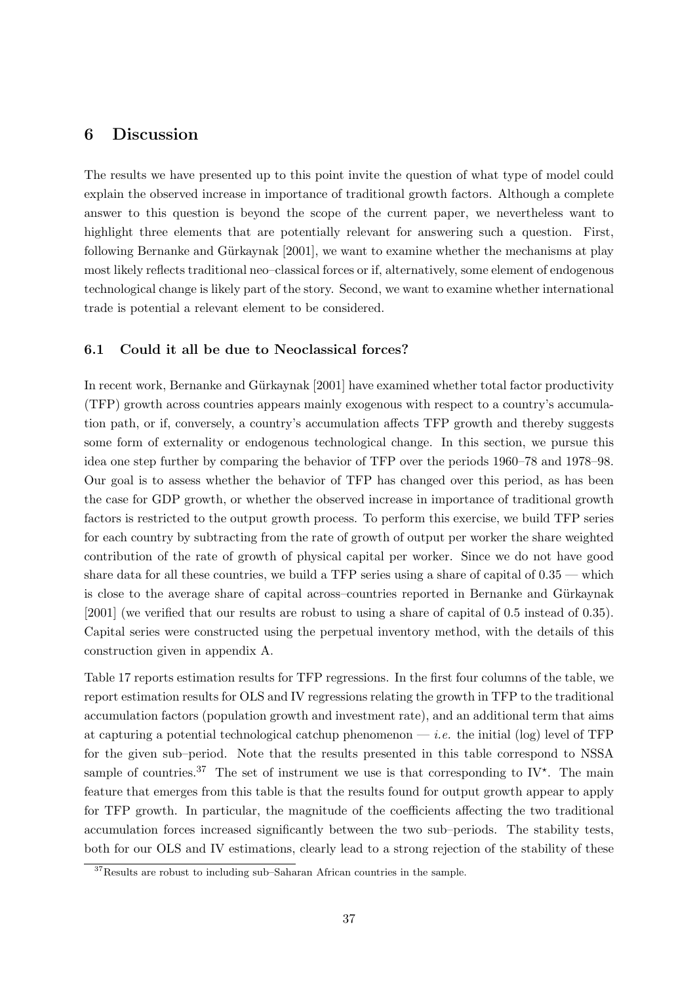## 6 Discussion

The results we have presented up to this point invite the question of what type of model could explain the observed increase in importance of traditional growth factors. Although a complete answer to this question is beyond the scope of the current paper, we nevertheless want to highlight three elements that are potentially relevant for answering such a question. First, following Bernanke and Gürkaynak [2001], we want to examine whether the mechanisms at play most likely reflects traditional neo–classical forces or if, alternatively, some element of endogenous technological change is likely part of the story. Second, we want to examine whether international trade is potential a relevant element to be considered.

### 6.1 Could it all be due to Neoclassical forces?

In recent work, Bernanke and Gürkaynak [2001] have examined whether total factor productivity (TFP) growth across countries appears mainly exogenous with respect to a country's accumulation path, or if, conversely, a country's accumulation affects TFP growth and thereby suggests some form of externality or endogenous technological change. In this section, we pursue this idea one step further by comparing the behavior of TFP over the periods 1960–78 and 1978–98. Our goal is to assess whether the behavior of TFP has changed over this period, as has been the case for GDP growth, or whether the observed increase in importance of traditional growth factors is restricted to the output growth process. To perform this exercise, we build TFP series for each country by subtracting from the rate of growth of output per worker the share weighted contribution of the rate of growth of physical capital per worker. Since we do not have good share data for all these countries, we build a TFP series using a share of capital of 0.35 — which is close to the average share of capital across–countries reported in Bernanke and Gürkaynak [2001] (we verified that our results are robust to using a share of capital of 0.5 instead of 0.35). Capital series were constructed using the perpetual inventory method, with the details of this construction given in appendix A.

Table 17 reports estimation results for TFP regressions. In the first four columns of the table, we report estimation results for OLS and IV regressions relating the growth in TFP to the traditional accumulation factors (population growth and investment rate), and an additional term that aims at capturing a potential technological catchup phenomenon — *i.e.* the initial (log) level of TFP for the given sub–period. Note that the results presented in this table correspond to NSSA sample of countries.<sup>37</sup> The set of instrument we use is that corresponding to IV<sup>\*</sup>. The main feature that emerges from this table is that the results found for output growth appear to apply for TFP growth. In particular, the magnitude of the coefficients affecting the two traditional accumulation forces increased significantly between the two sub–periods. The stability tests, both for our OLS and IV estimations, clearly lead to a strong rejection of the stability of these

<sup>37</sup>Results are robust to including sub–Saharan African countries in the sample.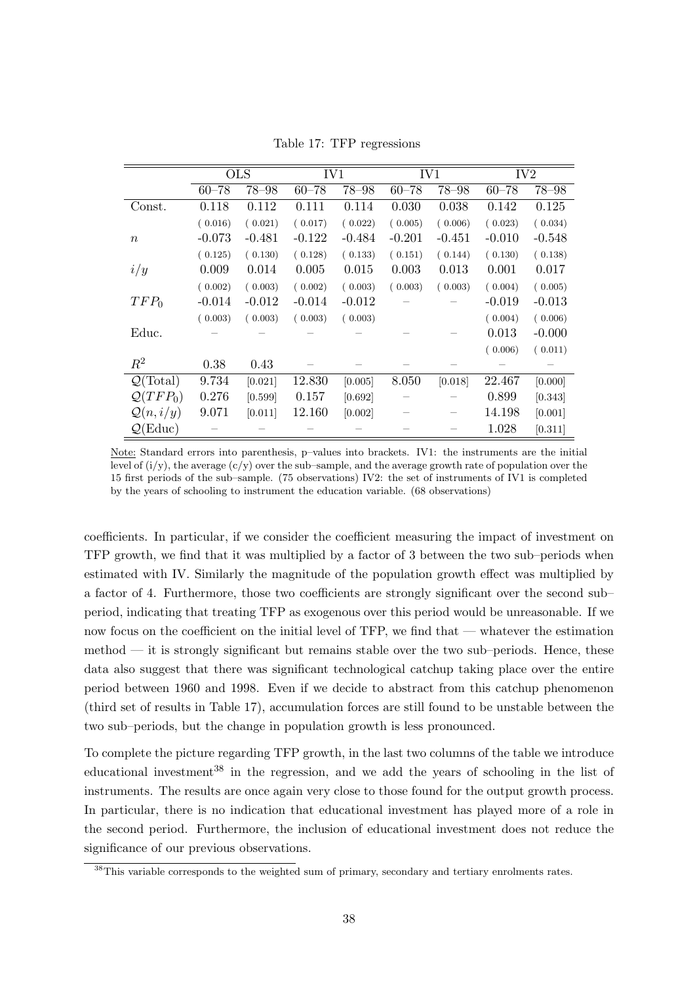|                             | <b>OLS</b> |           | IV1       |           | IV1       |           | IV <sub>2</sub> |           |
|-----------------------------|------------|-----------|-----------|-----------|-----------|-----------|-----------------|-----------|
|                             | $60 - 78$  | $78 - 98$ | $60 - 78$ | $78 - 98$ | $60 - 78$ | $78 - 98$ | $60 - 78$       | $78 - 98$ |
| Const.                      | 0.118      | 0.112     | 0.111     | 0.114     | 0.030     | 0.038     | 0.142           | 0.125     |
|                             | (0.016)    | (0.021)   | (0.017)   | (0.022)   | (0.005)   | (0.006)   | (0.023)         | (0.034)   |
| $\boldsymbol{n}$            | $-0.073$   | -0.481    | $-0.122$  | $-0.484$  | $-0.201$  | $-0.451$  | $-0.010$        | $-0.548$  |
|                             | (0.125)    | (0.130)   | (0.128)   | (0.133)   | (0.151)   | (0.144)   | (0.130)         | (0.138)   |
| i/y                         | 0.009      | 0.014     | 0.005     | 0.015     | 0.003     | 0.013     | 0.001           | 0.017     |
|                             | (0.002)    | (0.003)   | (0.002)   | (0.003)   | (0.003)   | (0.003)   | (0.004)         | (0.005)   |
| $TFP_0$                     | $-0.014$   | $-0.012$  | $-0.014$  | $-0.012$  |           |           | $-0.019$        | $-0.013$  |
|                             | (0.003)    | (0.003)   | (0.003)   | (0.003)   |           |           | (0.004)         | (0.006)   |
| Educ.                       |            |           |           |           |           |           | 0.013           | $-0.000$  |
|                             |            |           |           |           |           |           | (0.006)         | (0.011)   |
| $R^2$                       | 0.38       | 0.43      |           |           |           |           |                 |           |
| $\mathcal{Q}(\text{Total})$ | 9.734      | [0.021]   | 12.830    | [0.005]   | 8.050     | [0.018]   | 22.467          | [0.000]   |
| $Q(TFP_0)$                  | 0.276      | [0.599]   | 0.157     | [0.692]   |           |           | 0.899           | [0.343]   |
| $\mathcal{Q}(n,i/y)$        | 9.071      | [0.011]   | 12.160    | [0.002]   |           |           | 14.198          | [0.001]   |
| $\mathcal{Q}(\text{Educ})$  |            |           |           |           |           |           | 1.028           | [0.311]   |

Table 17: TFP regressions

Note: Standard errors into parenthesis, p–values into brackets. IV1: the instruments are the initial level of  $(i/y)$ , the average  $(c/y)$  over the sub–sample, and the average growth rate of population over the 15 first periods of the sub–sample. (75 observations) IV2: the set of instruments of IV1 is completed by the years of schooling to instrument the education variable. (68 observations)

coefficients. In particular, if we consider the coefficient measuring the impact of investment on TFP growth, we find that it was multiplied by a factor of 3 between the two sub–periods when estimated with IV. Similarly the magnitude of the population growth effect was multiplied by a factor of 4. Furthermore, those two coefficients are strongly significant over the second sub– period, indicating that treating TFP as exogenous over this period would be unreasonable. If we now focus on the coefficient on the initial level of TFP, we find that — whatever the estimation method — it is strongly significant but remains stable over the two sub–periods. Hence, these data also suggest that there was significant technological catchup taking place over the entire period between 1960 and 1998. Even if we decide to abstract from this catchup phenomenon (third set of results in Table 17), accumulation forces are still found to be unstable between the two sub–periods, but the change in population growth is less pronounced.

To complete the picture regarding TFP growth, in the last two columns of the table we introduce educational investment<sup>38</sup> in the regression, and we add the years of schooling in the list of instruments. The results are once again very close to those found for the output growth process. In particular, there is no indication that educational investment has played more of a role in the second period. Furthermore, the inclusion of educational investment does not reduce the significance of our previous observations.

 $38$ This variable corresponds to the weighted sum of primary, secondary and tertiary enrolments rates.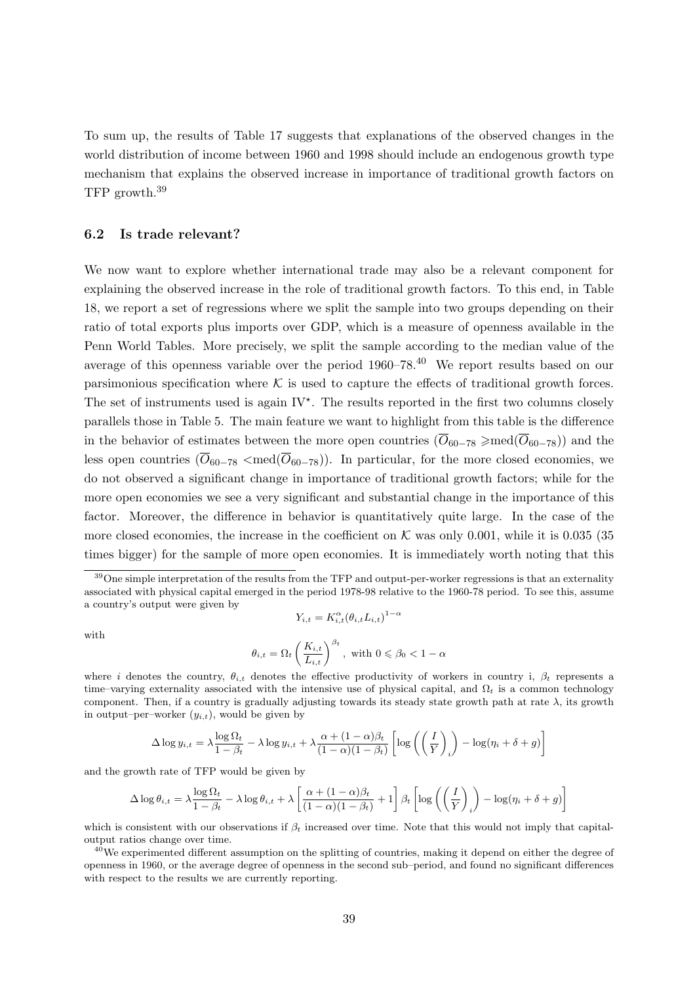To sum up, the results of Table 17 suggests that explanations of the observed changes in the world distribution of income between 1960 and 1998 should include an endogenous growth type mechanism that explains the observed increase in importance of traditional growth factors on TFP growth.<sup>39</sup>

#### 6.2 Is trade relevant?

We now want to explore whether international trade may also be a relevant component for explaining the observed increase in the role of traditional growth factors. To this end, in Table 18, we report a set of regressions where we split the sample into two groups depending on their ratio of total exports plus imports over GDP, which is a measure of openness available in the Penn World Tables. More precisely, we split the sample according to the median value of the average of this openness variable over the period  $1960-78$ .<sup>40</sup> We report results based on our parsimonious specification where  $K$  is used to capture the effects of traditional growth forces. The set of instruments used is again  $IV^*$ . The results reported in the first two columns closely parallels those in Table 5. The main feature we want to highlight from this table is the difference in the behavior of estimates between the more open countries  $(\overline{O}_{60-78} \geq \text{med}(\overline{O}_{60-78}))$  and the less open countries  $(\overline{O}_{60-78} < \text{med}(\overline{O}_{60-78}))$ . In particular, for the more closed economies, we do not observed a significant change in importance of traditional growth factors; while for the more open economies we see a very significant and substantial change in the importance of this factor. Moreover, the difference in behavior is quantitatively quite large. In the case of the more closed economies, the increase in the coefficient on K was only 0.001, while it is 0.035 (35 times bigger) for the sample of more open economies. It is immediately worth noting that this

with

$$
Y_{i,t} = K_{i,t}^{\alpha} (\theta_{i,t} L_{i,t})^{1-\alpha}
$$
  

$$
\theta_{i,t} = \Omega_t \left(\frac{K_{i,t}}{L_{i,t}}\right)^{\beta_t}, \text{ with } 0 \le \beta_0 < 1-\alpha
$$

where i denotes the country,  $\theta_{i,t}$  denotes the effective productivity of workers in country i,  $\beta_t$  represents a time–varying externality associated with the intensive use of physical capital, and  $\Omega_t$  is a common technology component. Then, if a country is gradually adjusting towards its steady state growth path at rate  $\lambda$ , its growth in output–per–worker  $(y_{i,t})$ , would be given by

$$
\Delta \log y_{i,t} = \lambda \frac{\log \Omega_t}{1 - \beta_t} - \lambda \log y_{i,t} + \lambda \frac{\alpha + (1 - \alpha)\beta_t}{(1 - \alpha)(1 - \beta_t)} \left[ \log \left( \left( \frac{I}{Y} \right)_i \right) - \log(\eta_i + \delta + g) \right]
$$

and the growth rate of TFP would be given by

$$
\Delta \log \theta_{i,t} = \lambda \frac{\log \Omega_t}{1 - \beta_t} - \lambda \log \theta_{i,t} + \lambda \left[ \frac{\alpha + (1 - \alpha)\beta_t}{(1 - \alpha)(1 - \beta_t)} + 1 \right] \beta_t \left[ \log \left( \left( \frac{I}{Y} \right)_i \right) - \log(\eta_i + \delta + g) \right]
$$

which is consistent with our observations if  $\beta_t$  increased over time. Note that this would not imply that capitaloutput ratios change over time.

<sup>40</sup>We experimented different assumption on the splitting of countries, making it depend on either the degree of openness in 1960, or the average degree of openness in the second sub–period, and found no significant differences with respect to the results we are currently reporting.

 $39$ One simple interpretation of the results from the TFP and output-per-worker regressions is that an externality associated with physical capital emerged in the period 1978-98 relative to the 1960-78 period. To see this, assume a country's output were given by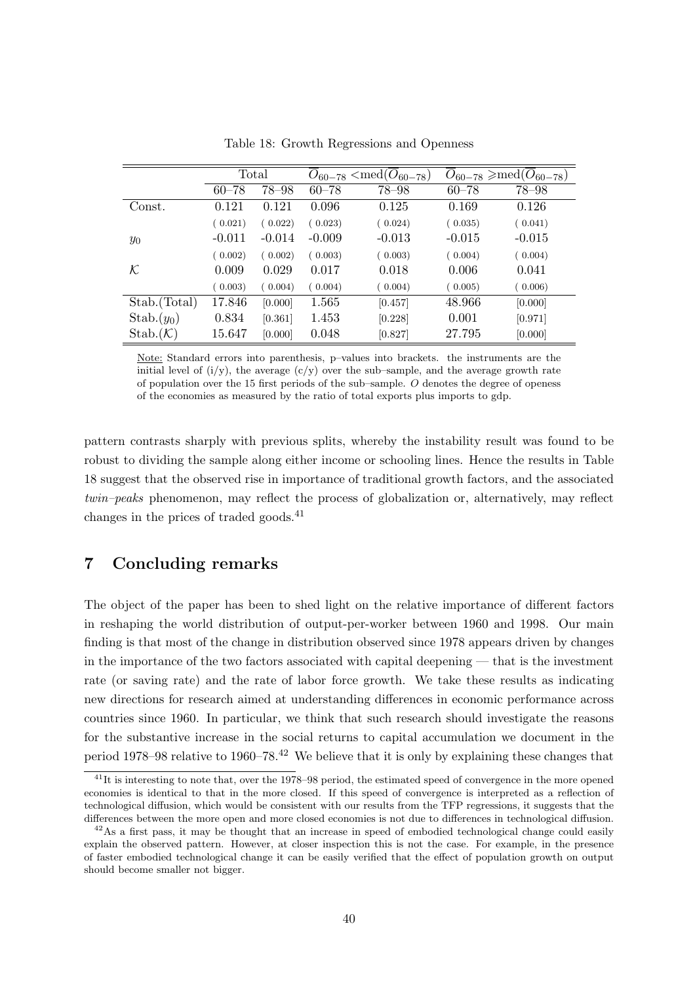|                         | Total     |           |           | $\overline{O}_{60-78}$ <med<math>(O_{60-78})</med<math> | $\overline{O}_{60-78} \geqslant \text{med}(\overline{O}_{60-78})$ |           |  |
|-------------------------|-----------|-----------|-----------|---------------------------------------------------------|-------------------------------------------------------------------|-----------|--|
|                         | $60 - 78$ | $78 - 98$ | $60 - 78$ | 78-98                                                   | $60 - 78$                                                         | $78 - 98$ |  |
| $\operatorname{Const.}$ | 0.121     | 0.121     | 0.096     | 0.125                                                   | 0.169                                                             | 0.126     |  |
|                         | (0.021)   | (0.022)   | (0.023)   | (0.024)                                                 | (0.035)                                                           | (0.041)   |  |
| $y_0$                   | $-0.011$  | $-0.014$  | $-0.009$  | $-0.013$                                                | $-0.015$                                                          | $-0.015$  |  |
|                         | (0.002)   | (0.002)   | (0.003)   | (0.003)                                                 | (0.004)                                                           | (0.004)   |  |
| $\cal K$                | 0.009     | 0.029     | 0.017     | 0.018                                                   | 0.006                                                             | 0.041     |  |
|                         | (0.003)   | (0.004)   | (0.004)   | (0.004)                                                 | (0.005)                                                           | (0.006)   |  |
| Stab. (Total)           | 17.846    | [0.000]   | 1.565     | [0.457]                                                 | 48.966                                                            | [0.000]   |  |
| $Stab.(y_0)$            | 0.834     | [0.361]   | 1.453     | [0.228]                                                 | 0.001                                                             | [0.971]   |  |
| $Stab.(\mathcal{K})$    | 15.647    | [0.000]   | 0.048     | [0.827]                                                 | 27.795                                                            | [0.000]   |  |

Table 18: Growth Regressions and Openness

Note: Standard errors into parenthesis, p–values into brackets. the instruments are the initial level of  $(i/y)$ , the average  $(c/y)$  over the sub-sample, and the average growth rate of population over the 15 first periods of the sub–sample.  $O$  denotes the degree of openess of the economies as measured by the ratio of total exports plus imports to gdp.

pattern contrasts sharply with previous splits, whereby the instability result was found to be robust to dividing the sample along either income or schooling lines. Hence the results in Table 18 suggest that the observed rise in importance of traditional growth factors, and the associated twin–peaks phenomenon, may reflect the process of globalization or, alternatively, may reflect changes in the prices of traded goods.<sup>41</sup>

# 7 Concluding remarks

The object of the paper has been to shed light on the relative importance of different factors in reshaping the world distribution of output-per-worker between 1960 and 1998. Our main finding is that most of the change in distribution observed since 1978 appears driven by changes in the importance of the two factors associated with capital deepening — that is the investment rate (or saving rate) and the rate of labor force growth. We take these results as indicating new directions for research aimed at understanding differences in economic performance across countries since 1960. In particular, we think that such research should investigate the reasons for the substantive increase in the social returns to capital accumulation we document in the period 1978–98 relative to 1960–78.<sup>42</sup> We believe that it is only by explaining these changes that

<sup>&</sup>lt;sup>41</sup>It is interesting to note that, over the 1978–98 period, the estimated speed of convergence in the more opened economies is identical to that in the more closed. If this speed of convergence is interpreted as a reflection of technological diffusion, which would be consistent with our results from the TFP regressions, it suggests that the differences between the more open and more closed economies is not due to differences in technological diffusion.

 $^{42}$ As a first pass, it may be thought that an increase in speed of embodied technological change could easily explain the observed pattern. However, at closer inspection this is not the case. For example, in the presence of faster embodied technological change it can be easily verified that the effect of population growth on output should become smaller not bigger.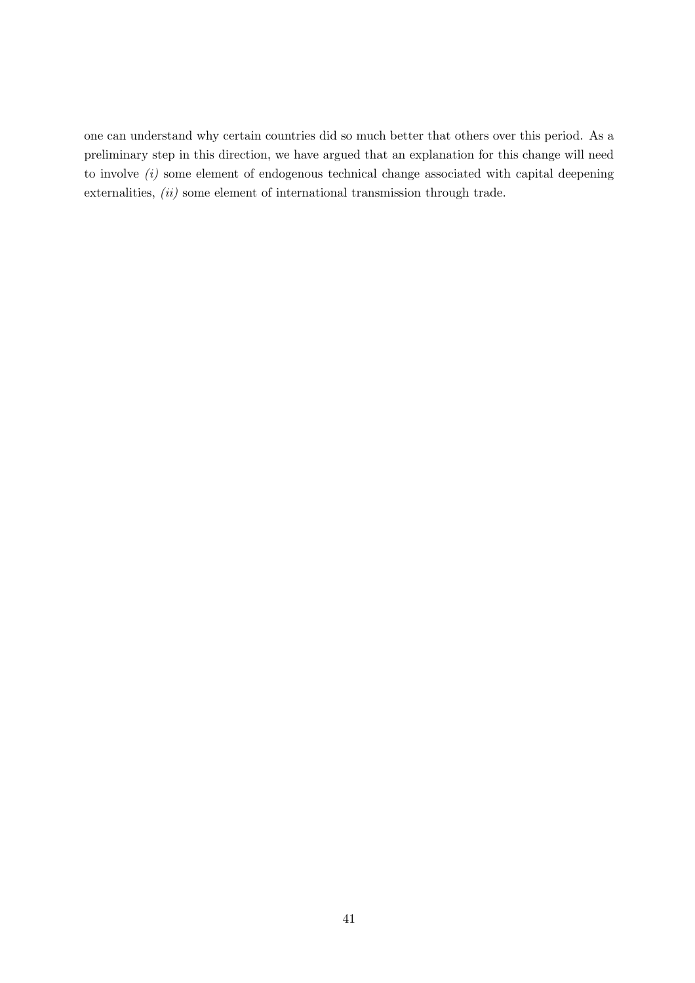one can understand why certain countries did so much better that others over this period. As a preliminary step in this direction, we have argued that an explanation for this change will need to involve  $(i)$  some element of endogenous technical change associated with capital deepening externalities, (ii) some element of international transmission through trade.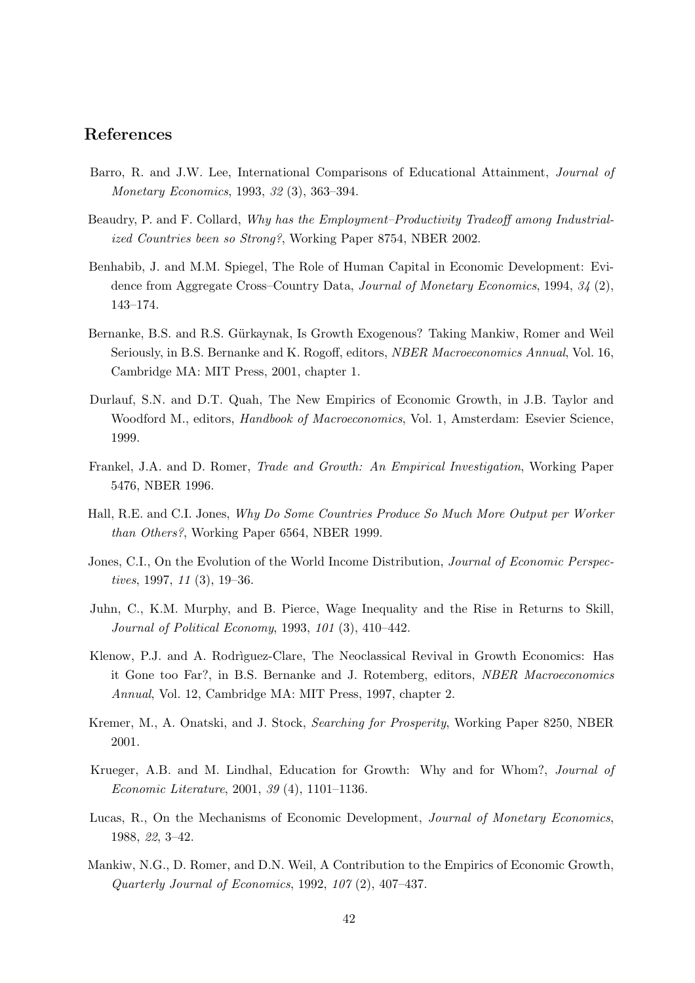## References

- Barro, R. and J.W. Lee, International Comparisons of Educational Attainment, Journal of Monetary Economics, 1993, 32 (3), 363–394.
- Beaudry, P. and F. Collard, Why has the Employment–Productivity Tradeoff among Industrialized Countries been so Strong?, Working Paper 8754, NBER 2002.
- Benhabib, J. and M.M. Spiegel, The Role of Human Capital in Economic Development: Evidence from Aggregate Cross–Country Data, Journal of Monetary Economics, 1994, 34 (2), 143–174.
- Bernanke, B.S. and R.S. Gürkaynak, Is Growth Exogenous? Taking Mankiw, Romer and Weil Seriously, in B.S. Bernanke and K. Rogoff, editors, NBER Macroeconomics Annual, Vol. 16, Cambridge MA: MIT Press, 2001, chapter 1.
- Durlauf, S.N. and D.T. Quah, The New Empirics of Economic Growth, in J.B. Taylor and Woodford M., editors, Handbook of Macroeconomics, Vol. 1, Amsterdam: Esevier Science, 1999.
- Frankel, J.A. and D. Romer, Trade and Growth: An Empirical Investigation, Working Paper 5476, NBER 1996.
- Hall, R.E. and C.I. Jones, Why Do Some Countries Produce So Much More Output per Worker than Others?, Working Paper 6564, NBER 1999.
- Jones, C.I., On the Evolution of the World Income Distribution, *Journal of Economic Perspec*tives, 1997, 11 (3), 19–36.
- Juhn, C., K.M. Murphy, and B. Pierce, Wage Inequality and the Rise in Returns to Skill, Journal of Political Economy, 1993, 101 (3), 410–442.
- Klenow, P.J. and A. Rodriguez-Clare, The Neoclassical Revival in Growth Economics: Has it Gone too Far?, in B.S. Bernanke and J. Rotemberg, editors, NBER Macroeconomics Annual, Vol. 12, Cambridge MA: MIT Press, 1997, chapter 2.
- Kremer, M., A. Onatski, and J. Stock, Searching for Prosperity, Working Paper 8250, NBER 2001.
- Krueger, A.B. and M. Lindhal, Education for Growth: Why and for Whom?, Journal of Economic Literature, 2001, 39 (4), 1101–1136.
- Lucas, R., On the Mechanisms of Economic Development, Journal of Monetary Economics, 1988, 22, 3–42.
- Mankiw, N.G., D. Romer, and D.N. Weil, A Contribution to the Empirics of Economic Growth, Quarterly Journal of Economics, 1992, 107 (2), 407–437.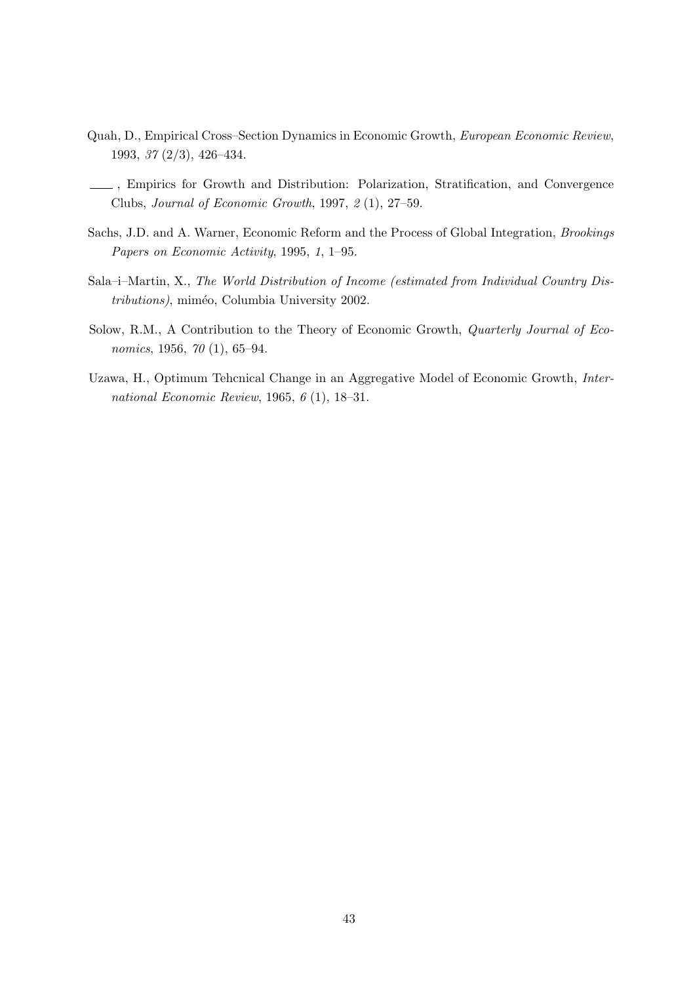- Quah, D., Empirical Cross–Section Dynamics in Economic Growth, European Economic Review, 1993, 37 (2/3), 426–434.
- , Empirics for Growth and Distribution: Polarization, Stratification, and Convergence Clubs, Journal of Economic Growth, 1997, 2 (1), 27–59.
- Sachs, J.D. and A. Warner, Economic Reform and the Process of Global Integration, Brookings Papers on Economic Activity, 1995, 1, 1–95.
- Sala–i–Martin, X., The World Distribution of Income (estimated from Individual Country Distributions), miméo, Columbia University 2002.
- Solow, R.M., A Contribution to the Theory of Economic Growth, Quarterly Journal of Economics, 1956, 70 (1), 65–94.
- Uzawa, H., Optimum Tehcnical Change in an Aggregative Model of Economic Growth, International Economic Review, 1965, 6 (1), 18–31.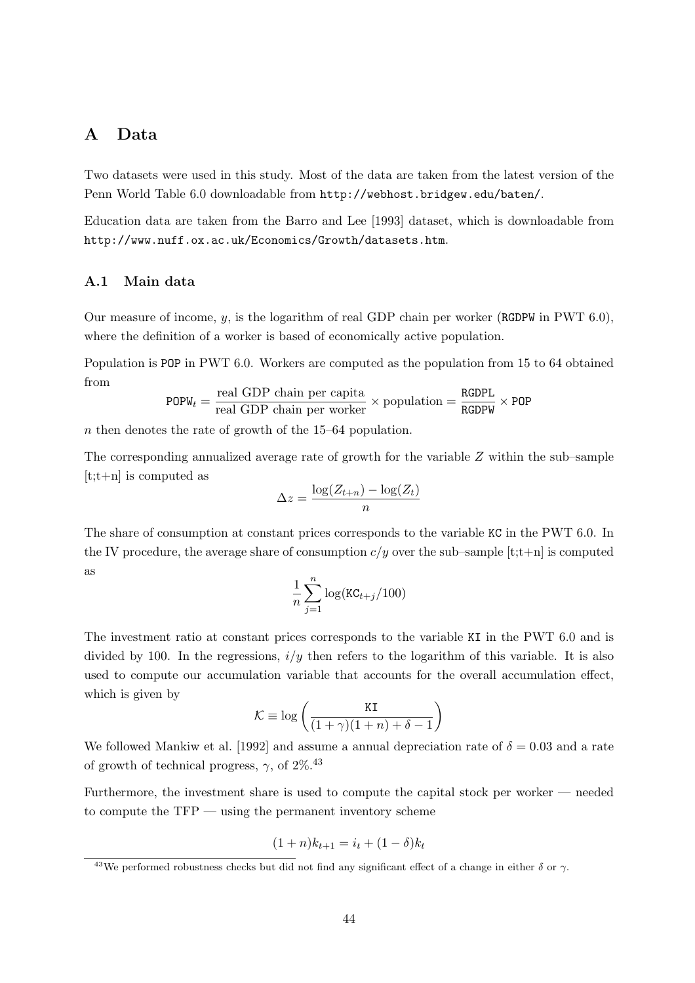### A Data

Two datasets were used in this study. Most of the data are taken from the latest version of the Penn World Table 6.0 downloadable from http://webhost.bridgew.edu/baten/.

Education data are taken from the Barro and Lee [1993] dataset, which is downloadable from http://www.nuff.ox.ac.uk/Economics/Growth/datasets.htm.

#### A.1 Main data

Our measure of income, y, is the logarithm of real GDP chain per worker (RGDPW in PWT 6.0), where the definition of a worker is based of economically active population.

Population is POP in PWT 6.0. Workers are computed as the population from 15 to 64 obtained from

$$
POPW_t = \frac{\text{real GDP chain per capita}}{\text{real GDP chain per worker}} \times \text{population} = \frac{\text{RGDPL}}{\text{RGDPW}} \times \text{POP}
$$

n then denotes the rate of growth of the 15–64 population.

The corresponding annualized average rate of growth for the variable Z within the sub–sample  $[t:t+n]$  is computed as

$$
\Delta z = \frac{\log(Z_{t+n}) - \log(Z_t)}{n}
$$

The share of consumption at constant prices corresponds to the variable KC in the PWT 6.0. In the IV procedure, the average share of consumption  $c/y$  over the sub-sample  $[t;t+n]$  is computed as

$$
\frac{1}{n}\sum_{j=1}^n \log(\texttt{KC}_{t+j}/100)
$$

The investment ratio at constant prices corresponds to the variable KI in the PWT 6.0 and is divided by 100. In the regressions,  $i/y$  then refers to the logarithm of this variable. It is also used to compute our accumulation variable that accounts for the overall accumulation effect, which is given by

$$
\mathcal{K} \equiv \log \left( \frac{K\mathbf{I}}{(1+\gamma)(1+n)+\delta-1} \right)
$$

We followed Mankiw et al. [1992] and assume a annual depreciation rate of  $\delta = 0.03$  and a rate of growth of technical progress,  $\gamma$ , of  $2\%$ <sup>43</sup>

Furthermore, the investment share is used to compute the capital stock per worker — needed to compute the TFP — using the permanent inventory scheme

$$
(1+n)k_{t+1} = i_t + (1-\delta)k_t
$$

<sup>&</sup>lt;sup>43</sup>We performed robustness checks but did not find any significant effect of a change in either  $\delta$  or  $\gamma$ .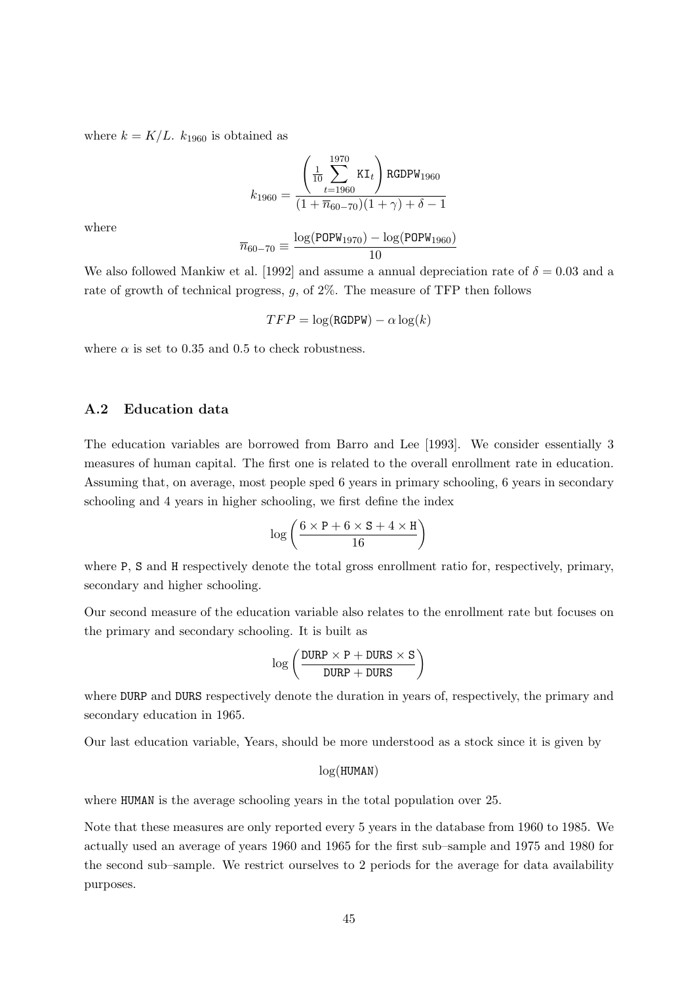where  $k = K/L$ .  $k_{1960}$  is obtained as

$$
k_{1960} = \frac{\left(\frac{1}{10} \sum_{t=1960}^{1970} \text{KI}_t\right) \text{RGDPW}_{1960}}{(1 + \overline{n}_{60-70})(1 + \gamma) + \delta - 1}
$$

where

$$
\overline{n}_{60-70} \equiv \frac{\log(\text{POPW}_{1970}) - \log(\text{POPW}_{1960})}{10}
$$

We also followed Mankiw et al. [1992] and assume a annual depreciation rate of  $\delta = 0.03$  and a rate of growth of technical progress,  $g$ , of  $2\%$ . The measure of TFP then follows

$$
TFP = \log(\text{RGDPW}) - \alpha \log(k)
$$

where  $\alpha$  is set to 0.35 and 0.5 to check robustness.

#### A.2 Education data

The education variables are borrowed from Barro and Lee [1993]. We consider essentially 3 measures of human capital. The first one is related to the overall enrollment rate in education. Assuming that, on average, most people sped 6 years in primary schooling, 6 years in secondary schooling and 4 years in higher schooling, we first define the index

$$
\log\left(\frac{6\times \text{P}+6\times \text{S}+4\times \text{H}}{16}\right)
$$

where P, S and H respectively denote the total gross enrollment ratio for, respectively, primary, secondary and higher schooling.

Our second measure of the education variable also relates to the enrollment rate but focuses on the primary and secondary schooling. It is built as

$$
\log\left(\frac{\texttt{DURP}\times\texttt{P}+\texttt{DURS}\times\texttt{S}}{\texttt{DURP}+\texttt{DURS}}\right)
$$

where DURP and DURS respectively denote the duration in years of, respectively, the primary and secondary education in 1965.

Our last education variable, Years, should be more understood as a stock since it is given by

#### log(HUMAN)

where HUMAN is the average schooling years in the total population over 25.

Note that these measures are only reported every 5 years in the database from 1960 to 1985. We actually used an average of years 1960 and 1965 for the first sub–sample and 1975 and 1980 for the second sub–sample. We restrict ourselves to 2 periods for the average for data availability purposes.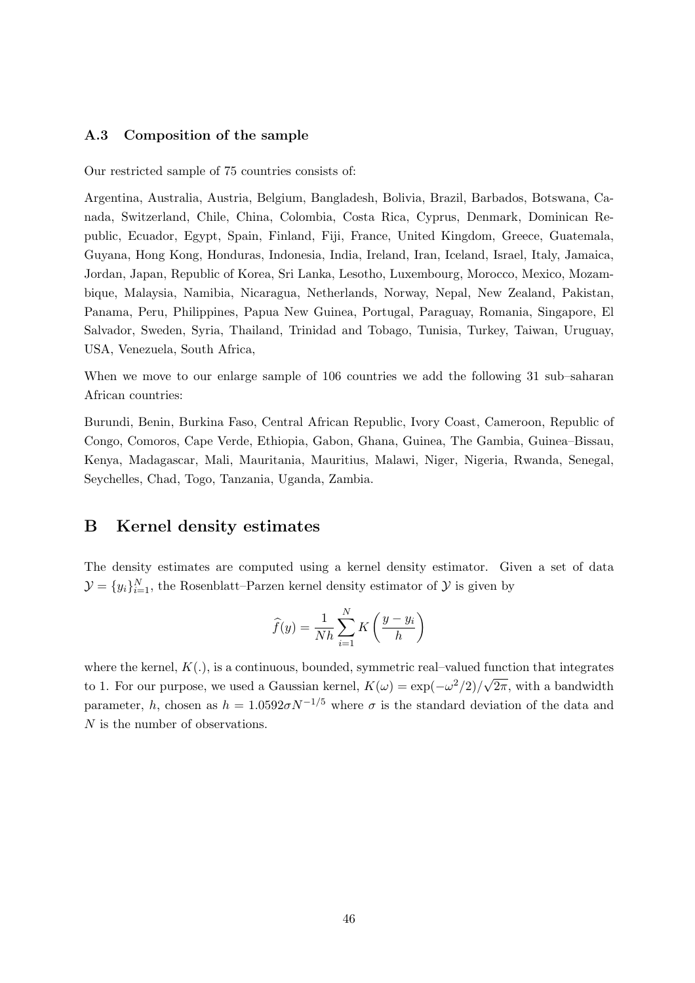#### A.3 Composition of the sample

Our restricted sample of 75 countries consists of:

Argentina, Australia, Austria, Belgium, Bangladesh, Bolivia, Brazil, Barbados, Botswana, Canada, Switzerland, Chile, China, Colombia, Costa Rica, Cyprus, Denmark, Dominican Republic, Ecuador, Egypt, Spain, Finland, Fiji, France, United Kingdom, Greece, Guatemala, Guyana, Hong Kong, Honduras, Indonesia, India, Ireland, Iran, Iceland, Israel, Italy, Jamaica, Jordan, Japan, Republic of Korea, Sri Lanka, Lesotho, Luxembourg, Morocco, Mexico, Mozambique, Malaysia, Namibia, Nicaragua, Netherlands, Norway, Nepal, New Zealand, Pakistan, Panama, Peru, Philippines, Papua New Guinea, Portugal, Paraguay, Romania, Singapore, El Salvador, Sweden, Syria, Thailand, Trinidad and Tobago, Tunisia, Turkey, Taiwan, Uruguay, USA, Venezuela, South Africa,

When we move to our enlarge sample of 106 countries we add the following 31 sub-saharan African countries:

Burundi, Benin, Burkina Faso, Central African Republic, Ivory Coast, Cameroon, Republic of Congo, Comoros, Cape Verde, Ethiopia, Gabon, Ghana, Guinea, The Gambia, Guinea–Bissau, Kenya, Madagascar, Mali, Mauritania, Mauritius, Malawi, Niger, Nigeria, Rwanda, Senegal, Seychelles, Chad, Togo, Tanzania, Uganda, Zambia.

### B Kernel density estimates

The density estimates are computed using a kernel density estimator. Given a set of data  $\mathcal{Y} = \{y_i\}_{i=1}^N$ , the Rosenblatt–Parzen kernel density estimator of  $\mathcal{Y}$  is given by

$$
\widehat{f}(y) = \frac{1}{Nh} \sum_{i=1}^{N} K\left(\frac{y - y_i}{h}\right)
$$

where the kernel,  $K(.)$ , is a continuous, bounded, symmetric real–valued function that integrates to 1. For our purpose, we used a Gaussian kernel,  $K(\omega) = \exp(-\omega^2/2)/\sqrt{2\pi}$ , with a bandwidth parameter, h, chosen as  $h = 1.0592 \sigma N^{-1/5}$  where  $\sigma$  is the standard deviation of the data and N is the number of observations.